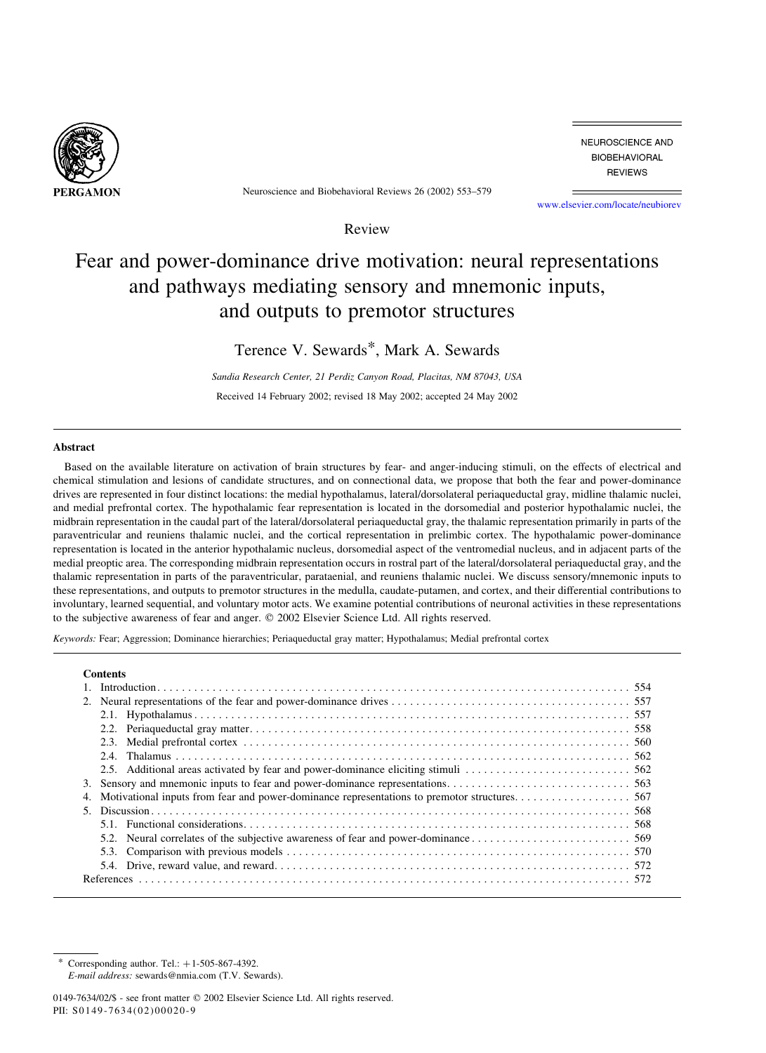

Neuroscience and Biobehavioral Reviews 26 (2002) 553–579

NEUROSCIENCE AND **BIOBEHAVIORAL REVIEWS** 

Review

[www.elsevier.com/locate/neubiorev](http://www.elsevier.com/locate/neubiorev)

# Fear and power-dominance drive motivation: neural representations and pathways mediating sensory and mnemonic inputs, and outputs to premotor structures

Terence V. Sewards\*, Mark A. Sewards

Sandia Research Center, 21 Perdiz Canyon Road, Placitas, NM 87043, USA Received 14 February 2002; revised 18 May 2002; accepted 24 May 2002

## Abstract

Based on the available literature on activation of brain structures by fear- and anger-inducing stimuli, on the effects of electrical and chemical stimulation and lesions of candidate structures, and on connectional data, we propose that both the fear and power-dominance drives are represented in four distinct locations: the medial hypothalamus, lateral/dorsolateral periaqueductal gray, midline thalamic nuclei, and medial prefrontal cortex. The hypothalamic fear representation is located in the dorsomedial and posterior hypothalamic nuclei, the midbrain representation in the caudal part of the lateral/dorsolateral periaqueductal gray, the thalamic representation primarily in parts of the paraventricular and reuniens thalamic nuclei, and the cortical representation in prelimbic cortex. The hypothalamic power-dominance representation is located in the anterior hypothalamic nucleus, dorsomedial aspect of the ventromedial nucleus, and in adjacent parts of the medial preoptic area. The corresponding midbrain representation occurs in rostral part of the lateral/dorsolateral periaqueductal gray, and the thalamic representation in parts of the paraventricular, parataenial, and reuniens thalamic nuclei. We discuss sensory/mnemonic inputs to these representations, and outputs to premotor structures in the medulla, caudate-putamen, and cortex, and their differential contributions to involuntary, learned sequential, and voluntary motor acts. We examine potential contributions of neuronal activities in these representations to the subjective awareness of fear and anger.  $\heartsuit$  2002 Elsevier Science Ltd. All rights reserved.

Keywords: Fear; Aggression; Dominance hierarchies; Periaqueductal gray matter; Hypothalamus; Medial prefrontal cortex

#### **Contents**

Corresponding author. Tel.:  $+1-505-867-4392$ . E-mail address: sewards@nmia.com (T.V. Sewards).

0149-7634/02/\$ - see front matter q 2002 Elsevier Science Ltd. All rights reserved. PII:  $S0149 - 7634(02)00020 - 9$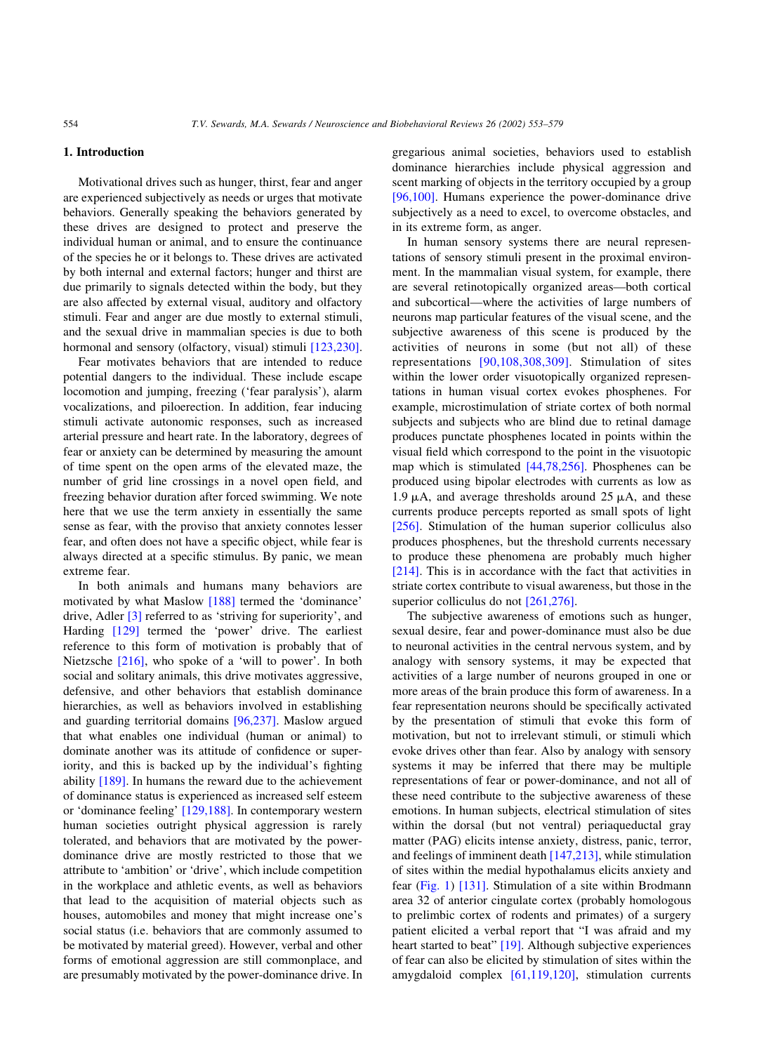## 1. Introduction

Motivational drives such as hunger, thirst, fear and anger are experienced subjectively as needs or urges that motivate behaviors. Generally speaking the behaviors generated by these drives are designed to protect and preserve the individual human or animal, and to ensure the continuance of the species he or it belongs to. These drives are activated by both internal and external factors; hunger and thirst are due primarily to signals detected within the body, but they are also affected by external visual, auditory and olfactory stimuli. Fear and anger are due mostly to external stimuli, and the sexual drive in mammalian species is due to both hormonal and sensory (olfactory, visual) stimuli [\[123,230\]](#page-22-0).

Fear motivates behaviors that are intended to reduce potential dangers to the individual. These include escape locomotion and jumping, freezing ('fear paralysis'), alarm vocalizations, and piloerection. In addition, fear inducing stimuli activate autonomic responses, such as increased arterial pressure and heart rate. In the laboratory, degrees of fear or anxiety can be determined by measuring the amount of time spent on the open arms of the elevated maze, the number of grid line crossings in a novel open field, and freezing behavior duration after forced swimming. We note here that we use the term anxiety in essentially the same sense as fear, with the proviso that anxiety connotes lesser fear, and often does not have a specific object, while fear is always directed at a specific stimulus. By panic, we mean extreme fear.

In both animals and humans many behaviors are motivated by what Maslow [\[188\]](#page-24-0) termed the 'dominance' drive, Adler [\[3\]](#page-19-0) referred to as 'striving for superiority', and Harding [\[129\]](#page-22-0) termed the 'power' drive. The earliest reference to this form of motivation is probably that of Nietzsche [\[216\],](#page-24-0) who spoke of a 'will to power'. In both social and solitary animals, this drive motivates aggressive, defensive, and other behaviors that establish dominance hierarchies, as well as behaviors involved in establishing and guarding territorial domains [\[96,237\].](#page-21-0) Maslow argued that what enables one individual (human or animal) to dominate another was its attitude of confidence or superiority, and this is backed up by the individual's fighting ability [\[189\].](#page-24-0) In humans the reward due to the achievement of dominance status is experienced as increased self esteem or 'dominance feeling' [\[129,188\]](#page-22-0). In contemporary western human societies outright physical aggression is rarely tolerated, and behaviors that are motivated by the powerdominance drive are mostly restricted to those that we attribute to 'ambition' or 'drive', which include competition in the workplace and athletic events, as well as behaviors that lead to the acquisition of material objects such as houses, automobiles and money that might increase one's social status (i.e. behaviors that are commonly assumed to be motivated by material greed). However, verbal and other forms of emotional aggression are still commonplace, and are presumably motivated by the power-dominance drive. In

gregarious animal societies, behaviors used to establish dominance hierarchies include physical aggression and scent marking of objects in the territory occupied by a group [\[96,100\].](#page-21-0) Humans experience the power-dominance drive subjectively as a need to excel, to overcome obstacles, and in its extreme form, as anger.

In human sensory systems there are neural representations of sensory stimuli present in the proximal environment. In the mammalian visual system, for example, there are several retinotopically organized areas—both cortical and subcortical—where the activities of large numbers of neurons map particular features of the visual scene, and the subjective awareness of this scene is produced by the activities of neurons in some (but not all) of these representations [\[90,108,308,309\].](#page-21-0) Stimulation of sites within the lower order visuotopically organized representations in human visual cortex evokes phosphenes. For example, microstimulation of striate cortex of both normal subjects and subjects who are blind due to retinal damage produces punctate phosphenes located in points within the visual field which correspond to the point in the visuotopic map which is stimulated  $[44,78,256]$ . Phosphenes can be produced using bipolar electrodes with currents as low as 1.9  $\mu$ A, and average thresholds around 25  $\mu$ A, and these currents produce percepts reported as small spots of light [\[256\]](#page-25-0). Stimulation of the human superior colliculus also produces phosphenes, but the threshold currents necessary to produce these phenomena are probably much higher [\[214\]](#page-24-0). This is in accordance with the fact that activities in striate cortex contribute to visual awareness, but those in the superior colliculus do not [\[261,276\]](#page-25-0).

The subjective awareness of emotions such as hunger, sexual desire, fear and power-dominance must also be due to neuronal activities in the central nervous system, and by analogy with sensory systems, it may be expected that activities of a large number of neurons grouped in one or more areas of the brain produce this form of awareness. In a fear representation neurons should be specifically activated by the presentation of stimuli that evoke this form of motivation, but not to irrelevant stimuli, or stimuli which evoke drives other than fear. Also by analogy with sensory systems it may be inferred that there may be multiple representations of fear or power-dominance, and not all of these need contribute to the subjective awareness of these emotions. In human subjects, electrical stimulation of sites within the dorsal (but not ventral) periaqueductal gray matter (PAG) elicits intense anxiety, distress, panic, terror, and feelings of imminent death [\[147,213\]](#page-23-0), while stimulation of sites within the medial hypothalamus elicits anxiety and fear ([Fig. 1](#page-2-0)) [\[131\].](#page-22-0) Stimulation of a site within Brodmann area 32 of anterior cingulate cortex (probably homologous to prelimbic cortex of rodents and primates) of a surgery patient elicited a verbal report that "I was afraid and my heart started to beat" [\[19\].](#page-20-0) Although subjective experiences of fear can also be elicited by stimulation of sites within the amygdaloid complex [\[61,119,120\]](#page-21-0), stimulation currents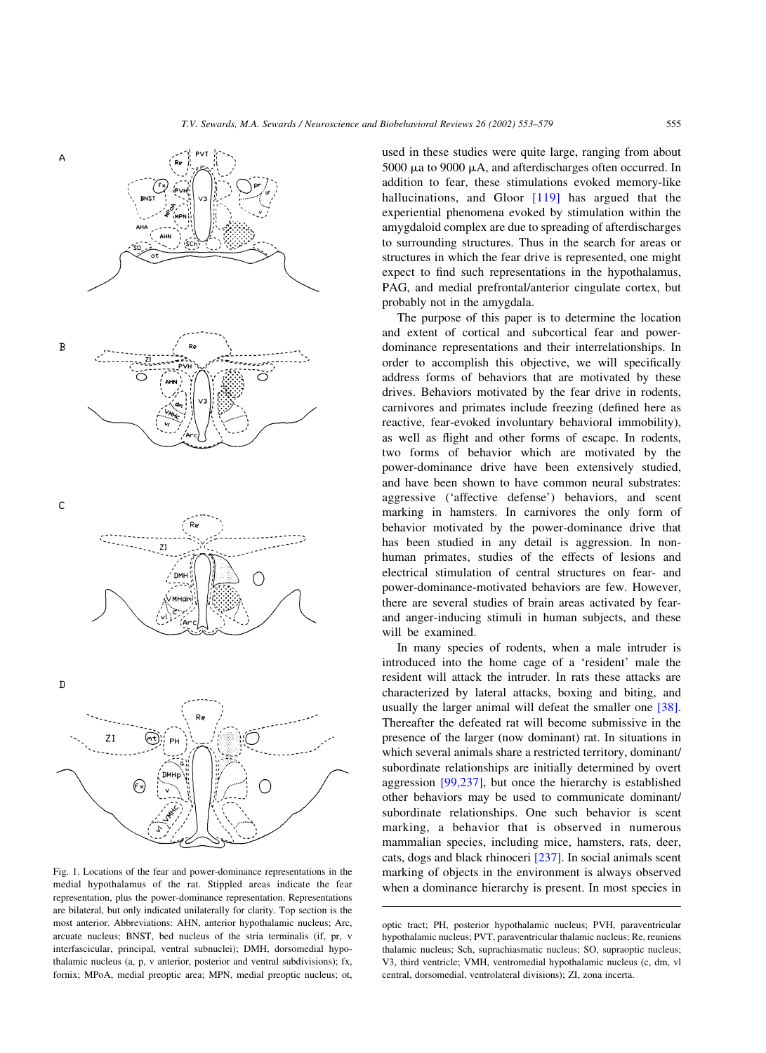<span id="page-2-0"></span>

Fig. 1. Locations of the fear and power-dominance representations in the medial hypothalamus of the rat. Stippled areas indicate the fear representation, plus the power-dominance representation. Representations are bilateral, but only indicated unilaterally for clarity. Top section is the most anterior. Abbreviations: AHN, anterior hypothalamic nucleus; Arc, arcuate nucleus; BNST, bed nucleus of the stria terminalis (if, pr, v interfascicular, principal, ventral subnuclei); DMH, dorsomedial hypothalamic nucleus (a, p, v anterior, posterior and ventral subdivisions); fx, fornix; MPoA, medial preoptic area; MPN, medial preoptic nucleus; ot,

used in these studies were quite large, ranging from about 5000  $\mu$ a to 9000  $\mu$ A, and afterdischarges often occurred. In addition to fear, these stimulations evoked memory-like hallucinations, and Gloor [\[119\]](#page-22-0) has argued that the experiential phenomena evoked by stimulation within the amygdaloid complex are due to spreading of afterdischarges to surrounding structures. Thus in the search for areas or structures in which the fear drive is represented, one might expect to find such representations in the hypothalamus, PAG, and medial prefrontal/anterior cingulate cortex, but probably not in the amygdala.

The purpose of this paper is to determine the location and extent of cortical and subcortical fear and powerdominance representations and their interrelationships. In order to accomplish this objective, we will specifically address forms of behaviors that are motivated by these drives. Behaviors motivated by the fear drive in rodents, carnivores and primates include freezing (defined here as reactive, fear-evoked involuntary behavioral immobility), as well as flight and other forms of escape. In rodents, two forms of behavior which are motivated by the power-dominance drive have been extensively studied, and have been shown to have common neural substrates: aggressive ('affective defense') behaviors, and scent marking in hamsters. In carnivores the only form of behavior motivated by the power-dominance drive that has been studied in any detail is aggression. In nonhuman primates, studies of the effects of lesions and electrical stimulation of central structures on fear- and power-dominance-motivated behaviors are few. However, there are several studies of brain areas activated by fearand anger-inducing stimuli in human subjects, and these will be examined.

In many species of rodents, when a male intruder is introduced into the home cage of a 'resident' male the resident will attack the intruder. In rats these attacks are characterized by lateral attacks, boxing and biting, and usually the larger animal will defeat the smaller one [\[38\]](#page-20-0). Thereafter the defeated rat will become submissive in the presence of the larger (now dominant) rat. In situations in which several animals share a restricted territory, dominant/ subordinate relationships are initially determined by overt aggression [\[99,237\]](#page-22-0), but once the hierarchy is established other behaviors may be used to communicate dominant/ subordinate relationships. One such behavior is scent marking, a behavior that is observed in numerous mammalian species, including mice, hamsters, rats, deer, cats, dogs and black rhinoceri [\[237\].](#page-25-0) In social animals scent marking of objects in the environment is always observed when a dominance hierarchy is present. In most species in

optic tract; PH, posterior hypothalamic nucleus; PVH, paraventricular hypothalamic nucleus; PVT, paraventricular thalamic nucleus; Re, reuniens thalamic nucleus; Sch, suprachiasmatic nucleus; SO, supraoptic nucleus; V3, third ventricle; VMH, ventromedial hypothalamic nucleus (c, dm, vl central, dorsomedial, ventrolateral divisions); ZI, zona incerta.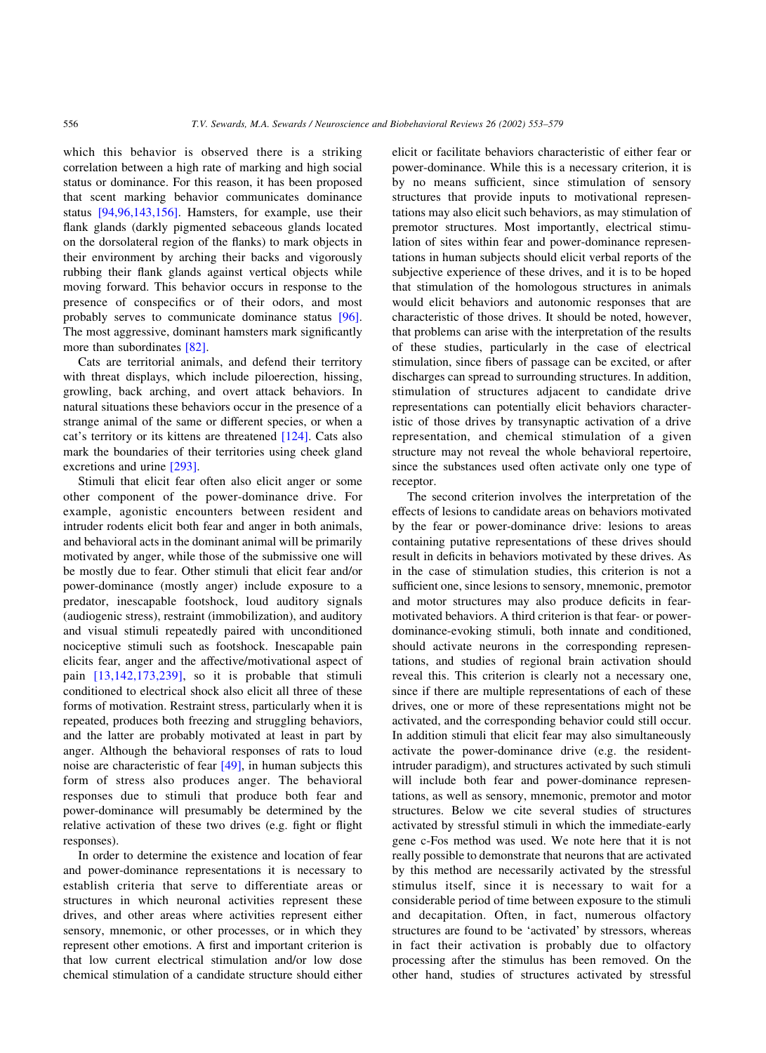which this behavior is observed there is a striking correlation between a high rate of marking and high social status or dominance. For this reason, it has been proposed that scent marking behavior communicates dominance status [\[94,96,143,156\]](#page-21-0). Hamsters, for example, use their flank glands (darkly pigmented sebaceous glands located on the dorsolateral region of the flanks) to mark objects in their environment by arching their backs and vigorously rubbing their flank glands against vertical objects while moving forward. This behavior occurs in response to the presence of conspecifics or of their odors, and most probably serves to communicate dominance status [\[96\]](#page-21-0). The most aggressive, dominant hamsters mark significantly more than subordinates [\[82\].](#page-21-0)

Cats are territorial animals, and defend their territory with threat displays, which include piloerection, hissing, growling, back arching, and overt attack behaviors. In natural situations these behaviors occur in the presence of a strange animal of the same or different species, or when a cat's territory or its kittens are threatened [\[124\].](#page-22-0) Cats also mark the boundaries of their territories using cheek gland excretions and urine [\[293\]](#page-26-0).

Stimuli that elicit fear often also elicit anger or some other component of the power-dominance drive. For example, agonistic encounters between resident and intruder rodents elicit both fear and anger in both animals, and behavioral acts in the dominant animal will be primarily motivated by anger, while those of the submissive one will be mostly due to fear. Other stimuli that elicit fear and/or power-dominance (mostly anger) include exposure to a predator, inescapable footshock, loud auditory signals (audiogenic stress), restraint (immobilization), and auditory and visual stimuli repeatedly paired with unconditioned nociceptive stimuli such as footshock. Inescapable pain elicits fear, anger and the affective/motivational aspect of pain [\[13,142,173,239\]](#page-20-0), so it is probable that stimuli conditioned to electrical shock also elicit all three of these forms of motivation. Restraint stress, particularly when it is repeated, produces both freezing and struggling behaviors, and the latter are probably motivated at least in part by anger. Although the behavioral responses of rats to loud noise are characteristic of fear [\[49\]](#page-20-0), in human subjects this form of stress also produces anger. The behavioral responses due to stimuli that produce both fear and power-dominance will presumably be determined by the relative activation of these two drives (e.g. fight or flight responses).

In order to determine the existence and location of fear and power-dominance representations it is necessary to establish criteria that serve to differentiate areas or structures in which neuronal activities represent these drives, and other areas where activities represent either sensory, mnemonic, or other processes, or in which they represent other emotions. A first and important criterion is that low current electrical stimulation and/or low dose chemical stimulation of a candidate structure should either elicit or facilitate behaviors characteristic of either fear or power-dominance. While this is a necessary criterion, it is by no means sufficient, since stimulation of sensory structures that provide inputs to motivational representations may also elicit such behaviors, as may stimulation of premotor structures. Most importantly, electrical stimulation of sites within fear and power-dominance representations in human subjects should elicit verbal reports of the subjective experience of these drives, and it is to be hoped that stimulation of the homologous structures in animals would elicit behaviors and autonomic responses that are characteristic of those drives. It should be noted, however, that problems can arise with the interpretation of the results of these studies, particularly in the case of electrical stimulation, since fibers of passage can be excited, or after discharges can spread to surrounding structures. In addition, stimulation of structures adjacent to candidate drive representations can potentially elicit behaviors characteristic of those drives by transynaptic activation of a drive representation, and chemical stimulation of a given structure may not reveal the whole behavioral repertoire, since the substances used often activate only one type of receptor.

The second criterion involves the interpretation of the effects of lesions to candidate areas on behaviors motivated by the fear or power-dominance drive: lesions to areas containing putative representations of these drives should result in deficits in behaviors motivated by these drives. As in the case of stimulation studies, this criterion is not a sufficient one, since lesions to sensory, mnemonic, premotor and motor structures may also produce deficits in fearmotivated behaviors. A third criterion is that fear- or powerdominance-evoking stimuli, both innate and conditioned, should activate neurons in the corresponding representations, and studies of regional brain activation should reveal this. This criterion is clearly not a necessary one, since if there are multiple representations of each of these drives, one or more of these representations might not be activated, and the corresponding behavior could still occur. In addition stimuli that elicit fear may also simultaneously activate the power-dominance drive (e.g. the residentintruder paradigm), and structures activated by such stimuli will include both fear and power-dominance representations, as well as sensory, mnemonic, premotor and motor structures. Below we cite several studies of structures activated by stressful stimuli in which the immediate-early gene c-Fos method was used. We note here that it is not really possible to demonstrate that neurons that are activated by this method are necessarily activated by the stressful stimulus itself, since it is necessary to wait for a considerable period of time between exposure to the stimuli and decapitation. Often, in fact, numerous olfactory structures are found to be 'activated' by stressors, whereas in fact their activation is probably due to olfactory processing after the stimulus has been removed. On the other hand, studies of structures activated by stressful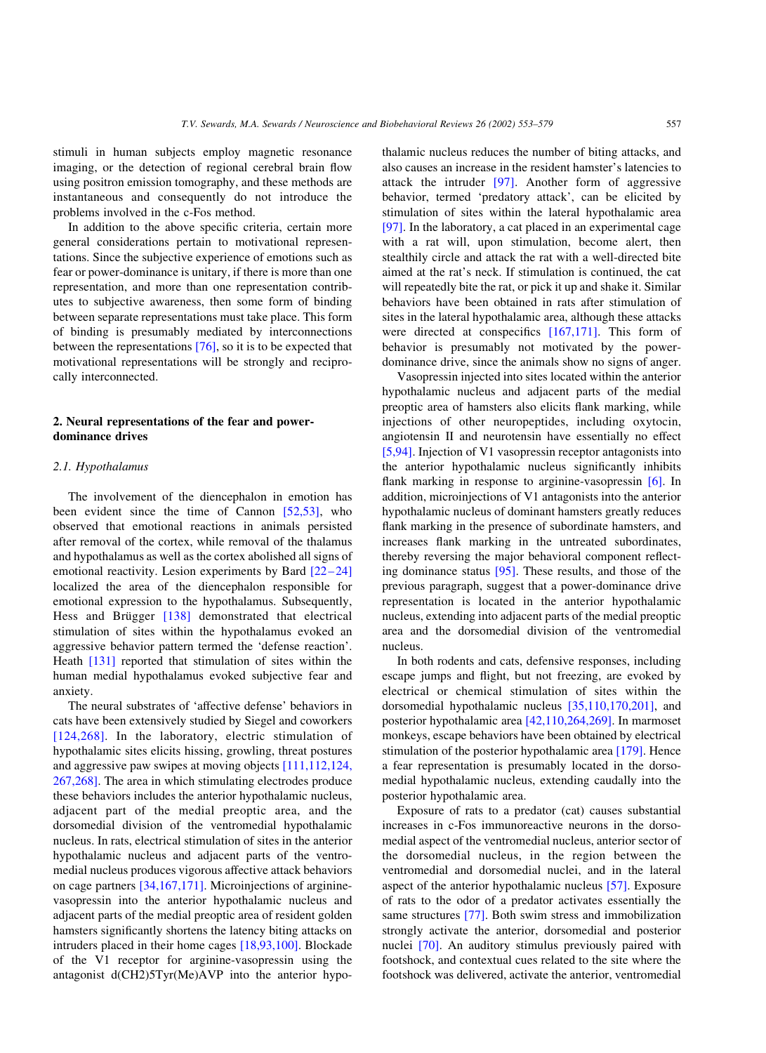stimuli in human subjects employ magnetic resonance imaging, or the detection of regional cerebral brain flow using positron emission tomography, and these methods are instantaneous and consequently do not introduce the problems involved in the c-Fos method.

In addition to the above specific criteria, certain more general considerations pertain to motivational representations. Since the subjective experience of emotions such as fear or power-dominance is unitary, if there is more than one representation, and more than one representation contributes to subjective awareness, then some form of binding between separate representations must take place. This form of binding is presumably mediated by interconnections between the representations [\[76\],](#page-21-0) so it is to be expected that motivational representations will be strongly and reciprocally interconnected.

## 2. Neural representations of the fear and powerdominance drives

#### 2.1. Hypothalamus

The involvement of the diencephalon in emotion has been evident since the time of Cannon [\[52,53\],](#page-20-0) who observed that emotional reactions in animals persisted after removal of the cortex, while removal of the thalamus and hypothalamus as well as the cortex abolished all signs of emotional reactivity. Lesion experiments by Bard [\[22–24\]](#page-20-0) localized the area of the diencephalon responsible for emotional expression to the hypothalamus. Subsequently, Hess and Brügger [\[138\]](#page-22-0) demonstrated that electrical stimulation of sites within the hypothalamus evoked an aggressive behavior pattern termed the 'defense reaction'. Heath [\[131\]](#page-22-0) reported that stimulation of sites within the human medial hypothalamus evoked subjective fear and anxiety.

The neural substrates of 'affective defense' behaviors in cats have been extensively studied by Siegel and coworkers [\[124,268\].](#page-22-0) In the laboratory, electric stimulation of hypothalamic sites elicits hissing, growling, threat postures and aggressive paw swipes at moving objects [\[111,112,124,](#page-22-0) [267,268\]](#page-22-0). The area in which stimulating electrodes produce these behaviors includes the anterior hypothalamic nucleus, adjacent part of the medial preoptic area, and the dorsomedial division of the ventromedial hypothalamic nucleus. In rats, electrical stimulation of sites in the anterior hypothalamic nucleus and adjacent parts of the ventromedial nucleus produces vigorous affective attack behaviors on cage partners [\[34,167,171\].](#page-20-0) Microinjections of argininevasopressin into the anterior hypothalamic nucleus and adjacent parts of the medial preoptic area of resident golden hamsters significantly shortens the latency biting attacks on intruders placed in their home cages [\[18,93,100\]](#page-20-0). Blockade of the V1 receptor for arginine-vasopressin using the antagonist d(CH2)5Tyr(Me)AVP into the anterior hypo-

thalamic nucleus reduces the number of biting attacks, and also causes an increase in the resident hamster's latencies to attack the intruder  $[97]$ . Another form of aggressive behavior, termed 'predatory attack', can be elicited by stimulation of sites within the lateral hypothalamic area [\[97\]](#page-21-0). In the laboratory, a cat placed in an experimental cage with a rat will, upon stimulation, become alert, then stealthily circle and attack the rat with a well-directed bite aimed at the rat's neck. If stimulation is continued, the cat will repeatedly bite the rat, or pick it up and shake it. Similar behaviors have been obtained in rats after stimulation of sites in the lateral hypothalamic area, although these attacks were directed at conspecifics [\[167,171\].](#page-23-0) This form of behavior is presumably not motivated by the powerdominance drive, since the animals show no signs of anger.

Vasopressin injected into sites located within the anterior hypothalamic nucleus and adjacent parts of the medial preoptic area of hamsters also elicits flank marking, while injections of other neuropeptides, including oxytocin, angiotensin II and neurotensin have essentially no effect [\[5,94\].](#page-19-0) Injection of V1 vasopressin receptor antagonists into the anterior hypothalamic nucleus significantly inhibits flank marking in response to arginine-vasopressin [\[6\].](#page-19-0) In addition, microinjections of V1 antagonists into the anterior hypothalamic nucleus of dominant hamsters greatly reduces flank marking in the presence of subordinate hamsters, and increases flank marking in the untreated subordinates, thereby reversing the major behavioral component reflecting dominance status [\[95\]](#page-21-0). These results, and those of the previous paragraph, suggest that a power-dominance drive representation is located in the anterior hypothalamic nucleus, extending into adjacent parts of the medial preoptic area and the dorsomedial division of the ventromedial nucleus.

In both rodents and cats, defensive responses, including escape jumps and flight, but not freezing, are evoked by electrical or chemical stimulation of sites within the dorsomedial hypothalamic nucleus [\[35,110,170,201\]](#page-20-0), and posterior hypothalamic area [\[42,110,264,269\]](#page-20-0). In marmoset monkeys, escape behaviors have been obtained by electrical stimulation of the posterior hypothalamic area [\[179\]](#page-23-0). Hence a fear representation is presumably located in the dorsomedial hypothalamic nucleus, extending caudally into the posterior hypothalamic area.

Exposure of rats to a predator (cat) causes substantial increases in c-Fos immunoreactive neurons in the dorsomedial aspect of the ventromedial nucleus, anterior sector of the dorsomedial nucleus, in the region between the ventromedial and dorsomedial nuclei, and in the lateral aspect of the anterior hypothalamic nucleus [\[57\].](#page-21-0) Exposure of rats to the odor of a predator activates essentially the same structures [\[77\].](#page-21-0) Both swim stress and immobilization strongly activate the anterior, dorsomedial and posterior nuclei [\[70\]](#page-21-0). An auditory stimulus previously paired with footshock, and contextual cues related to the site where the footshock was delivered, activate the anterior, ventromedial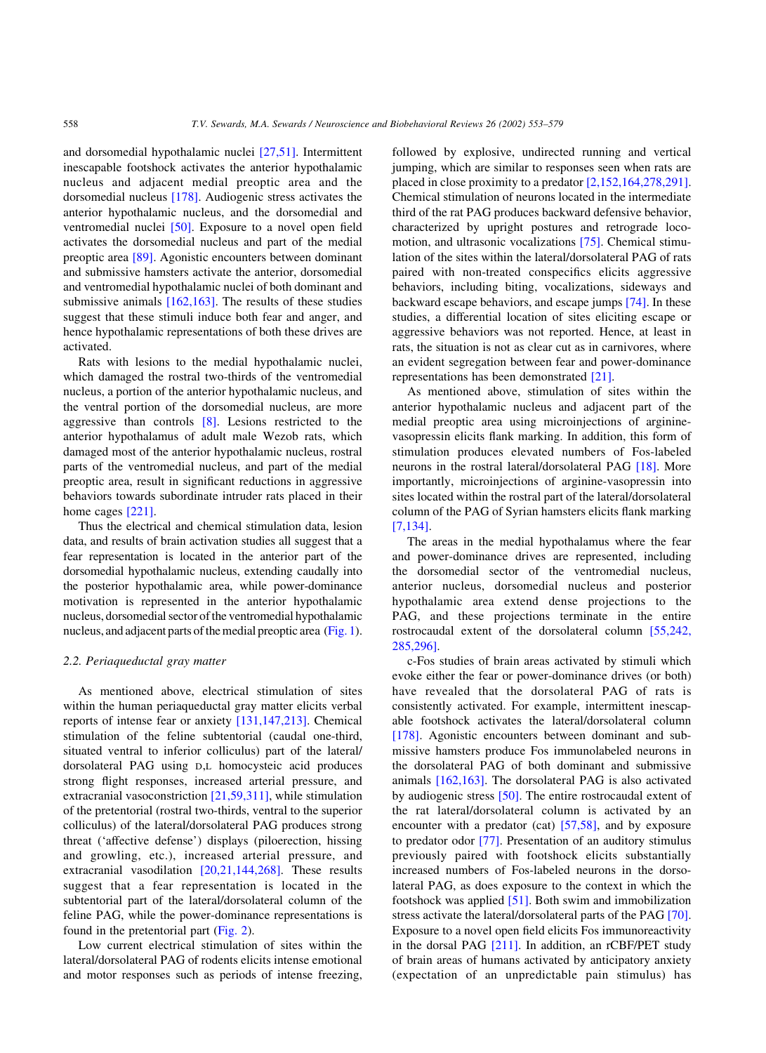and dorsomedial hypothalamic nuclei [\[27,51\]](#page-20-0). Intermittent inescapable footshock activates the anterior hypothalamic nucleus and adjacent medial preoptic area and the dorsomedial nucleus [\[178\].](#page-23-0) Audiogenic stress activates the anterior hypothalamic nucleus, and the dorsomedial and ventromedial nuclei [\[50\]](#page-20-0). Exposure to a novel open field activates the dorsomedial nucleus and part of the medial preoptic area [\[89\].](#page-21-0) Agonistic encounters between dominant and submissive hamsters activate the anterior, dorsomedial and ventromedial hypothalamic nuclei of both dominant and submissive animals [\[162,163\]](#page-23-0). The results of these studies suggest that these stimuli induce both fear and anger, and hence hypothalamic representations of both these drives are activated.

Rats with lesions to the medial hypothalamic nuclei, which damaged the rostral two-thirds of the ventromedial nucleus, a portion of the anterior hypothalamic nucleus, and the ventral portion of the dorsomedial nucleus, are more aggressive than controls [\[8\]](#page-19-0). Lesions restricted to the anterior hypothalamus of adult male Wezob rats, which damaged most of the anterior hypothalamic nucleus, rostral parts of the ventromedial nucleus, and part of the medial preoptic area, result in significant reductions in aggressive behaviors towards subordinate intruder rats placed in their home cages [\[221\].](#page-24-0)

Thus the electrical and chemical stimulation data, lesion data, and results of brain activation studies all suggest that a fear representation is located in the anterior part of the dorsomedial hypothalamic nucleus, extending caudally into the posterior hypothalamic area, while power-dominance motivation is represented in the anterior hypothalamic nucleus, dorsomedial sector of the ventromedial hypothalamic nucleus, and adjacent parts of the medial preoptic area [\(Fig. 1](#page-2-0)).

#### 2.2. Periaqueductal gray matter

As mentioned above, electrical stimulation of sites within the human periaqueductal gray matter elicits verbal reports of intense fear or anxiety [\[131,147,213\]](#page-22-0). Chemical stimulation of the feline subtentorial (caudal one-third, situated ventral to inferior colliculus) part of the lateral/ dorsolateral PAG using D,L homocysteic acid produces strong flight responses, increased arterial pressure, and extracranial vasoconstriction [\[21,59,311\]](#page-20-0), while stimulation of the pretentorial (rostral two-thirds, ventral to the superior colliculus) of the lateral/dorsolateral PAG produces strong threat ('affective defense') displays (piloerection, hissing and growling, etc.), increased arterial pressure, and extracranial vasodilation [\[20,21,144,268\]](#page-20-0). These results suggest that a fear representation is located in the subtentorial part of the lateral/dorsolateral column of the feline PAG, while the power-dominance representations is found in the pretentorial part [\(Fig. 2\)](#page-6-0).

Low current electrical stimulation of sites within the lateral/dorsolateral PAG of rodents elicits intense emotional and motor responses such as periods of intense freezing,

followed by explosive, undirected running and vertical jumping, which are similar to responses seen when rats are placed in close proximity to a predator [\[2,152,164,278,291\]](#page-19-0). Chemical stimulation of neurons located in the intermediate third of the rat PAG produces backward defensive behavior, characterized by upright postures and retrograde locomotion, and ultrasonic vocalizations [\[75\]](#page-21-0). Chemical stimulation of the sites within the lateral/dorsolateral PAG of rats paired with non-treated conspecifics elicits aggressive behaviors, including biting, vocalizations, sideways and backward escape behaviors, and escape jumps [\[74\].](#page-21-0) In these studies, a differential location of sites eliciting escape or aggressive behaviors was not reported. Hence, at least in rats, the situation is not as clear cut as in carnivores, where an evident segregation between fear and power-dominance representations has been demonstrated [\[21\]](#page-20-0).

As mentioned above, stimulation of sites within the anterior hypothalamic nucleus and adjacent part of the medial preoptic area using microinjections of argininevasopressin elicits flank marking. In addition, this form of stimulation produces elevated numbers of Fos-labeled neurons in the rostral lateral/dorsolateral PAG [\[18\].](#page-20-0) More importantly, microinjections of arginine-vasopressin into sites located within the rostral part of the lateral/dorsolateral column of the PAG of Syrian hamsters elicits flank marking [\[7,134\].](#page-19-0)

The areas in the medial hypothalamus where the fear and power-dominance drives are represented, including the dorsomedial sector of the ventromedial nucleus, anterior nucleus, dorsomedial nucleus and posterior hypothalamic area extend dense projections to the PAG, and these projections terminate in the entire rostrocaudal extent of the dorsolateral column [\[55,242,](#page-21-0) [285,296\]](#page-21-0).

c-Fos studies of brain areas activated by stimuli which evoke either the fear or power-dominance drives (or both) have revealed that the dorsolateral PAG of rats is consistently activated. For example, intermittent inescapable footshock activates the lateral/dorsolateral column [\[178\]](#page-23-0). Agonistic encounters between dominant and submissive hamsters produce Fos immunolabeled neurons in the dorsolateral PAG of both dominant and submissive animals [\[162,163\]](#page-23-0). The dorsolateral PAG is also activated by audiogenic stress [\[50\]](#page-20-0). The entire rostrocaudal extent of the rat lateral/dorsolateral column is activated by an encounter with a predator (cat) [\[57,58\]](#page-21-0), and by exposure to predator odor [\[77\].](#page-21-0) Presentation of an auditory stimulus previously paired with footshock elicits substantially increased numbers of Fos-labeled neurons in the dorsolateral PAG, as does exposure to the context in which the footshock was applied [\[51\].](#page-20-0) Both swim and immobilization stress activate the lateral/dorsolateral parts of the PAG [\[70\]](#page-21-0). Exposure to a novel open field elicits Fos immunoreactivity in the dorsal PAG [\[211\]](#page-24-0). In addition, an rCBF/PET study of brain areas of humans activated by anticipatory anxiety (expectation of an unpredictable pain stimulus) has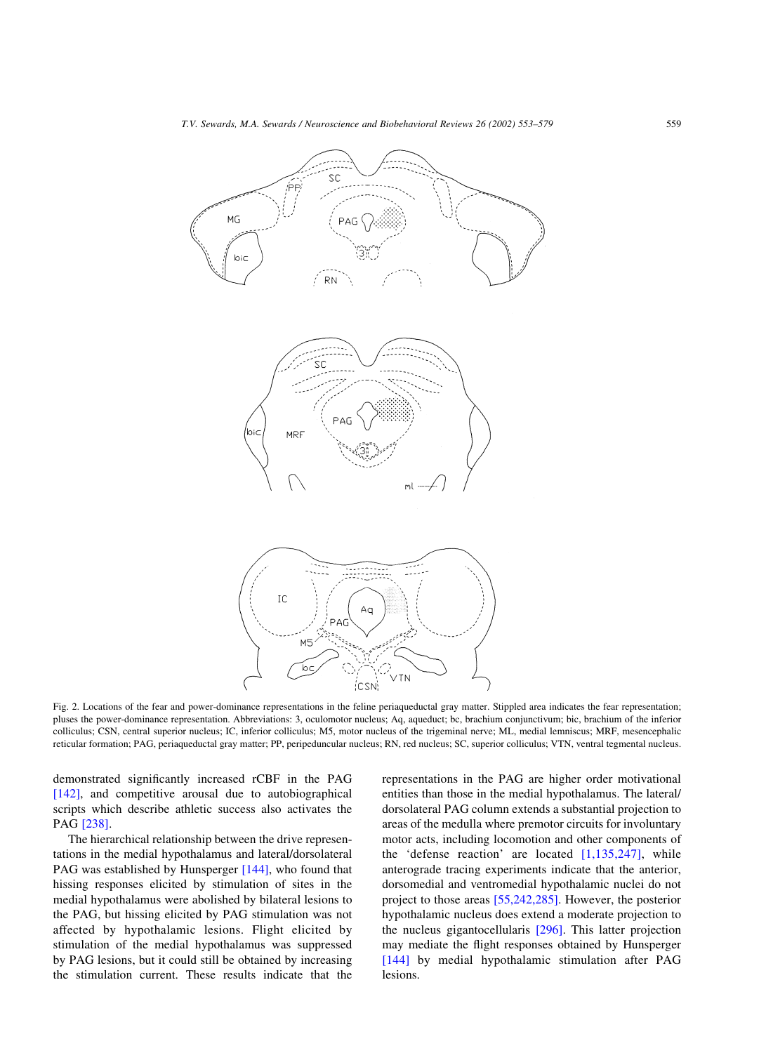<span id="page-6-0"></span>

Fig. 2. Locations of the fear and power-dominance representations in the feline periaqueductal gray matter. Stippled area indicates the fear representation; pluses the power-dominance representation. Abbreviations: 3, oculomotor nucleus; Aq, aqueduct; bc, brachium conjunctivum; bic, brachium of the inferior colliculus; CSN, central superior nucleus; IC, inferior colliculus; M5, motor nucleus of the trigeminal nerve; ML, medial lemniscus; MRF, mesencephalic reticular formation; PAG, periaqueductal gray matter; PP, peripeduncular nucleus; RN, red nucleus; SC, superior colliculus; VTN, ventral tegmental nucleus.

demonstrated significantly increased rCBF in the PAG [\[142\]](#page-23-0), and competitive arousal due to autobiographical scripts which describe athletic success also activates the PAG [\[238\]](#page-25-0).

The hierarchical relationship between the drive representations in the medial hypothalamus and lateral/dorsolateral PAG was established by Hunsperger [\[144\],](#page-23-0) who found that hissing responses elicited by stimulation of sites in the medial hypothalamus were abolished by bilateral lesions to the PAG, but hissing elicited by PAG stimulation was not affected by hypothalamic lesions. Flight elicited by stimulation of the medial hypothalamus was suppressed by PAG lesions, but it could still be obtained by increasing the stimulation current. These results indicate that the

representations in the PAG are higher order motivational entities than those in the medial hypothalamus. The lateral/ dorsolateral PAG column extends a substantial projection to areas of the medulla where premotor circuits for involuntary motor acts, including locomotion and other components of the 'defense reaction' are located  $[1,135,247]$ , while anterograde tracing experiments indicate that the anterior, dorsomedial and ventromedial hypothalamic nuclei do not project to those areas [\[55,242,285\]](#page-21-0). However, the posterior hypothalamic nucleus does extend a moderate projection to the nucleus gigantocellularis [\[296\].](#page-26-0) This latter projection may mediate the flight responses obtained by Hunsperger [\[144\]](#page-23-0) by medial hypothalamic stimulation after PAG lesions.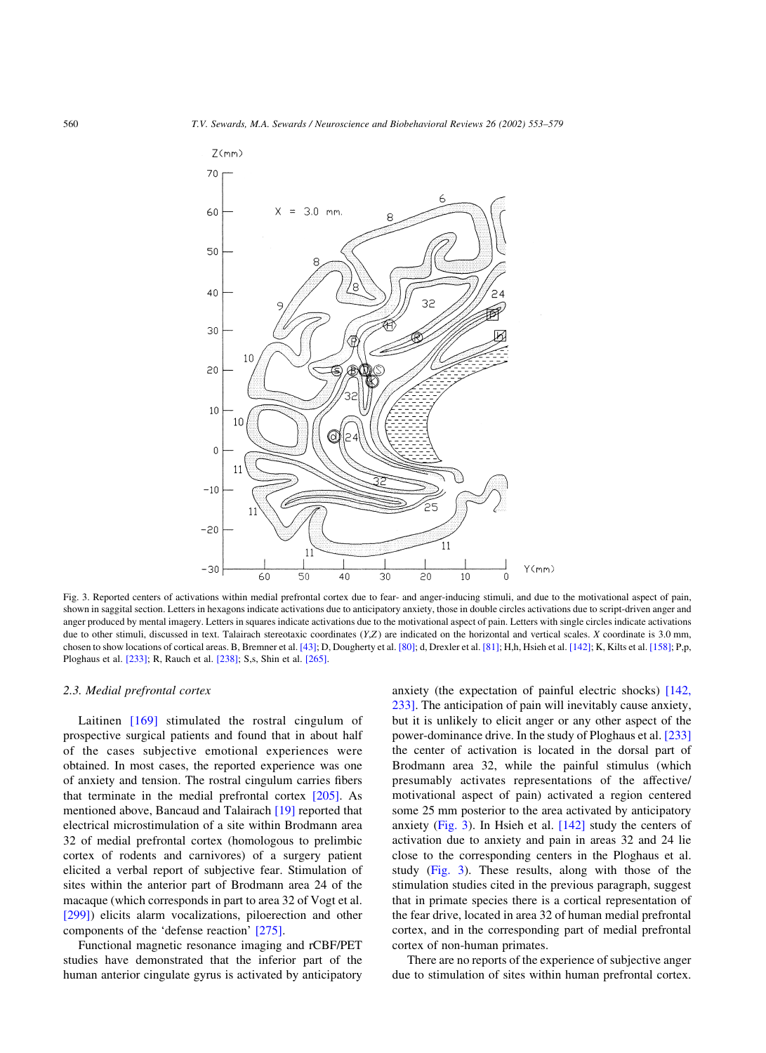<span id="page-7-0"></span>

Fig. 3. Reported centers of activations within medial prefrontal cortex due to fear- and anger-inducing stimuli, and due to the motivational aspect of pain, shown in saggital section. Letters in hexagons indicate activations due to anticipatory anxiety, those in double circles activations due to script-driven anger and anger produced by mental imagery. Letters in squares indicate activations due to the motivational aspect of pain. Letters with single circles indicate activations due to other stimuli, discussed in text. Talairach stereotaxic coordinates (Y,Z) are indicated on the horizontal and vertical scales. X coordinate is 3.0 mm, chosen to show locations of cortical areas. B, Bremner et al. [\[43\]](#page-20-0); D, Dougherty et al. [\[80\];](#page-21-0) d, Drexler et al. [\[81\]](#page-21-0); H,h, Hsieh et al. [\[142\]](#page-23-0); K, Kilts et al. [\[158\];](#page-23-0) P,p, Ploghaus et al. [\[233\];](#page-25-0) R, Rauch et al. [\[238\]](#page-25-0); S,s, Shin et al. [\[265\]](#page-25-0).

## 2.3. Medial prefrontal cortex

Laitinen [\[169\]](#page-23-0) stimulated the rostral cingulum of prospective surgical patients and found that in about half of the cases subjective emotional experiences were obtained. In most cases, the reported experience was one of anxiety and tension. The rostral cingulum carries fibers that terminate in the medial prefrontal cortex [\[205\]](#page-24-0). As mentioned above, Bancaud and Talairach [\[19\]](#page-20-0) reported that electrical microstimulation of a site within Brodmann area 32 of medial prefrontal cortex (homologous to prelimbic cortex of rodents and carnivores) of a surgery patient elicited a verbal report of subjective fear. Stimulation of sites within the anterior part of Brodmann area 24 of the macaque (which corresponds in part to area 32 of Vogt et al. [\[299\]](#page-26-0)) elicits alarm vocalizations, piloerection and other components of the 'defense reaction' [\[275\].](#page-25-0)

Functional magnetic resonance imaging and rCBF/PET studies have demonstrated that the inferior part of the human anterior cingulate gyrus is activated by anticipatory

anxiety (the expectation of painful electric shocks) [\[142,](#page-23-0) [233\].](#page-23-0) The anticipation of pain will inevitably cause anxiety, but it is unlikely to elicit anger or any other aspect of the power-dominance drive. In the study of Ploghaus et al. [\[233\]](#page-25-0) the center of activation is located in the dorsal part of Brodmann area 32, while the painful stimulus (which presumably activates representations of the affective/ motivational aspect of pain) activated a region centered some 25 mm posterior to the area activated by anticipatory anxiety (Fig. 3). In Hsieh et al. [\[142\]](#page-23-0) study the centers of activation due to anxiety and pain in areas 32 and 24 lie close to the corresponding centers in the Ploghaus et al. study (Fig. 3). These results, along with those of the stimulation studies cited in the previous paragraph, suggest that in primate species there is a cortical representation of the fear drive, located in area 32 of human medial prefrontal cortex, and in the corresponding part of medial prefrontal cortex of non-human primates.

There are no reports of the experience of subjective anger due to stimulation of sites within human prefrontal cortex.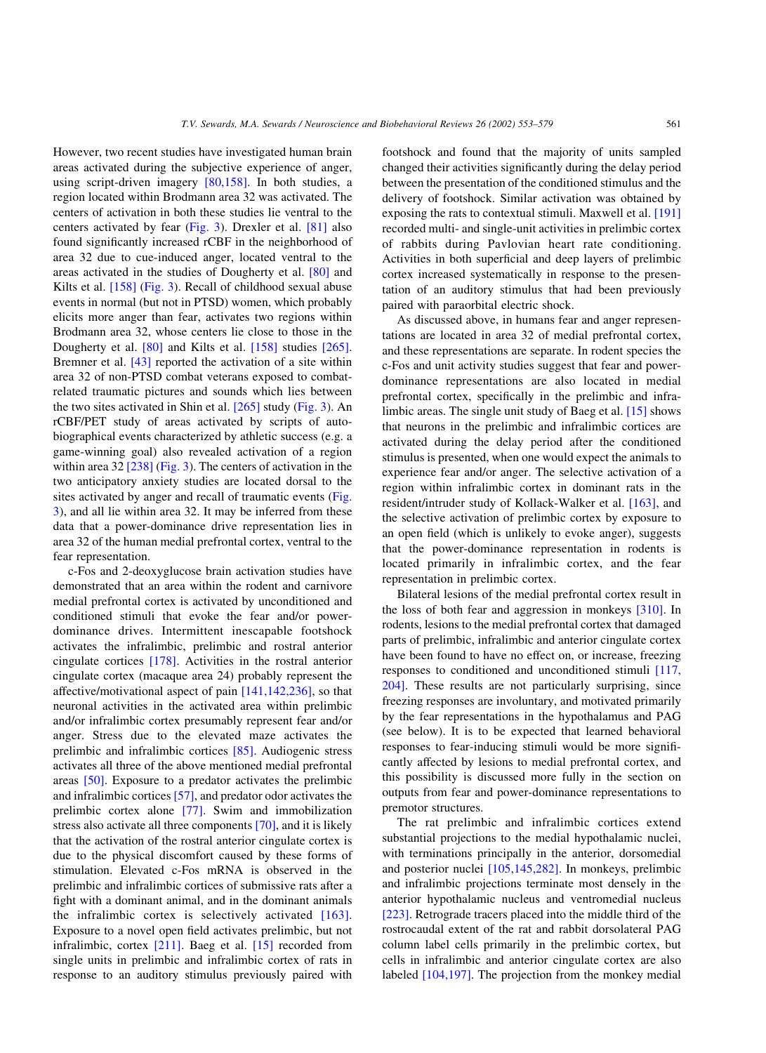However, two recent studies have investigated human brain areas activated during the subjective experience of anger, using script-driven imagery [\[80,158\].](#page-21-0) In both studies, a region located within Brodmann area 32 was activated. The centers of activation in both these studies lie ventral to the centers activated by fear [\(Fig. 3](#page-7-0)). Drexler et al. [\[81\]](#page-21-0) also found significantly increased rCBF in the neighborhood of area 32 due to cue-induced anger, located ventral to the areas activated in the studies of Dougherty et al. [\[80\]](#page-21-0) and Kilts et al. [\[158\]](#page-23-0) [\(Fig. 3](#page-7-0)). Recall of childhood sexual abuse events in normal (but not in PTSD) women, which probably elicits more anger than fear, activates two regions within Brodmann area 32, whose centers lie close to those in the Dougherty et al. [\[80\]](#page-21-0) and Kilts et al. [\[158\]](#page-23-0) studies [\[265\]](#page-25-0). Bremner et al. [\[43\]](#page-20-0) reported the activation of a site within area 32 of non-PTSD combat veterans exposed to combatrelated traumatic pictures and sounds which lies between the two sites activated in Shin et al.  $[265]$  study ([Fig. 3](#page-7-0)). An rCBF/PET study of areas activated by scripts of autobiographical events characterized by athletic success (e.g. a game-winning goal) also revealed activation of a region within area 32 [\[238\]](#page-25-0) [\(Fig. 3](#page-7-0)). The centers of activation in the two anticipatory anxiety studies are located dorsal to the sites activated by anger and recall of traumatic events ([Fig.](#page-7-0) [3\)](#page-7-0), and all lie within area 32. It may be inferred from these data that a power-dominance drive representation lies in area 32 of the human medial prefrontal cortex, ventral to the fear representation.

c-Fos and 2-deoxyglucose brain activation studies have demonstrated that an area within the rodent and carnivore medial prefrontal cortex is activated by unconditioned and conditioned stimuli that evoke the fear and/or powerdominance drives. Intermittent inescapable footshock activates the infralimbic, prelimbic and rostral anterior cingulate cortices [\[178\]](#page-23-0). Activities in the rostral anterior cingulate cortex (macaque area 24) probably represent the affective/motivational aspect of pain [\[141,142,236\]](#page-23-0), so that neuronal activities in the activated area within prelimbic and/or infralimbic cortex presumably represent fear and/or anger. Stress due to the elevated maze activates the prelimbic and infralimbic cortices [\[85\].](#page-21-0) Audiogenic stress activates all three of the above mentioned medial prefrontal areas [\[50\].](#page-20-0) Exposure to a predator activates the prelimbic and infralimbic cortices [\[57\]](#page-21-0), and predator odor activates the prelimbic cortex alone [\[77\]](#page-21-0). Swim and immobilization stress also activate all three components [\[70\],](#page-21-0) and it is likely that the activation of the rostral anterior cingulate cortex is due to the physical discomfort caused by these forms of stimulation. Elevated c-Fos mRNA is observed in the prelimbic and infralimbic cortices of submissive rats after a fight with a dominant animal, and in the dominant animals the infralimbic cortex is selectively activated [\[163\]](#page-23-0). Exposure to a novel open field activates prelimbic, but not infralimbic, cortex [\[211\].](#page-24-0) Baeg et al. [\[15\]](#page-20-0) recorded from single units in prelimbic and infralimbic cortex of rats in response to an auditory stimulus previously paired with

footshock and found that the majority of units sampled changed their activities significantly during the delay period between the presentation of the conditioned stimulus and the delivery of footshock. Similar activation was obtained by exposing the rats to contextual stimuli. Maxwell et al. [\[191\]](#page-24-0) recorded multi- and single-unit activities in prelimbic cortex of rabbits during Pavlovian heart rate conditioning. Activities in both superficial and deep layers of prelimbic cortex increased systematically in response to the presentation of an auditory stimulus that had been previously paired with paraorbital electric shock.

As discussed above, in humans fear and anger representations are located in area 32 of medial prefrontal cortex, and these representations are separate. In rodent species the c-Fos and unit activity studies suggest that fear and powerdominance representations are also located in medial prefrontal cortex, specifically in the prelimbic and infralimbic areas. The single unit study of Baeg et al. [\[15\]](#page-20-0) shows that neurons in the prelimbic and infralimbic cortices are activated during the delay period after the conditioned stimulus is presented, when one would expect the animals to experience fear and/or anger. The selective activation of a region within infralimbic cortex in dominant rats in the resident/intruder study of Kollack-Walker et al. [\[163\]](#page-23-0), and the selective activation of prelimbic cortex by exposure to an open field (which is unlikely to evoke anger), suggests that the power-dominance representation in rodents is located primarily in infralimbic cortex, and the fear representation in prelimbic cortex.

Bilateral lesions of the medial prefrontal cortex result in the loss of both fear and aggression in monkeys [\[310\]](#page-26-0). In rodents, lesions to the medial prefrontal cortex that damaged parts of prelimbic, infralimbic and anterior cingulate cortex have been found to have no effect on, or increase, freezing responses to conditioned and unconditioned stimuli [\[117,](#page-22-0) [204\].](#page-22-0) These results are not particularly surprising, since freezing responses are involuntary, and motivated primarily by the fear representations in the hypothalamus and PAG (see below). It is to be expected that learned behavioral responses to fear-inducing stimuli would be more significantly affected by lesions to medial prefrontal cortex, and this possibility is discussed more fully in the section on outputs from fear and power-dominance representations to premotor structures.

The rat prelimbic and infralimbic cortices extend substantial projections to the medial hypothalamic nuclei, with terminations principally in the anterior, dorsomedial and posterior nuclei [\[105,145,282\].](#page-22-0) In monkeys, prelimbic and infralimbic projections terminate most densely in the anterior hypothalamic nucleus and ventromedial nucleus [\[223\]](#page-24-0). Retrograde tracers placed into the middle third of the rostrocaudal extent of the rat and rabbit dorsolateral PAG column label cells primarily in the prelimbic cortex, but cells in infralimbic and anterior cingulate cortex are also labeled [\[104,197\].](#page-22-0) The projection from the monkey medial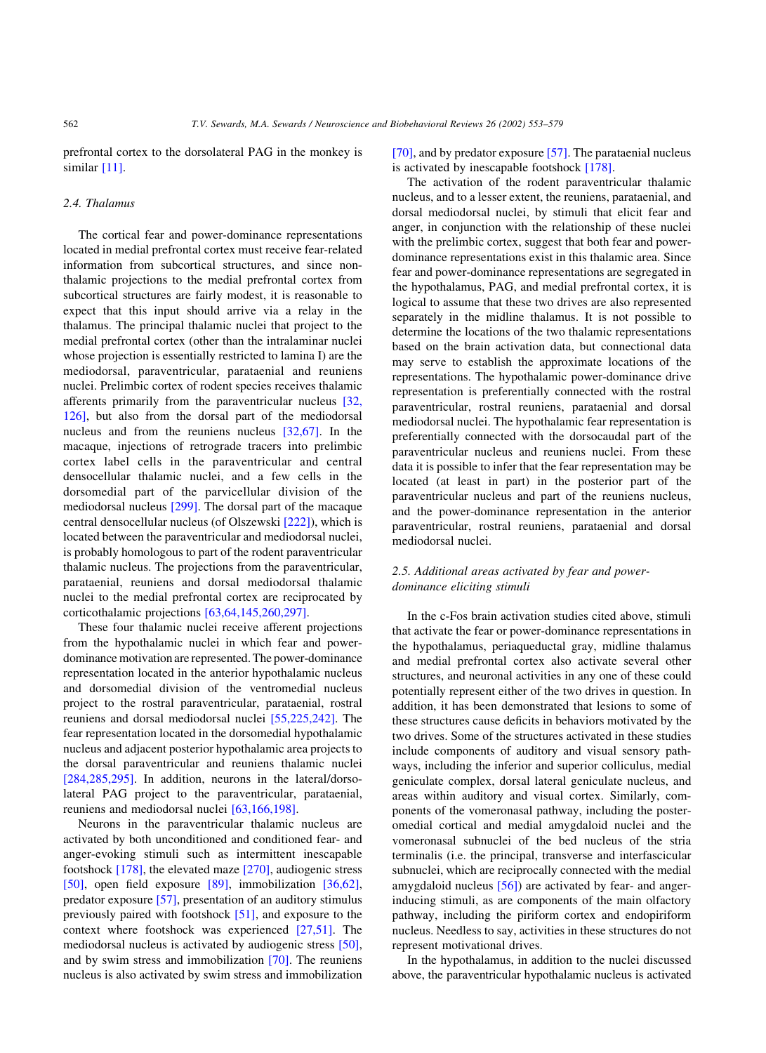prefrontal cortex to the dorsolateral PAG in the monkey is similar  $[11]$ .

## 2.4. Thalamus

The cortical fear and power-dominance representations located in medial prefrontal cortex must receive fear-related information from subcortical structures, and since nonthalamic projections to the medial prefrontal cortex from subcortical structures are fairly modest, it is reasonable to expect that this input should arrive via a relay in the thalamus. The principal thalamic nuclei that project to the medial prefrontal cortex (other than the intralaminar nuclei whose projection is essentially restricted to lamina I) are the mediodorsal, paraventricular, parataenial and reuniens nuclei. Prelimbic cortex of rodent species receives thalamic afferents primarily from the paraventricular nucleus [\[32,](#page-20-0) [126\],](#page-20-0) but also from the dorsal part of the mediodorsal nucleus and from the reuniens nucleus [\[32,67\]](#page-20-0). In the macaque, injections of retrograde tracers into prelimbic cortex label cells in the paraventricular and central densocellular thalamic nuclei, and a few cells in the dorsomedial part of the parvicellular division of the mediodorsal nucleus [\[299\]](#page-26-0). The dorsal part of the macaque central densocellular nucleus (of Olszewski [\[222\]](#page-24-0)), which is located between the paraventricular and mediodorsal nuclei, is probably homologous to part of the rodent paraventricular thalamic nucleus. The projections from the paraventricular, parataenial, reuniens and dorsal mediodorsal thalamic nuclei to the medial prefrontal cortex are reciprocated by corticothalamic projections [\[63,64,145,260,297\]](#page-21-0).

These four thalamic nuclei receive afferent projections from the hypothalamic nuclei in which fear and powerdominance motivation are represented. The power-dominance representation located in the anterior hypothalamic nucleus and dorsomedial division of the ventromedial nucleus project to the rostral paraventricular, parataenial, rostral reuniens and dorsal mediodorsal nuclei [\[55,225,242\].](#page-21-0) The fear representation located in the dorsomedial hypothalamic nucleus and adjacent posterior hypothalamic area projects to the dorsal paraventricular and reuniens thalamic nuclei [\[284,285,295\]](#page-26-0). In addition, neurons in the lateral/dorsolateral PAG project to the paraventricular, parataenial, reuniens and mediodorsal nuclei [\[63,166,198\].](#page-21-0)

Neurons in the paraventricular thalamic nucleus are activated by both unconditioned and conditioned fear- and anger-evoking stimuli such as intermittent inescapable footshock [\[178\]](#page-23-0), the elevated maze [\[270\],](#page-25-0) audiogenic stress [\[50\]](#page-20-0), open field exposure [\[89\],](#page-21-0) immobilization [\[36,62\]](#page-20-0), predator exposure [\[57\]](#page-21-0), presentation of an auditory stimulus previously paired with footshock [\[51\]](#page-20-0), and exposure to the context where footshock was experienced [\[27,51\].](#page-20-0) The mediodorsal nucleus is activated by audiogenic stress [\[50\]](#page-20-0), and by swim stress and immobilization [\[70\]](#page-21-0). The reuniens nucleus is also activated by swim stress and immobilization

[\[70\]](#page-21-0), and by predator exposure [\[57\].](#page-21-0) The parataenial nucleus is activated by inescapable footshock [\[178\]](#page-23-0).

The activation of the rodent paraventricular thalamic nucleus, and to a lesser extent, the reuniens, parataenial, and dorsal mediodorsal nuclei, by stimuli that elicit fear and anger, in conjunction with the relationship of these nuclei with the prelimbic cortex, suggest that both fear and powerdominance representations exist in this thalamic area. Since fear and power-dominance representations are segregated in the hypothalamus, PAG, and medial prefrontal cortex, it is logical to assume that these two drives are also represented separately in the midline thalamus. It is not possible to determine the locations of the two thalamic representations based on the brain activation data, but connectional data may serve to establish the approximate locations of the representations. The hypothalamic power-dominance drive representation is preferentially connected with the rostral paraventricular, rostral reuniens, parataenial and dorsal mediodorsal nuclei. The hypothalamic fear representation is preferentially connected with the dorsocaudal part of the paraventricular nucleus and reuniens nuclei. From these data it is possible to infer that the fear representation may be located (at least in part) in the posterior part of the paraventricular nucleus and part of the reuniens nucleus, and the power-dominance representation in the anterior paraventricular, rostral reuniens, parataenial and dorsal mediodorsal nuclei.

# 2.5. Additional areas activated by fear and powerdominance eliciting stimuli

In the c-Fos brain activation studies cited above, stimuli that activate the fear or power-dominance representations in the hypothalamus, periaqueductal gray, midline thalamus and medial prefrontal cortex also activate several other structures, and neuronal activities in any one of these could potentially represent either of the two drives in question. In addition, it has been demonstrated that lesions to some of these structures cause deficits in behaviors motivated by the two drives. Some of the structures activated in these studies include components of auditory and visual sensory pathways, including the inferior and superior colliculus, medial geniculate complex, dorsal lateral geniculate nucleus, and areas within auditory and visual cortex. Similarly, components of the vomeronasal pathway, including the posteromedial cortical and medial amygdaloid nuclei and the vomeronasal subnuclei of the bed nucleus of the stria terminalis (i.e. the principal, transverse and interfascicular subnuclei, which are reciprocally connected with the medial amygdaloid nucleus [\[56\]](#page-21-0)) are activated by fear- and angerinducing stimuli, as are components of the main olfactory pathway, including the piriform cortex and endopiriform nucleus. Needless to say, activities in these structures do not represent motivational drives.

In the hypothalamus, in addition to the nuclei discussed above, the paraventricular hypothalamic nucleus is activated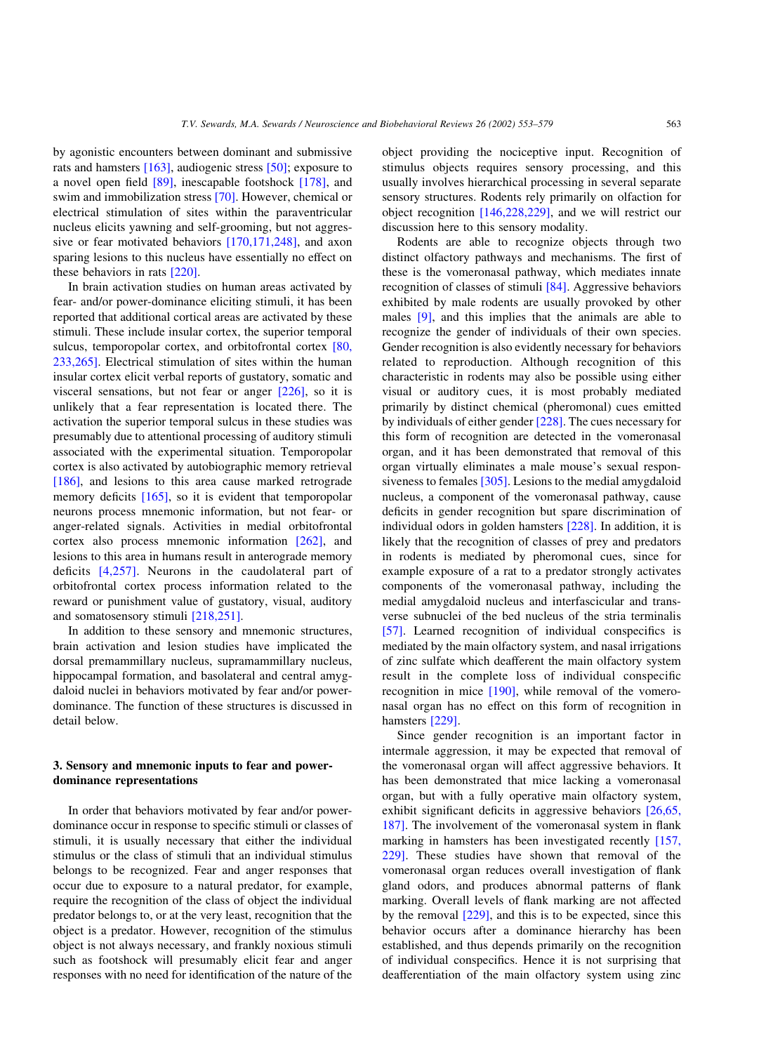by agonistic encounters between dominant and submissive rats and hamsters [\[163\],](#page-23-0) audiogenic stress [\[50\];](#page-20-0) exposure to a novel open field [\[89\],](#page-21-0) inescapable footshock [\[178\],](#page-23-0) and swim and immobilization stress [\[70\]](#page-21-0). However, chemical or electrical stimulation of sites within the paraventricular nucleus elicits yawning and self-grooming, but not aggres-sive or fear motivated behaviors [\[170,171,248\]](#page-23-0), and axon sparing lesions to this nucleus have essentially no effect on these behaviors in rats [\[220\].](#page-24-0)

In brain activation studies on human areas activated by fear- and/or power-dominance eliciting stimuli, it has been reported that additional cortical areas are activated by these stimuli. These include insular cortex, the superior temporal sulcus, temporopolar cortex, and orbitofrontal cortex [\[80,](#page-21-0) [233,265\]](#page-21-0). Electrical stimulation of sites within the human insular cortex elicit verbal reports of gustatory, somatic and visceral sensations, but not fear or anger [\[226\],](#page-24-0) so it is unlikely that a fear representation is located there. The activation the superior temporal sulcus in these studies was presumably due to attentional processing of auditory stimuli associated with the experimental situation. Temporopolar cortex is also activated by autobiographic memory retrieval [\[186\]](#page-24-0), and lesions to this area cause marked retrograde memory deficits [\[165\],](#page-23-0) so it is evident that temporopolar neurons process mnemonic information, but not fear- or anger-related signals. Activities in medial orbitofrontal cortex also process mnemonic information [\[262\]](#page-25-0), and lesions to this area in humans result in anterograde memory deficits [\[4,257\]](#page-19-0). Neurons in the caudolateral part of orbitofrontal cortex process information related to the reward or punishment value of gustatory, visual, auditory and somatosensory stimuli [\[218,251\]](#page-24-0).

In addition to these sensory and mnemonic structures, brain activation and lesion studies have implicated the dorsal premammillary nucleus, supramammillary nucleus, hippocampal formation, and basolateral and central amygdaloid nuclei in behaviors motivated by fear and/or powerdominance. The function of these structures is discussed in detail below.

# 3. Sensory and mnemonic inputs to fear and powerdominance representations

In order that behaviors motivated by fear and/or powerdominance occur in response to specific stimuli or classes of stimuli, it is usually necessary that either the individual stimulus or the class of stimuli that an individual stimulus belongs to be recognized. Fear and anger responses that occur due to exposure to a natural predator, for example, require the recognition of the class of object the individual predator belongs to, or at the very least, recognition that the object is a predator. However, recognition of the stimulus object is not always necessary, and frankly noxious stimuli such as footshock will presumably elicit fear and anger responses with no need for identification of the nature of the

object providing the nociceptive input. Recognition of stimulus objects requires sensory processing, and this usually involves hierarchical processing in several separate sensory structures. Rodents rely primarily on olfaction for object recognition [\[146,228,229\],](#page-23-0) and we will restrict our discussion here to this sensory modality.

Rodents are able to recognize objects through two distinct olfactory pathways and mechanisms. The first of these is the vomeronasal pathway, which mediates innate recognition of classes of stimuli [\[84\]](#page-21-0). Aggressive behaviors exhibited by male rodents are usually provoked by other males [\[9\]](#page-19-0), and this implies that the animals are able to recognize the gender of individuals of their own species. Gender recognition is also evidently necessary for behaviors related to reproduction. Although recognition of this characteristic in rodents may also be possible using either visual or auditory cues, it is most probably mediated primarily by distinct chemical (pheromonal) cues emitted by individuals of either gender [\[228\]](#page-24-0). The cues necessary for this form of recognition are detected in the vomeronasal organ, and it has been demonstrated that removal of this organ virtually eliminates a male mouse's sexual respon-siveness to females [\[305\].](#page-26-0) Lesions to the medial amygdaloid nucleus, a component of the vomeronasal pathway, cause deficits in gender recognition but spare discrimination of individual odors in golden hamsters [\[228\].](#page-24-0) In addition, it is likely that the recognition of classes of prey and predators in rodents is mediated by pheromonal cues, since for example exposure of a rat to a predator strongly activates components of the vomeronasal pathway, including the medial amygdaloid nucleus and interfascicular and transverse subnuclei of the bed nucleus of the stria terminalis [\[57\]](#page-21-0). Learned recognition of individual conspecifics is mediated by the main olfactory system, and nasal irrigations of zinc sulfate which deafferent the main olfactory system result in the complete loss of individual conspecific recognition in mice [\[190\]](#page-24-0), while removal of the vomeronasal organ has no effect on this form of recognition in hamsters [\[229\].](#page-24-0)

Since gender recognition is an important factor in intermale aggression, it may be expected that removal of the vomeronasal organ will affect aggressive behaviors. It has been demonstrated that mice lacking a vomeronasal organ, but with a fully operative main olfactory system, exhibit significant deficits in aggressive behaviors [\[26,65,](#page-20-0) [187\].](#page-20-0) The involvement of the vomeronasal system in flank marking in hamsters has been investigated recently [\[157,](#page-23-0) [229\]](#page-23-0). These studies have shown that removal of the vomeronasal organ reduces overall investigation of flank gland odors, and produces abnormal patterns of flank marking. Overall levels of flank marking are not affected by the removal [\[229\],](#page-24-0) and this is to be expected, since this behavior occurs after a dominance hierarchy has been established, and thus depends primarily on the recognition of individual conspecifics. Hence it is not surprising that deafferentiation of the main olfactory system using zinc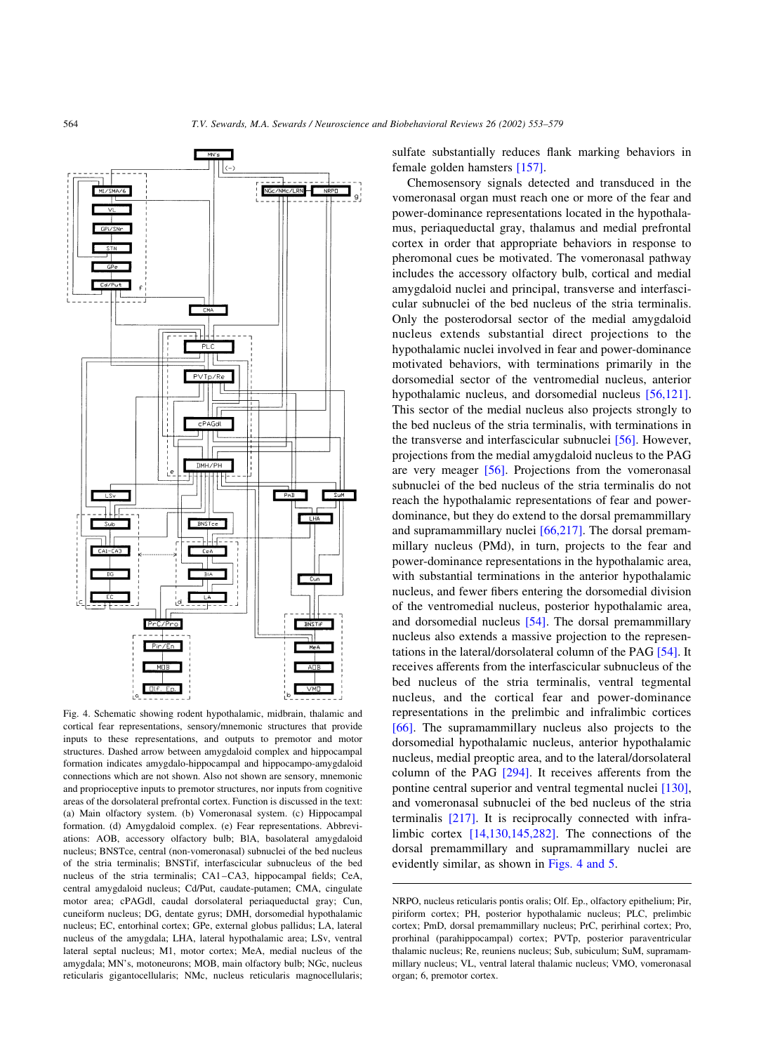<span id="page-11-0"></span>

Fig. 4. Schematic showing rodent hypothalamic, midbrain, thalamic and cortical fear representations, sensory/mnemonic structures that provide inputs to these representations, and outputs to premotor and motor structures. Dashed arrow between amygdaloid complex and hippocampal formation indicates amygdalo-hippocampal and hippocampo-amygdaloid connections which are not shown. Also not shown are sensory, mnemonic and proprioceptive inputs to premotor structures, nor inputs from cognitive areas of the dorsolateral prefrontal cortex. Function is discussed in the text: (a) Main olfactory system. (b) Vomeronasal system. (c) Hippocampal formation. (d) Amygdaloid complex. (e) Fear representations. Abbreviations: AOB, accessory olfactory bulb; BlA, basolateral amygdaloid nucleus; BNSTce, central (non-vomeronasal) subnuclei of the bed nucleus of the stria terminalis; BNSTif, interfascicular subnucleus of the bed nucleus of the stria terminalis; CA1–CA3, hippocampal fields; CeA, central amygdaloid nucleus; Cd/Put, caudate-putamen; CMA, cingulate motor area; cPAGdl, caudal dorsolateral periaqueductal gray; Cun, cuneiform nucleus; DG, dentate gyrus; DMH, dorsomedial hypothalamic nucleus; EC, entorhinal cortex; GPe, external globus pallidus; LA, lateral nucleus of the amygdala; LHA, lateral hypothalamic area; LSv, ventral lateral septal nucleus; M1, motor cortex; MeA, medial nucleus of the amygdala; MN's, motoneurons; MOB, main olfactory bulb; NGc, nucleus reticularis gigantocellularis; NMc, nucleus reticularis magnocellularis;

sulfate substantially reduces flank marking behaviors in female golden hamsters [\[157\]](#page-23-0).

Chemosensory signals detected and transduced in the vomeronasal organ must reach one or more of the fear and power-dominance representations located in the hypothalamus, periaqueductal gray, thalamus and medial prefrontal cortex in order that appropriate behaviors in response to pheromonal cues be motivated. The vomeronasal pathway includes the accessory olfactory bulb, cortical and medial amygdaloid nuclei and principal, transverse and interfascicular subnuclei of the bed nucleus of the stria terminalis. Only the posterodorsal sector of the medial amygdaloid nucleus extends substantial direct projections to the hypothalamic nuclei involved in fear and power-dominance motivated behaviors, with terminations primarily in the dorsomedial sector of the ventromedial nucleus, anterior hypothalamic nucleus, and dorsomedial nucleus [\[56,121\]](#page-21-0). This sector of the medial nucleus also projects strongly to the bed nucleus of the stria terminalis, with terminations in the transverse and interfascicular subnuclei [\[56\]](#page-21-0). However, projections from the medial amygdaloid nucleus to the PAG are very meager [\[56\].](#page-21-0) Projections from the vomeronasal subnuclei of the bed nucleus of the stria terminalis do not reach the hypothalamic representations of fear and powerdominance, but they do extend to the dorsal premammillary and supramammillary nuclei [\[66,217\].](#page-21-0) The dorsal premammillary nucleus (PMd), in turn, projects to the fear and power-dominance representations in the hypothalamic area, with substantial terminations in the anterior hypothalamic nucleus, and fewer fibers entering the dorsomedial division of the ventromedial nucleus, posterior hypothalamic area, and dorsomedial nucleus [\[54\].](#page-20-0) The dorsal premammillary nucleus also extends a massive projection to the representations in the lateral/dorsolateral column of the PAG [\[54\].](#page-20-0) It receives afferents from the interfascicular subnucleus of the bed nucleus of the stria terminalis, ventral tegmental nucleus, and the cortical fear and power-dominance representations in the prelimbic and infralimbic cortices [\[66\]](#page-21-0). The supramammillary nucleus also projects to the dorsomedial hypothalamic nucleus, anterior hypothalamic nucleus, medial preoptic area, and to the lateral/dorsolateral column of the PAG [\[294\]](#page-26-0). It receives afferents from the pontine central superior and ventral tegmental nuclei [\[130\]](#page-22-0), and vomeronasal subnuclei of the bed nucleus of the stria terminalis [\[217\]](#page-24-0). It is reciprocally connected with infralimbic cortex [\[14,130,145,282\]](#page-20-0). The connections of the dorsal premammillary and supramammillary nuclei are evidently similar, as shown in Figs. 4 and 5.

NRPO, nucleus reticularis pontis oralis; Olf. Ep., olfactory epithelium; Pir, piriform cortex; PH, posterior hypothalamic nucleus; PLC, prelimbic cortex; PmD, dorsal premammillary nucleus; PrC, perirhinal cortex; Pro, prorhinal (parahippocampal) cortex; PVTp, posterior paraventricular thalamic nucleus; Re, reuniens nucleus; Sub, subiculum; SuM, supramammillary nucleus; VL, ventral lateral thalamic nucleus; VMO, vomeronasal organ; 6, premotor cortex.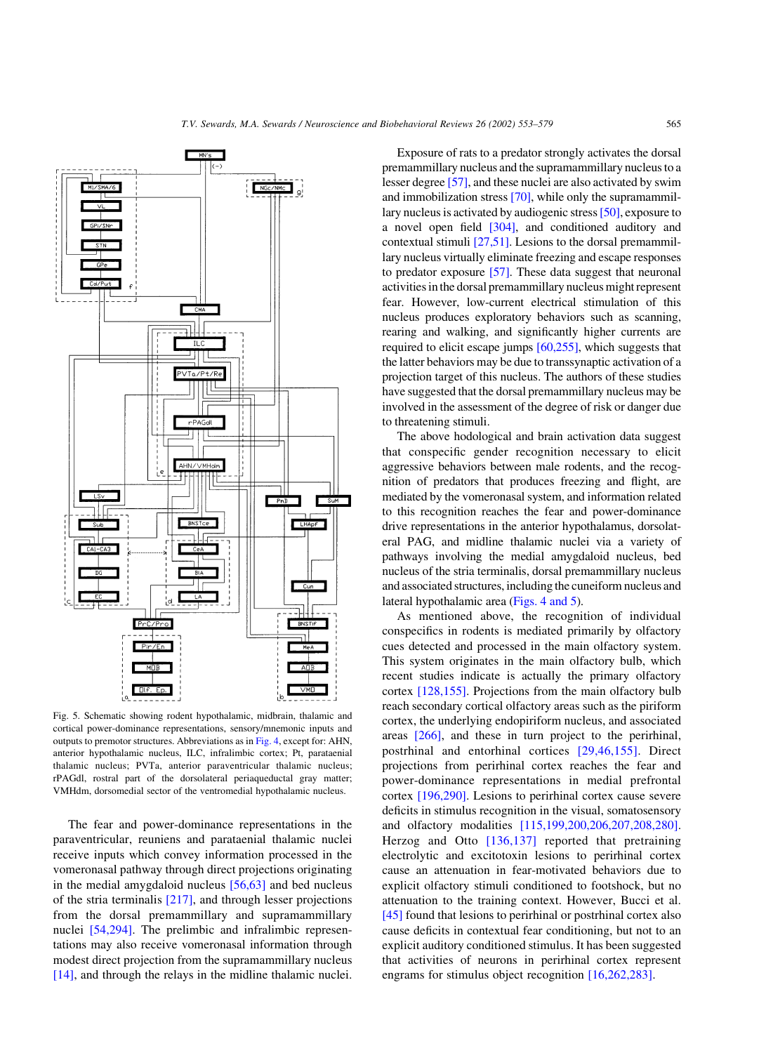

Fig. 5. Schematic showing rodent hypothalamic, midbrain, thalamic and cortical power-dominance representations, sensory/mnemonic inputs and outputs to premotor structures. Abbreviations as in [Fig. 4,](#page-11-0) except for: AHN, anterior hypothalamic nucleus, ILC, infralimbic cortex; Pt, parataenial thalamic nucleus; PVTa, anterior paraventricular thalamic nucleus; rPAGdl, rostral part of the dorsolateral periaqueductal gray matter; VMHdm, dorsomedial sector of the ventromedial hypothalamic nucleus.

The fear and power-dominance representations in the paraventricular, reuniens and parataenial thalamic nuclei receive inputs which convey information processed in the vomeronasal pathway through direct projections originating in the medial amygdaloid nucleus [\[56,63\]](#page-21-0) and bed nucleus of the stria terminalis [\[217\]](#page-24-0), and through lesser projections from the dorsal premammillary and supramammillary nuclei [\[54,294\].](#page-20-0) The prelimbic and infralimbic representations may also receive vomeronasal information through modest direct projection from the supramammillary nucleus [\[14\]](#page-20-0), and through the relays in the midline thalamic nuclei.

Exposure of rats to a predator strongly activates the dorsal premammillary nucleus and the supramammillary nucleus to a lesser degree [\[57\]](#page-21-0), and these nuclei are also activated by swim and immobilization stress [\[70\]](#page-21-0), while only the supramammil-lary nucleus is activated by audiogenic stress [\[50\],](#page-20-0) exposure to a novel open field [\[304\]](#page-26-0), and conditioned auditory and contextual stimuli [\[27,51\].](#page-20-0) Lesions to the dorsal premammillary nucleus virtually eliminate freezing and escape responses to predator exposure [\[57\]](#page-21-0). These data suggest that neuronal activities in the dorsal premammillary nucleus might represent fear. However, low-current electrical stimulation of this nucleus produces exploratory behaviors such as scanning, rearing and walking, and significantly higher currents are required to elicit escape jumps [\[60,255\]](#page-21-0), which suggests that the latter behaviors may be due to transsynaptic activation of a projection target of this nucleus. The authors of these studies have suggested that the dorsal premammillary nucleus may be involved in the assessment of the degree of risk or danger due to threatening stimuli.

The above hodological and brain activation data suggest that conspecific gender recognition necessary to elicit aggressive behaviors between male rodents, and the recognition of predators that produces freezing and flight, are mediated by the vomeronasal system, and information related to this recognition reaches the fear and power-dominance drive representations in the anterior hypothalamus, dorsolateral PAG, and midline thalamic nuclei via a variety of pathways involving the medial amygdaloid nucleus, bed nucleus of the stria terminalis, dorsal premammillary nucleus and associated structures, including the cuneiform nucleus and lateral hypothalamic area [\(Figs. 4 and 5](#page-11-0)).

As mentioned above, the recognition of individual conspecifics in rodents is mediated primarily by olfactory cues detected and processed in the main olfactory system. This system originates in the main olfactory bulb, which recent studies indicate is actually the primary olfactory cortex [\[128,155\].](#page-22-0) Projections from the main olfactory bulb reach secondary cortical olfactory areas such as the piriform cortex, the underlying endopiriform nucleus, and associated areas [\[266\],](#page-25-0) and these in turn project to the perirhinal, postrhinal and entorhinal cortices [\[29,46,155\].](#page-20-0) Direct projections from perirhinal cortex reaches the fear and power-dominance representations in medial prefrontal cortex [\[196,290\].](#page-24-0) Lesions to perirhinal cortex cause severe deficits in stimulus recognition in the visual, somatosensory and olfactory modalities [\[115,199,200,206,207,208,280\]](#page-22-0). Herzog and Otto [\[136,137\]](#page-22-0) reported that pretraining electrolytic and excitotoxin lesions to perirhinal cortex cause an attenuation in fear-motivated behaviors due to explicit olfactory stimuli conditioned to footshock, but no attenuation to the training context. However, Bucci et al. [\[45\]](#page-20-0) found that lesions to perirhinal or postrhinal cortex also cause deficits in contextual fear conditioning, but not to an explicit auditory conditioned stimulus. It has been suggested that activities of neurons in perirhinal cortex represent engrams for stimulus object recognition [\[16,262,283\].](#page-20-0)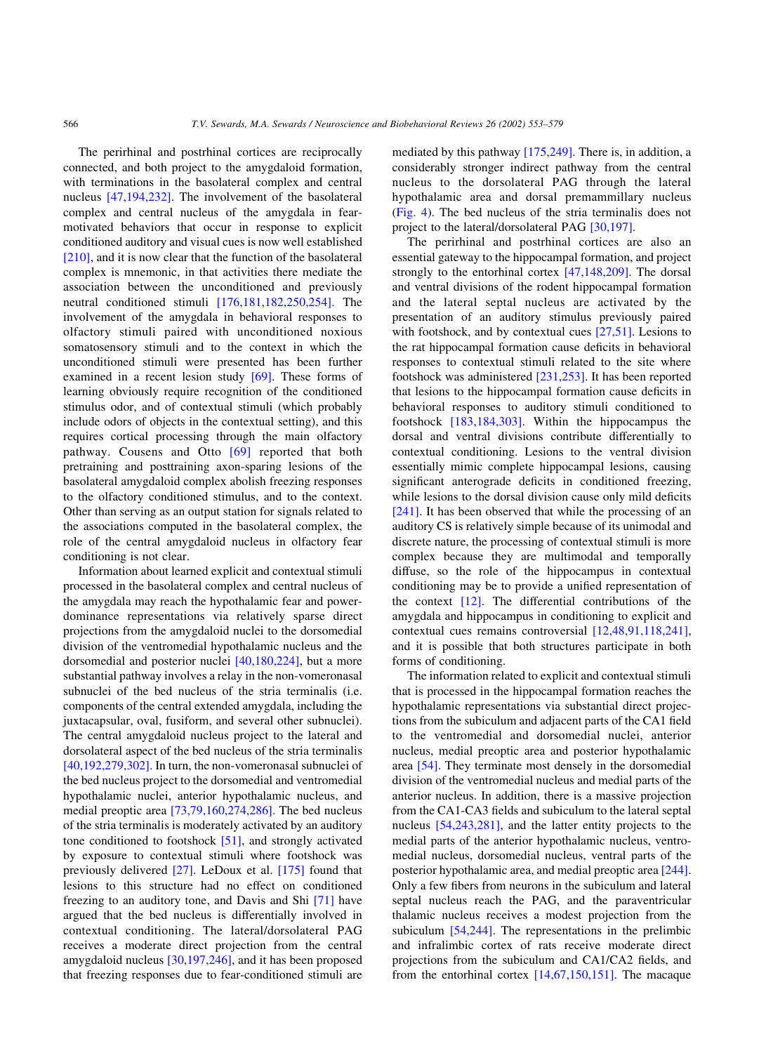The perirhinal and postrhinal cortices are reciprocally connected, and both project to the amygdaloid formation, with terminations in the basolateral complex and central nucleus [\[47,194,232\].](#page-20-0) The involvement of the basolateral complex and central nucleus of the amygdala in fearmotivated behaviors that occur in response to explicit conditioned auditory and visual cues is now well established [\[210\]](#page-24-0), and it is now clear that the function of the basolateral complex is mnemonic, in that activities there mediate the association between the unconditioned and previously neutral conditioned stimuli [\[176,181,182,250,254\]](#page-23-0). The involvement of the amygdala in behavioral responses to olfactory stimuli paired with unconditioned noxious somatosensory stimuli and to the context in which the unconditioned stimuli were presented has been further examined in a recent lesion study [\[69\]](#page-21-0). These forms of learning obviously require recognition of the conditioned stimulus odor, and of contextual stimuli (which probably include odors of objects in the contextual setting), and this requires cortical processing through the main olfactory pathway. Cousens and Otto [\[69\]](#page-21-0) reported that both pretraining and posttraining axon-sparing lesions of the basolateral amygdaloid complex abolish freezing responses to the olfactory conditioned stimulus, and to the context. Other than serving as an output station for signals related to the associations computed in the basolateral complex, the role of the central amygdaloid nucleus in olfactory fear conditioning is not clear.

Information about learned explicit and contextual stimuli processed in the basolateral complex and central nucleus of the amygdala may reach the hypothalamic fear and powerdominance representations via relatively sparse direct projections from the amygdaloid nuclei to the dorsomedial division of the ventromedial hypothalamic nucleus and the dorsomedial and posterior nuclei [\[40,180,224\]](#page-20-0), but a more substantial pathway involves a relay in the non-vomeronasal subnuclei of the bed nucleus of the stria terminalis (i.e. components of the central extended amygdala, including the juxtacapsular, oval, fusiform, and several other subnuclei). The central amygdaloid nucleus project to the lateral and dorsolateral aspect of the bed nucleus of the stria terminalis [\[40,192,279,302\].](#page-20-0) In turn, the non-vomeronasal subnuclei of the bed nucleus project to the dorsomedial and ventromedial hypothalamic nuclei, anterior hypothalamic nucleus, and medial preoptic area [\[73,79,160,274,286\].](#page-21-0) The bed nucleus of the stria terminalis is moderately activated by an auditory tone conditioned to footshock [\[51\]](#page-20-0), and strongly activated by exposure to contextual stimuli where footshock was previously delivered [\[27\]](#page-20-0). LeDoux et al. [\[175\]](#page-23-0) found that lesions to this structure had no effect on conditioned freezing to an auditory tone, and Davis and Shi [\[71\]](#page-21-0) have argued that the bed nucleus is differentially involved in contextual conditioning. The lateral/dorsolateral PAG receives a moderate direct projection from the central amygdaloid nucleus [\[30,197,246\]](#page-20-0), and it has been proposed that freezing responses due to fear-conditioned stimuli are

mediated by this pathway [\[175,249\].](#page-23-0) There is, in addition, a considerably stronger indirect pathway from the central nucleus to the dorsolateral PAG through the lateral hypothalamic area and dorsal premammillary nucleus ([Fig. 4\)](#page-11-0). The bed nucleus of the stria terminalis does not project to the lateral/dorsolateral PAG [\[30,197\].](#page-20-0)

The perirhinal and postrhinal cortices are also an essential gateway to the hippocampal formation, and project strongly to the entorhinal cortex [\[47,148,209\].](#page-20-0) The dorsal and ventral divisions of the rodent hippocampal formation and the lateral septal nucleus are activated by the presentation of an auditory stimulus previously paired with footshock, and by contextual cues [\[27,51\]](#page-20-0). Lesions to the rat hippocampal formation cause deficits in behavioral responses to contextual stimuli related to the site where footshock was administered [\[231,253\].](#page-24-0) It has been reported that lesions to the hippocampal formation cause deficits in behavioral responses to auditory stimuli conditioned to footshock [\[183,184,303\]](#page-23-0). Within the hippocampus the dorsal and ventral divisions contribute differentially to contextual conditioning. Lesions to the ventral division essentially mimic complete hippocampal lesions, causing significant anterograde deficits in conditioned freezing, while lesions to the dorsal division cause only mild deficits [\[241\]](#page-25-0). It has been observed that while the processing of an auditory CS is relatively simple because of its unimodal and discrete nature, the processing of contextual stimuli is more complex because they are multimodal and temporally diffuse, so the role of the hippocampus in contextual conditioning may be to provide a unified representation of the context  $[12]$ . The differential contributions of the amygdala and hippocampus in conditioning to explicit and contextual cues remains controversial [\[12,48,91,118,241\]](#page-20-0), and it is possible that both structures participate in both forms of conditioning.

The information related to explicit and contextual stimuli that is processed in the hippocampal formation reaches the hypothalamic representations via substantial direct projections from the subiculum and adjacent parts of the CA1 field to the ventromedial and dorsomedial nuclei, anterior nucleus, medial preoptic area and posterior hypothalamic area [\[54\]](#page-20-0). They terminate most densely in the dorsomedial division of the ventromedial nucleus and medial parts of the anterior nucleus. In addition, there is a massive projection from the CA1-CA3 fields and subiculum to the lateral septal nucleus [\[54,243,281\],](#page-20-0) and the latter entity projects to the medial parts of the anterior hypothalamic nucleus, ventromedial nucleus, dorsomedial nucleus, ventral parts of the posterior hypothalamic area, and medial preoptic area [\[244\]](#page-25-0). Only a few fibers from neurons in the subiculum and lateral septal nucleus reach the PAG, and the paraventricular thalamic nucleus receives a modest projection from the subiculum [\[54,244\].](#page-20-0) The representations in the prelimbic and infralimbic cortex of rats receive moderate direct projections from the subiculum and CA1/CA2 fields, and from the entorhinal cortex  $[14,67,150,151]$ . The macaque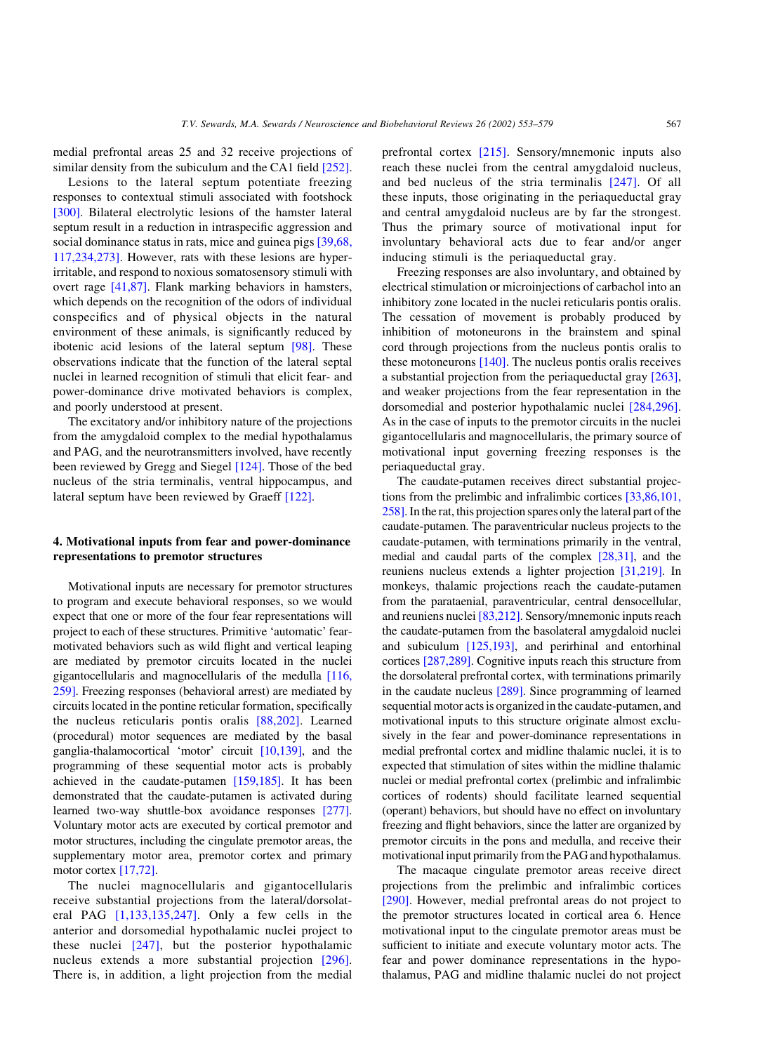medial prefrontal areas 25 and 32 receive projections of similar density from the subiculum and the CA1 field [\[252\]](#page-25-0).

Lesions to the lateral septum potentiate freezing responses to contextual stimuli associated with footshock [\[300\]](#page-26-0). Bilateral electrolytic lesions of the hamster lateral septum result in a reduction in intraspecific aggression and social dominance status in rats, mice and guinea pigs [\[39,68,](#page-20-0)] [117,234,273\].](#page-20-0) However, rats with these lesions are hyperirritable, and respond to noxious somatosensory stimuli with overt rage [\[41,87\].](#page-20-0) Flank marking behaviors in hamsters, which depends on the recognition of the odors of individual conspecifics and of physical objects in the natural environment of these animals, is significantly reduced by ibotenic acid lesions of the lateral septum [\[98\].](#page-22-0) These observations indicate that the function of the lateral septal nuclei in learned recognition of stimuli that elicit fear- and power-dominance drive motivated behaviors is complex, and poorly understood at present.

The excitatory and/or inhibitory nature of the projections from the amygdaloid complex to the medial hypothalamus and PAG, and the neurotransmitters involved, have recently been reviewed by Gregg and Siegel [\[124\]](#page-22-0). Those of the bed nucleus of the stria terminalis, ventral hippocampus, and lateral septum have been reviewed by Graeff [\[122\]](#page-22-0).

## 4. Motivational inputs from fear and power-dominance representations to premotor structures

Motivational inputs are necessary for premotor structures to program and execute behavioral responses, so we would expect that one or more of the four fear representations will project to each of these structures. Primitive 'automatic' fearmotivated behaviors such as wild flight and vertical leaping are mediated by premotor circuits located in the nuclei gigantocellularis and magnocellularis of the medulla [\[116,](#page-22-0) [259\]](#page-22-0). Freezing responses (behavioral arrest) are mediated by circuits located in the pontine reticular formation, specifically the nucleus reticularis pontis oralis [\[88,202\].](#page-21-0) Learned (procedural) motor sequences are mediated by the basal ganglia-thalamocortical 'motor' circuit [\[10,139\]](#page-19-0), and the programming of these sequential motor acts is probably achieved in the caudate-putamen [\[159,185\].](#page-23-0) It has been demonstrated that the caudate-putamen is activated during learned two-way shuttle-box avoidance responses [\[277\]](#page-25-0). Voluntary motor acts are executed by cortical premotor and motor structures, including the cingulate premotor areas, the supplementary motor area, premotor cortex and primary motor cortex [\[17,72\].](#page-20-0)

The nuclei magnocellularis and gigantocellularis receive substantial projections from the lateral/dorsolateral PAG  $[1,133,135,247]$ . Only a few cells in the anterior and dorsomedial hypothalamic nuclei project to these nuclei [\[247\],](#page-25-0) but the posterior hypothalamic nucleus extends a more substantial projection [\[296\]](#page-26-0). There is, in addition, a light projection from the medial

prefrontal cortex [\[215\]](#page-24-0). Sensory/mnemonic inputs also reach these nuclei from the central amygdaloid nucleus, and bed nucleus of the stria terminalis [\[247\]](#page-25-0). Of all these inputs, those originating in the periaqueductal gray and central amygdaloid nucleus are by far the strongest. Thus the primary source of motivational input for involuntary behavioral acts due to fear and/or anger inducing stimuli is the periaqueductal gray.

Freezing responses are also involuntary, and obtained by electrical stimulation or microinjections of carbachol into an inhibitory zone located in the nuclei reticularis pontis oralis. The cessation of movement is probably produced by inhibition of motoneurons in the brainstem and spinal cord through projections from the nucleus pontis oralis to these motoneurons  $[140]$ . The nucleus pontis oralis receives a substantial projection from the periaqueductal gray [\[263\]](#page-25-0), and weaker projections from the fear representation in the dorsomedial and posterior hypothalamic nuclei [\[284,296\]](#page-26-0). As in the case of inputs to the premotor circuits in the nuclei gigantocellularis and magnocellularis, the primary source of motivational input governing freezing responses is the periaqueductal gray.

The caudate-putamen receives direct substantial projections from the prelimbic and infralimbic cortices [\[33,86,101,](#page-20-0) [258\]](#page-20-0). In the rat, this projection spares only the lateral part of the caudate-putamen. The paraventricular nucleus projects to the caudate-putamen, with terminations primarily in the ventral, medial and caudal parts of the complex [\[28,31\]](#page-20-0), and the reuniens nucleus extends a lighter projection [\[31,219\]](#page-20-0). In monkeys, thalamic projections reach the caudate-putamen from the parataenial, paraventricular, central densocellular, and reuniens nuclei [\[83,212\].](#page-21-0) Sensory/mnemonic inputs reach the caudate-putamen from the basolateral amygdaloid nuclei and subiculum [\[125,193\]](#page-22-0), and perirhinal and entorhinal cortices [\[287,289\]](#page-26-0). Cognitive inputs reach this structure from the dorsolateral prefrontal cortex, with terminations primarily in the caudate nucleus [\[289\]](#page-26-0). Since programming of learned sequential motor acts is organized in the caudate-putamen, and motivational inputs to this structure originate almost exclusively in the fear and power-dominance representations in medial prefrontal cortex and midline thalamic nuclei, it is to expected that stimulation of sites within the midline thalamic nuclei or medial prefrontal cortex (prelimbic and infralimbic cortices of rodents) should facilitate learned sequential (operant) behaviors, but should have no effect on involuntary freezing and flight behaviors, since the latter are organized by premotor circuits in the pons and medulla, and receive their motivational input primarily from the PAG and hypothalamus.

The macaque cingulate premotor areas receive direct projections from the prelimbic and infralimbic cortices [\[290\]](#page-26-0). However, medial prefrontal areas do not project to the premotor structures located in cortical area 6. Hence motivational input to the cingulate premotor areas must be sufficient to initiate and execute voluntary motor acts. The fear and power dominance representations in the hypothalamus, PAG and midline thalamic nuclei do not project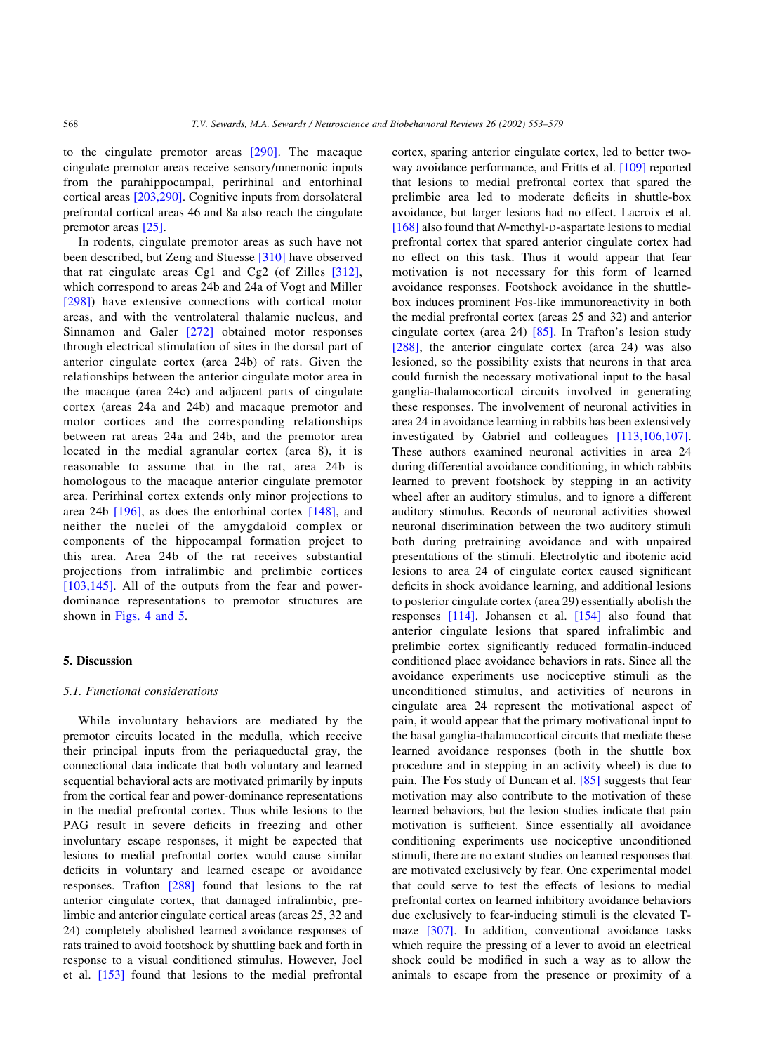to the cingulate premotor areas [\[290\]](#page-26-0). The macaque cingulate premotor areas receive sensory/mnemonic inputs from the parahippocampal, perirhinal and entorhinal cortical areas [\[203,290\].](#page-24-0) Cognitive inputs from dorsolateral prefrontal cortical areas 46 and 8a also reach the cingulate premotor areas [\[25\].](#page-20-0)

In rodents, cingulate premotor areas as such have not been described, but Zeng and Stuesse [\[310\]](#page-26-0) have observed that rat cingulate areas  $Cg1$  and  $Cg2$  (of Zilles [\[312\]](#page-26-0), which correspond to areas 24b and 24a of Vogt and Miller [\[298\]\)](#page-26-0) have extensive connections with cortical motor areas, and with the ventrolateral thalamic nucleus, and Sinnamon and Galer [\[272\]](#page-25-0) obtained motor responses through electrical stimulation of sites in the dorsal part of anterior cingulate cortex (area 24b) of rats. Given the relationships between the anterior cingulate motor area in the macaque (area 24c) and adjacent parts of cingulate cortex (areas 24a and 24b) and macaque premotor and motor cortices and the corresponding relationships between rat areas 24a and 24b, and the premotor area located in the medial agranular cortex (area 8), it is reasonable to assume that in the rat, area 24b is homologous to the macaque anterior cingulate premotor area. Perirhinal cortex extends only minor projections to area 24b [\[196\]](#page-24-0), as does the entorhinal cortex [\[148\],](#page-23-0) and neither the nuclei of the amygdaloid complex or components of the hippocampal formation project to this area. Area 24b of the rat receives substantial projections from infralimbic and prelimbic cortices  $[103, 145]$ . All of the outputs from the fear and powerdominance representations to premotor structures are shown in [Figs. 4 and 5.](#page-11-0)

## 5. Discussion

#### 5.1. Functional considerations

While involuntary behaviors are mediated by the premotor circuits located in the medulla, which receive their principal inputs from the periaqueductal gray, the connectional data indicate that both voluntary and learned sequential behavioral acts are motivated primarily by inputs from the cortical fear and power-dominance representations in the medial prefrontal cortex. Thus while lesions to the PAG result in severe deficits in freezing and other involuntary escape responses, it might be expected that lesions to medial prefrontal cortex would cause similar deficits in voluntary and learned escape or avoidance responses. Trafton [\[288\]](#page-26-0) found that lesions to the rat anterior cingulate cortex, that damaged infralimbic, prelimbic and anterior cingulate cortical areas (areas 25, 32 and 24) completely abolished learned avoidance responses of rats trained to avoid footshock by shuttling back and forth in response to a visual conditioned stimulus. However, Joel et al. [\[153\]](#page-23-0) found that lesions to the medial prefrontal

cortex, sparing anterior cingulate cortex, led to better twoway avoidance performance, and Fritts et al. [\[109\]](#page-22-0) reported that lesions to medial prefrontal cortex that spared the prelimbic area led to moderate deficits in shuttle-box avoidance, but larger lesions had no effect. Lacroix et al. [\[168\]](#page-23-0) also found that N-methyl-D-aspartate lesions to medial prefrontal cortex that spared anterior cingulate cortex had no effect on this task. Thus it would appear that fear motivation is not necessary for this form of learned avoidance responses. Footshock avoidance in the shuttlebox induces prominent Fos-like immunoreactivity in both the medial prefrontal cortex (areas 25 and 32) and anterior cingulate cortex (area 24)  $[85]$ . In Trafton's lesion study [\[288\]](#page-26-0), the anterior cingulate cortex (area 24) was also lesioned, so the possibility exists that neurons in that area could furnish the necessary motivational input to the basal ganglia-thalamocortical circuits involved in generating these responses. The involvement of neuronal activities in area 24 in avoidance learning in rabbits has been extensively investigated by Gabriel and colleagues [\[113,106,107\]](#page-22-0). These authors examined neuronal activities in area 24 during differential avoidance conditioning, in which rabbits learned to prevent footshock by stepping in an activity wheel after an auditory stimulus, and to ignore a different auditory stimulus. Records of neuronal activities showed neuronal discrimination between the two auditory stimuli both during pretraining avoidance and with unpaired presentations of the stimuli. Electrolytic and ibotenic acid lesions to area 24 of cingulate cortex caused significant deficits in shock avoidance learning, and additional lesions to posterior cingulate cortex (area 29) essentially abolish the responses [\[114\].](#page-22-0) Johansen et al. [\[154\]](#page-23-0) also found that anterior cingulate lesions that spared infralimbic and prelimbic cortex significantly reduced formalin-induced conditioned place avoidance behaviors in rats. Since all the avoidance experiments use nociceptive stimuli as the unconditioned stimulus, and activities of neurons in cingulate area 24 represent the motivational aspect of pain, it would appear that the primary motivational input to the basal ganglia-thalamocortical circuits that mediate these learned avoidance responses (both in the shuttle box procedure and in stepping in an activity wheel) is due to pain. The Fos study of Duncan et al. [\[85\]](#page-21-0) suggests that fear motivation may also contribute to the motivation of these learned behaviors, but the lesion studies indicate that pain motivation is sufficient. Since essentially all avoidance conditioning experiments use nociceptive unconditioned stimuli, there are no extant studies on learned responses that are motivated exclusively by fear. One experimental model that could serve to test the effects of lesions to medial prefrontal cortex on learned inhibitory avoidance behaviors due exclusively to fear-inducing stimuli is the elevated Tmaze [\[307\].](#page-26-0) In addition, conventional avoidance tasks which require the pressing of a lever to avoid an electrical shock could be modified in such a way as to allow the animals to escape from the presence or proximity of a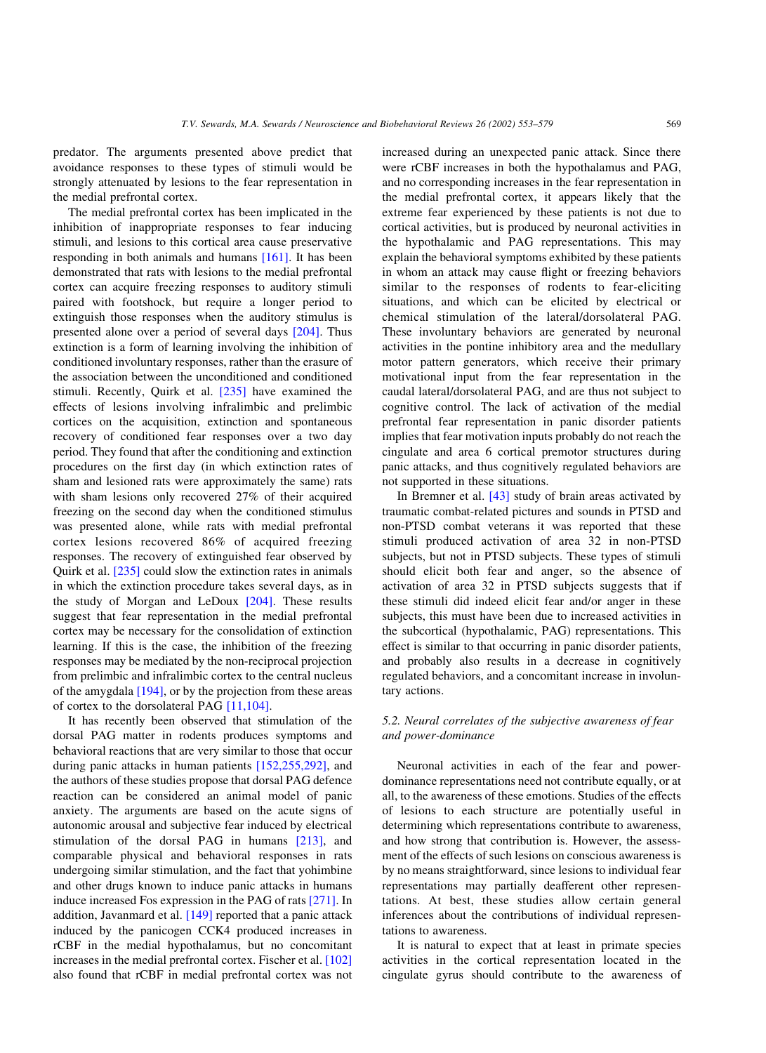predator. The arguments presented above predict that avoidance responses to these types of stimuli would be strongly attenuated by lesions to the fear representation in the medial prefrontal cortex.

The medial prefrontal cortex has been implicated in the inhibition of inappropriate responses to fear inducing stimuli, and lesions to this cortical area cause preservative responding in both animals and humans [\[161\].](#page-23-0) It has been demonstrated that rats with lesions to the medial prefrontal cortex can acquire freezing responses to auditory stimuli paired with footshock, but require a longer period to extinguish those responses when the auditory stimulus is presented alone over a period of several days [\[204\].](#page-24-0) Thus extinction is a form of learning involving the inhibition of conditioned involuntary responses, rather than the erasure of the association between the unconditioned and conditioned stimuli. Recently, Quirk et al. [\[235\]](#page-25-0) have examined the effects of lesions involving infralimbic and prelimbic cortices on the acquisition, extinction and spontaneous recovery of conditioned fear responses over a two day period. They found that after the conditioning and extinction procedures on the first day (in which extinction rates of sham and lesioned rats were approximately the same) rats with sham lesions only recovered 27% of their acquired freezing on the second day when the conditioned stimulus was presented alone, while rats with medial prefrontal cortex lesions recovered 86% of acquired freezing responses. The recovery of extinguished fear observed by Quirk et al. [\[235\]](#page-25-0) could slow the extinction rates in animals in which the extinction procedure takes several days, as in the study of Morgan and LeDoux [\[204\]](#page-24-0). These results suggest that fear representation in the medial prefrontal cortex may be necessary for the consolidation of extinction learning. If this is the case, the inhibition of the freezing responses may be mediated by the non-reciprocal projection from prelimbic and infralimbic cortex to the central nucleus of the amygdala [\[194\],](#page-24-0) or by the projection from these areas of cortex to the dorsolateral PAG [\[11,104\]](#page-19-0).

It has recently been observed that stimulation of the dorsal PAG matter in rodents produces symptoms and behavioral reactions that are very similar to those that occur during panic attacks in human patients [\[152,255,292\]](#page-23-0), and the authors of these studies propose that dorsal PAG defence reaction can be considered an animal model of panic anxiety. The arguments are based on the acute signs of autonomic arousal and subjective fear induced by electrical stimulation of the dorsal PAG in humans [\[213\]](#page-24-0), and comparable physical and behavioral responses in rats undergoing similar stimulation, and the fact that yohimbine and other drugs known to induce panic attacks in humans induce increased Fos expression in the PAG of rats [\[271\].](#page-25-0) In addition, Javanmard et al. [\[149\]](#page-23-0) reported that a panic attack induced by the panicogen CCK4 produced increases in rCBF in the medial hypothalamus, but no concomitant increases in the medial prefrontal cortex. Fischer et al. [\[102\]](#page-22-0) also found that rCBF in medial prefrontal cortex was not

increased during an unexpected panic attack. Since there were rCBF increases in both the hypothalamus and PAG, and no corresponding increases in the fear representation in the medial prefrontal cortex, it appears likely that the extreme fear experienced by these patients is not due to cortical activities, but is produced by neuronal activities in the hypothalamic and PAG representations. This may explain the behavioral symptoms exhibited by these patients in whom an attack may cause flight or freezing behaviors similar to the responses of rodents to fear-eliciting situations, and which can be elicited by electrical or chemical stimulation of the lateral/dorsolateral PAG. These involuntary behaviors are generated by neuronal activities in the pontine inhibitory area and the medullary motor pattern generators, which receive their primary motivational input from the fear representation in the caudal lateral/dorsolateral PAG, and are thus not subject to cognitive control. The lack of activation of the medial prefrontal fear representation in panic disorder patients implies that fear motivation inputs probably do not reach the cingulate and area 6 cortical premotor structures during panic attacks, and thus cognitively regulated behaviors are not supported in these situations.

In Bremner et al. [\[43\]](#page-20-0) study of brain areas activated by traumatic combat-related pictures and sounds in PTSD and non-PTSD combat veterans it was reported that these stimuli produced activation of area 32 in non-PTSD subjects, but not in PTSD subjects. These types of stimuli should elicit both fear and anger, so the absence of activation of area 32 in PTSD subjects suggests that if these stimuli did indeed elicit fear and/or anger in these subjects, this must have been due to increased activities in the subcortical (hypothalamic, PAG) representations. This effect is similar to that occurring in panic disorder patients, and probably also results in a decrease in cognitively regulated behaviors, and a concomitant increase in involuntary actions.

# 5.2. Neural correlates of the subjective awareness of fear and power-dominance

Neuronal activities in each of the fear and powerdominance representations need not contribute equally, or at all, to the awareness of these emotions. Studies of the effects of lesions to each structure are potentially useful in determining which representations contribute to awareness, and how strong that contribution is. However, the assessment of the effects of such lesions on conscious awareness is by no means straightforward, since lesions to individual fear representations may partially deafferent other representations. At best, these studies allow certain general inferences about the contributions of individual representations to awareness.

It is natural to expect that at least in primate species activities in the cortical representation located in the cingulate gyrus should contribute to the awareness of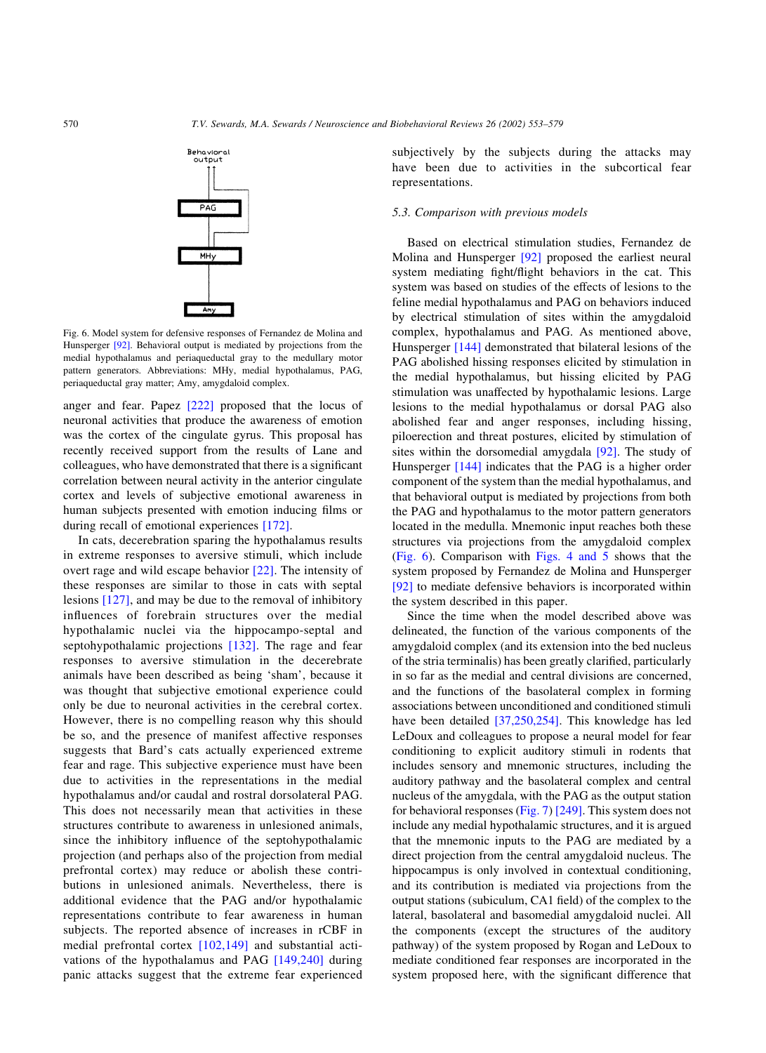

Fig. 6. Model system for defensive responses of Fernandez de Molina and Hunsperger [\[92\]](#page-21-0). Behavioral output is mediated by projections from the medial hypothalamus and periaqueductal gray to the medullary motor pattern generators. Abbreviations: MHy, medial hypothalamus, PAG, periaqueductal gray matter; Amy, amygdaloid complex.

anger and fear. Papez [\[222\]](#page-24-0) proposed that the locus of neuronal activities that produce the awareness of emotion was the cortex of the cingulate gyrus. This proposal has recently received support from the results of Lane and colleagues, who have demonstrated that there is a significant correlation between neural activity in the anterior cingulate cortex and levels of subjective emotional awareness in human subjects presented with emotion inducing films or during recall of emotional experiences [\[172\]](#page-23-0).

In cats, decerebration sparing the hypothalamus results in extreme responses to aversive stimuli, which include overt rage and wild escape behavior [\[22\]](#page-20-0). The intensity of these responses are similar to those in cats with septal lesions [\[127\],](#page-22-0) and may be due to the removal of inhibitory influences of forebrain structures over the medial hypothalamic nuclei via the hippocampo-septal and septohypothalamic projections [\[132\].](#page-22-0) The rage and fear responses to aversive stimulation in the decerebrate animals have been described as being 'sham', because it was thought that subjective emotional experience could only be due to neuronal activities in the cerebral cortex. However, there is no compelling reason why this should be so, and the presence of manifest affective responses suggests that Bard's cats actually experienced extreme fear and rage. This subjective experience must have been due to activities in the representations in the medial hypothalamus and/or caudal and rostral dorsolateral PAG. This does not necessarily mean that activities in these structures contribute to awareness in unlesioned animals, since the inhibitory influence of the septohypothalamic projection (and perhaps also of the projection from medial prefrontal cortex) may reduce or abolish these contributions in unlesioned animals. Nevertheless, there is additional evidence that the PAG and/or hypothalamic representations contribute to fear awareness in human subjects. The reported absence of increases in rCBF in medial prefrontal cortex [\[102,149\]](#page-22-0) and substantial activations of the hypothalamus and PAG [\[149,240\]](#page-23-0) during panic attacks suggest that the extreme fear experienced

subjectively by the subjects during the attacks may have been due to activities in the subcortical fear representations.

#### 5.3. Comparison with previous models

Based on electrical stimulation studies, Fernandez de Molina and Hunsperger [\[92\]](#page-21-0) proposed the earliest neural system mediating fight/flight behaviors in the cat. This system was based on studies of the effects of lesions to the feline medial hypothalamus and PAG on behaviors induced by electrical stimulation of sites within the amygdaloid complex, hypothalamus and PAG. As mentioned above, Hunsperger [\[144\]](#page-23-0) demonstrated that bilateral lesions of the PAG abolished hissing responses elicited by stimulation in the medial hypothalamus, but hissing elicited by PAG stimulation was unaffected by hypothalamic lesions. Large lesions to the medial hypothalamus or dorsal PAG also abolished fear and anger responses, including hissing, piloerection and threat postures, elicited by stimulation of sites within the dorsomedial amygdala [\[92\]](#page-21-0). The study of Hunsperger [\[144\]](#page-23-0) indicates that the PAG is a higher order component of the system than the medial hypothalamus, and that behavioral output is mediated by projections from both the PAG and hypothalamus to the motor pattern generators located in the medulla. Mnemonic input reaches both these structures via projections from the amygdaloid complex (Fig. 6). Comparison with [Figs. 4 and 5](#page-11-0) shows that the system proposed by Fernandez de Molina and Hunsperger [\[92\]](#page-21-0) to mediate defensive behaviors is incorporated within the system described in this paper.

Since the time when the model described above was delineated, the function of the various components of the amygdaloid complex (and its extension into the bed nucleus of the stria terminalis) has been greatly clarified, particularly in so far as the medial and central divisions are concerned, and the functions of the basolateral complex in forming associations between unconditioned and conditioned stimuli have been detailed [\[37,250,254\].](#page-20-0) This knowledge has led LeDoux and colleagues to propose a neural model for fear conditioning to explicit auditory stimuli in rodents that includes sensory and mnemonic structures, including the auditory pathway and the basolateral complex and central nucleus of the amygdala, with the PAG as the output station for behavioral responses ([Fig. 7\)](#page-18-0) [\[249\].](#page-25-0) This system does not include any medial hypothalamic structures, and it is argued that the mnemonic inputs to the PAG are mediated by a direct projection from the central amygdaloid nucleus. The hippocampus is only involved in contextual conditioning, and its contribution is mediated via projections from the output stations (subiculum, CA1 field) of the complex to the lateral, basolateral and basomedial amygdaloid nuclei. All the components (except the structures of the auditory pathway) of the system proposed by Rogan and LeDoux to mediate conditioned fear responses are incorporated in the system proposed here, with the significant difference that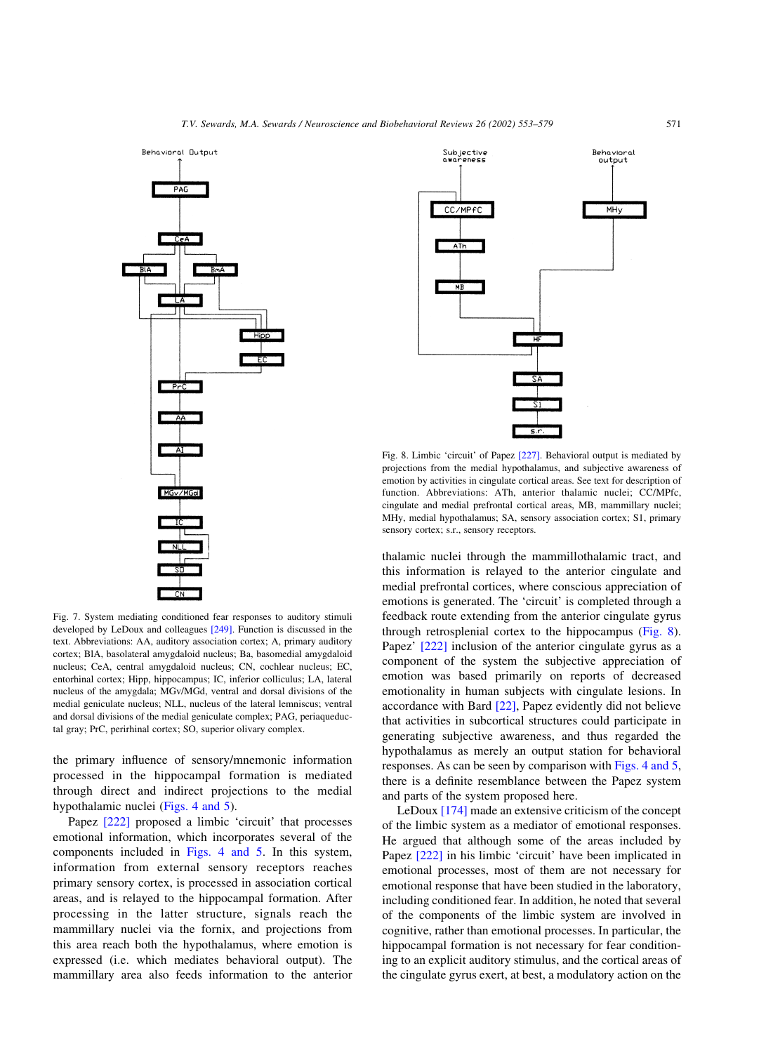<span id="page-18-0"></span>

Fig. 7. System mediating conditioned fear responses to auditory stimuli developed by LeDoux and colleagues [\[249\].](#page-25-0) Function is discussed in the text. Abbreviations: AA, auditory association cortex; A, primary auditory cortex; BlA, basolateral amygdaloid nucleus; Ba, basomedial amygdaloid nucleus; CeA, central amygdaloid nucleus; CN, cochlear nucleus; EC, entorhinal cortex; Hipp, hippocampus; IC, inferior colliculus; LA, lateral nucleus of the amygdala; MGv/MGd, ventral and dorsal divisions of the medial geniculate nucleus; NLL, nucleus of the lateral lemniscus; ventral and dorsal divisions of the medial geniculate complex; PAG, periaqueductal gray; PrC, perirhinal cortex; SO, superior olivary complex.

the primary influence of sensory/mnemonic information processed in the hippocampal formation is mediated through direct and indirect projections to the medial hypothalamic nuclei ([Figs. 4 and 5](#page-11-0)).

Papez [\[222\]](#page-24-0) proposed a limbic 'circuit' that processes emotional information, which incorporates several of the components included in [Figs. 4 and 5.](#page-11-0) In this system, information from external sensory receptors reaches primary sensory cortex, is processed in association cortical areas, and is relayed to the hippocampal formation. After processing in the latter structure, signals reach the mammillary nuclei via the fornix, and projections from this area reach both the hypothalamus, where emotion is expressed (i.e. which mediates behavioral output). The mammillary area also feeds information to the anterior



Fig. 8. Limbic 'circuit' of Papez [\[227\].](#page-24-0) Behavioral output is mediated by projections from the medial hypothalamus, and subjective awareness of emotion by activities in cingulate cortical areas. See text for description of function. Abbreviations: ATh, anterior thalamic nuclei; CC/MPfc, cingulate and medial prefrontal cortical areas, MB, mammillary nuclei; MHy, medial hypothalamus; SA, sensory association cortex; S1, primary sensory cortex; s.r., sensory receptors.

thalamic nuclei through the mammillothalamic tract, and this information is relayed to the anterior cingulate and medial prefrontal cortices, where conscious appreciation of emotions is generated. The 'circuit' is completed through a feedback route extending from the anterior cingulate gyrus through retrosplenial cortex to the hippocampus (Fig. 8). Papez' [\[222\]](#page-24-0) inclusion of the anterior cingulate gyrus as a component of the system the subjective appreciation of emotion was based primarily on reports of decreased emotionality in human subjects with cingulate lesions. In accordance with Bard [\[22\],](#page-20-0) Papez evidently did not believe that activities in subcortical structures could participate in generating subjective awareness, and thus regarded the hypothalamus as merely an output station for behavioral responses. As can be seen by comparison with [Figs. 4 and 5](#page-11-0), there is a definite resemblance between the Papez system and parts of the system proposed here.

LeDoux [\[174\]](#page-23-0) made an extensive criticism of the concept of the limbic system as a mediator of emotional responses. He argued that although some of the areas included by Papez  $[222]$  in his limbic 'circuit' have been implicated in emotional processes, most of them are not necessary for emotional response that have been studied in the laboratory, including conditioned fear. In addition, he noted that several of the components of the limbic system are involved in cognitive, rather than emotional processes. In particular, the hippocampal formation is not necessary for fear conditioning to an explicit auditory stimulus, and the cortical areas of the cingulate gyrus exert, at best, a modulatory action on the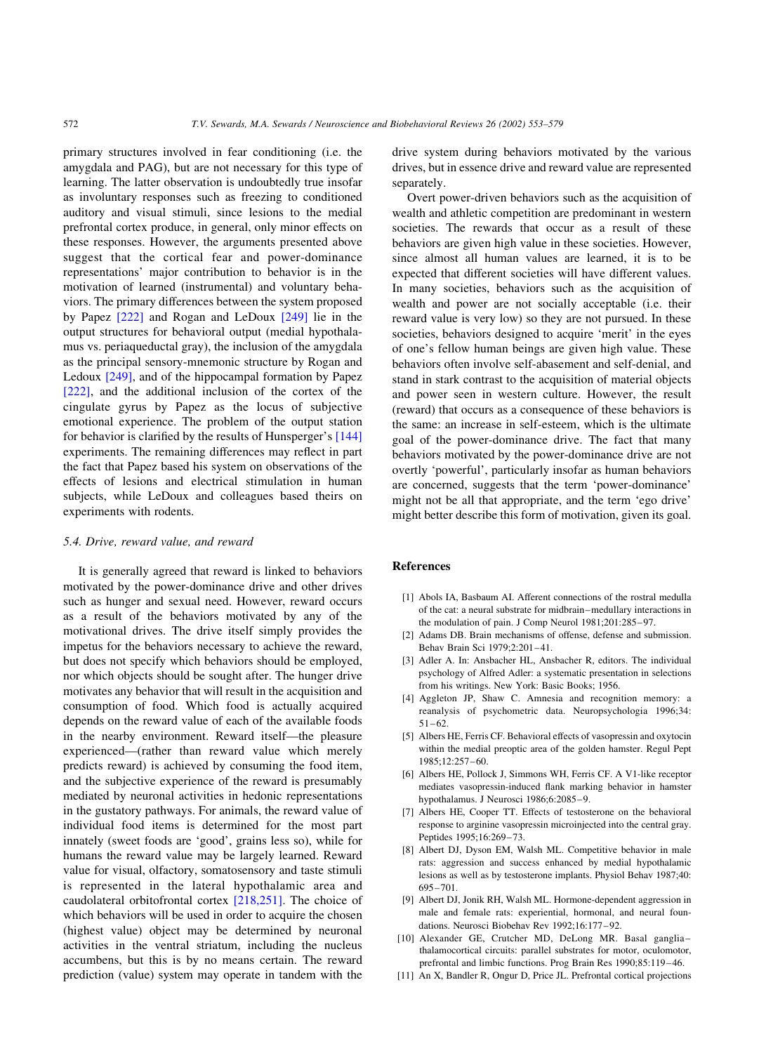<span id="page-19-0"></span>primary structures involved in fear conditioning (i.e. the amygdala and PAG), but are not necessary for this type of learning. The latter observation is undoubtedly true insofar as involuntary responses such as freezing to conditioned auditory and visual stimuli, since lesions to the medial prefrontal cortex produce, in general, only minor effects on these responses. However, the arguments presented above suggest that the cortical fear and power-dominance representations' major contribution to behavior is in the motivation of learned (instrumental) and voluntary behaviors. The primary differences between the system proposed by Papez [\[222\]](#page-24-0) and Rogan and LeDoux [\[249\]](#page-25-0) lie in the output structures for behavioral output (medial hypothalamus vs. periaqueductal gray), the inclusion of the amygdala as the principal sensory-mnemonic structure by Rogan and Ledoux [\[249\],](#page-25-0) and of the hippocampal formation by Papez [\[222\]](#page-24-0), and the additional inclusion of the cortex of the cingulate gyrus by Papez as the locus of subjective emotional experience. The problem of the output station for behavior is clarified by the results of Hunsperger's [\[144\]](#page-23-0) experiments. The remaining differences may reflect in part the fact that Papez based his system on observations of the effects of lesions and electrical stimulation in human subjects, while LeDoux and colleagues based theirs on experiments with rodents.

#### 5.4. Drive, reward value, and reward

It is generally agreed that reward is linked to behaviors motivated by the power-dominance drive and other drives such as hunger and sexual need. However, reward occurs as a result of the behaviors motivated by any of the motivational drives. The drive itself simply provides the impetus for the behaviors necessary to achieve the reward, but does not specify which behaviors should be employed, nor which objects should be sought after. The hunger drive motivates any behavior that will result in the acquisition and consumption of food. Which food is actually acquired depends on the reward value of each of the available foods in the nearby environment. Reward itself—the pleasure experienced—(rather than reward value which merely predicts reward) is achieved by consuming the food item, and the subjective experience of the reward is presumably mediated by neuronal activities in hedonic representations in the gustatory pathways. For animals, the reward value of individual food items is determined for the most part innately (sweet foods are 'good', grains less so), while for humans the reward value may be largely learned. Reward value for visual, olfactory, somatosensory and taste stimuli is represented in the lateral hypothalamic area and caudolateral orbitofrontal cortex [\[218,251\].](#page-24-0) The choice of which behaviors will be used in order to acquire the chosen (highest value) object may be determined by neuronal activities in the ventral striatum, including the nucleus accumbens, but this is by no means certain. The reward prediction (value) system may operate in tandem with the

drive system during behaviors motivated by the various drives, but in essence drive and reward value are represented separately.

Overt power-driven behaviors such as the acquisition of wealth and athletic competition are predominant in western societies. The rewards that occur as a result of these behaviors are given high value in these societies. However, since almost all human values are learned, it is to be expected that different societies will have different values. In many societies, behaviors such as the acquisition of wealth and power are not socially acceptable (i.e. their reward value is very low) so they are not pursued. In these societies, behaviors designed to acquire 'merit' in the eyes of one's fellow human beings are given high value. These behaviors often involve self-abasement and self-denial, and stand in stark contrast to the acquisition of material objects and power seen in western culture. However, the result (reward) that occurs as a consequence of these behaviors is the same: an increase in self-esteem, which is the ultimate goal of the power-dominance drive. The fact that many behaviors motivated by the power-dominance drive are not overtly 'powerful', particularly insofar as human behaviors are concerned, suggests that the term 'power-dominance' might not be all that appropriate, and the term 'ego drive' might better describe this form of motivation, given its goal.

## **References**

- [1] Abols IA, Basbaum AI. Afferent connections of the rostral medulla of the cat: a neural substrate for midbrain–medullary interactions in the modulation of pain. J Comp Neurol 1981;201:285–97.
- [2] Adams DB. Brain mechanisms of offense, defense and submission. Behav Brain Sci 1979;2:201–41.
- [3] Adler A. In: Ansbacher HL, Ansbacher R, editors. The individual psychology of Alfred Adler: a systematic presentation in selections from his writings. New York: Basic Books; 1956.
- [4] Aggleton JP, Shaw C. Amnesia and recognition memory: a reanalysis of psychometric data. Neuropsychologia 1996;34:  $51 - 62$
- [5] Albers HE, Ferris CF. Behavioral effects of vasopressin and oxytocin within the medial preoptic area of the golden hamster. Regul Pept 1985;12:257–60.
- [6] Albers HE, Pollock J, Simmons WH, Ferris CF. A V1-like receptor mediates vasopressin-induced flank marking behavior in hamster hypothalamus. J Neurosci 1986;6:2085–9.
- [7] Albers HE, Cooper TT. Effects of testosterone on the behavioral response to arginine vasopressin microinjected into the central gray. Peptides 1995;16:269–73.
- [8] Albert DJ, Dyson EM, Walsh ML. Competitive behavior in male rats: aggression and success enhanced by medial hypothalamic lesions as well as by testosterone implants. Physiol Behav 1987;40: 695–701.
- [9] Albert DJ, Jonik RH, Walsh ML. Hormone-dependent aggression in male and female rats: experiential, hormonal, and neural foundations. Neurosci Biobehav Rev 1992;16:177–92.
- [10] Alexander GE, Crutcher MD, DeLong MR. Basal gangliathalamocortical circuits: parallel substrates for motor, oculomotor, prefrontal and limbic functions. Prog Brain Res 1990;85:119–46.
- [11] An X, Bandler R, Ongur D, Price JL. Prefrontal cortical projections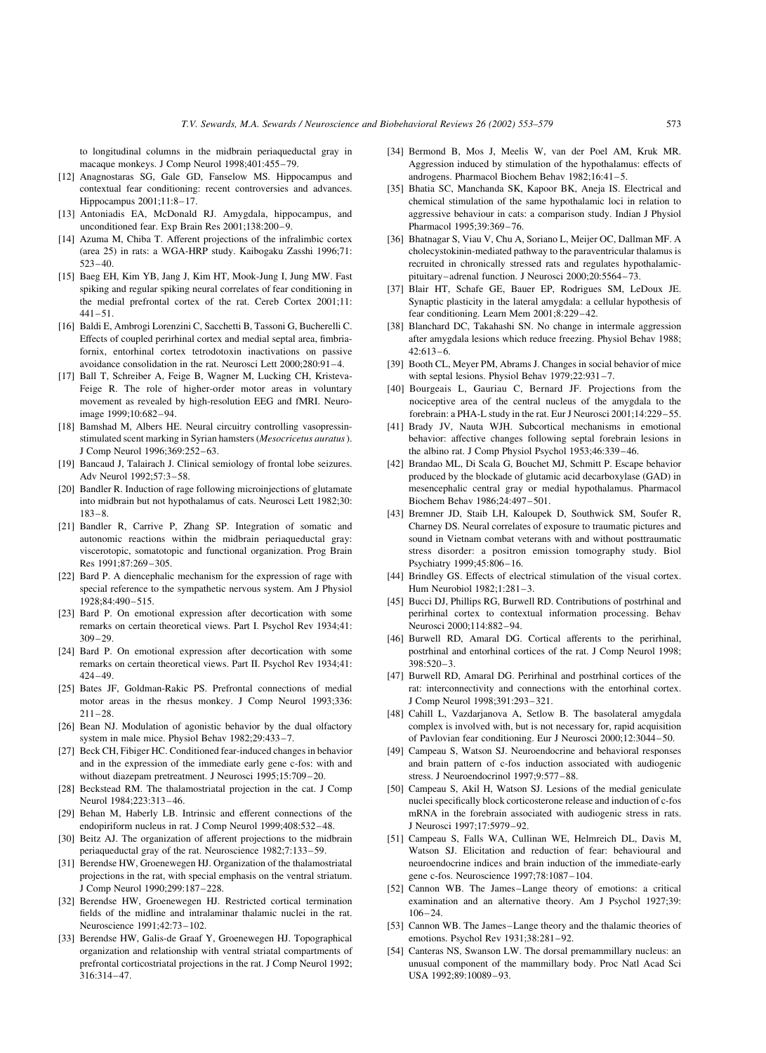<span id="page-20-0"></span>to longitudinal columns in the midbrain periaqueductal gray in macaque monkeys. J Comp Neurol 1998;401:455–79.

- [12] Anagnostaras SG, Gale GD, Fanselow MS. Hippocampus and contextual fear conditioning: recent controversies and advances. Hippocampus 2001;11:8–17.
- [13] Antoniadis EA, McDonald RJ. Amygdala, hippocampus, and unconditioned fear. Exp Brain Res 2001;138:200–9.
- [14] Azuma M, Chiba T. Afferent projections of the infralimbic cortex (area 25) in rats: a WGA-HRP study. Kaibogaku Zasshi 1996;71: 523–40.
- [15] Baeg EH, Kim YB, Jang J, Kim HT, Mook-Jung I, Jung MW. Fast spiking and regular spiking neural correlates of fear conditioning in the medial prefrontal cortex of the rat. Cereb Cortex 2001;11:  $441 - 51$
- [16] Baldi E, Ambrogi Lorenzini C, Sacchetti B, Tassoni G, Bucherelli C. Effects of coupled perirhinal cortex and medial septal area, fimbriafornix, entorhinal cortex tetrodotoxin inactivations on passive avoidance consolidation in the rat. Neurosci Lett 2000;280:91–4.
- [17] Ball T, Schreiber A, Feige B, Wagner M, Lucking CH, Kristeva-Feige R. The role of higher-order motor areas in voluntary movement as revealed by high-resolution EEG and fMRI. Neuroimage 1999;10:682–94.
- [18] Bamshad M, Albers HE. Neural circuitry controlling vasopressinstimulated scent marking in Syrian hamsters (Mesocricetus auratus). J Comp Neurol 1996;369:252–63.
- [19] Bancaud J, Talairach J. Clinical semiology of frontal lobe seizures. Adv Neurol 1992;57:3–58.
- [20] Bandler R. Induction of rage following microinjections of glutamate into midbrain but not hypothalamus of cats. Neurosci Lett 1982;30: 183–8.
- [21] Bandler R, Carrive P, Zhang SP. Integration of somatic and autonomic reactions within the midbrain periaqueductal gray: viscerotopic, somatotopic and functional organization. Prog Brain Res 1991;87:269–305.
- [22] Bard P. A diencephalic mechanism for the expression of rage with special reference to the sympathetic nervous system. Am J Physiol 1928;84:490–515.
- [23] Bard P. On emotional expression after decortication with some remarks on certain theoretical views. Part I. Psychol Rev 1934;41: 309–29.
- [24] Bard P. On emotional expression after decortication with some remarks on certain theoretical views. Part II. Psychol Rev 1934;41: 424–49.
- [25] Bates JF, Goldman-Rakic PS. Prefrontal connections of medial motor areas in the rhesus monkey. J Comp Neurol 1993;336: 211–28.
- [26] Bean NJ. Modulation of agonistic behavior by the dual olfactory system in male mice. Physiol Behav 1982;29:433–7.
- [27] Beck CH, Fibiger HC. Conditioned fear-induced changes in behavior and in the expression of the immediate early gene c-fos: with and without diazepam pretreatment. J Neurosci 1995;15:709–20.
- [28] Beckstead RM. The thalamostriatal projection in the cat. J Comp Neurol 1984;223:313–46.
- [29] Behan M, Haberly LB. Intrinsic and efferent connections of the endopiriform nucleus in rat. J Comp Neurol 1999;408:532–48.
- [30] Beitz AJ. The organization of afferent projections to the midbrain periaqueductal gray of the rat. Neuroscience 1982;7:133–59.
- [31] Berendse HW, Groenewegen HJ. Organization of the thalamostriatal projections in the rat, with special emphasis on the ventral striatum. J Comp Neurol 1990;299:187–228.
- [32] Berendse HW, Groenewegen HJ. Restricted cortical termination fields of the midline and intralaminar thalamic nuclei in the rat. Neuroscience 1991;42:73–102.
- [33] Berendse HW, Galis-de Graaf Y, Groenewegen HJ. Topographical organization and relationship with ventral striatal compartments of prefrontal corticostriatal projections in the rat. J Comp Neurol 1992; 316:314–47.
- [34] Bermond B, Mos J, Meelis W, van der Poel AM, Kruk MR. Aggression induced by stimulation of the hypothalamus: effects of androgens. Pharmacol Biochem Behav 1982;16:41–5.
- [35] Bhatia SC, Manchanda SK, Kapoor BK, Aneja IS. Electrical and chemical stimulation of the same hypothalamic loci in relation to aggressive behaviour in cats: a comparison study. Indian J Physiol Pharmacol 1995;39:369–76.
- [36] Bhatnagar S, Viau V, Chu A, Soriano L, Meijer OC, Dallman MF. A cholecystokinin-mediated pathway to the paraventricular thalamus is recruited in chronically stressed rats and regulates hypothalamicpituitary–adrenal function. J Neurosci 2000;20:5564–73.
- [37] Blair HT, Schafe GE, Bauer EP, Rodrigues SM, LeDoux JE. Synaptic plasticity in the lateral amygdala: a cellular hypothesis of fear conditioning. Learn Mem 2001;8:229–42.
- [38] Blanchard DC, Takahashi SN. No change in intermale aggression after amygdala lesions which reduce freezing. Physiol Behav 1988;  $42:613-6.$
- [39] Booth CL, Meyer PM, Abrams J. Changes in social behavior of mice with septal lesions. Physiol Behav 1979:22:931-7.
- [40] Bourgeais L, Gauriau C, Bernard JF. Projections from the nociceptive area of the central nucleus of the amygdala to the forebrain: a PHA-L study in the rat. Eur J Neurosci 2001;14:229–55.
- [41] Brady JV, Nauta WJH. Subcortical mechanisms in emotional behavior: affective changes following septal forebrain lesions in the albino rat. J Comp Physiol Psychol 1953;46:339–46.
- [42] Brandao ML, Di Scala G, Bouchet MJ, Schmitt P. Escape behavior produced by the blockade of glutamic acid decarboxylase (GAD) in mesencephalic central gray or medial hypothalamus. Pharmacol Biochem Behav 1986;24:497–501.
- [43] Bremner JD, Staib LH, Kaloupek D, Southwick SM, Soufer R, Charney DS. Neural correlates of exposure to traumatic pictures and sound in Vietnam combat veterans with and without posttraumatic stress disorder: a positron emission tomography study. Biol Psychiatry 1999;45:806–16.
- [44] Brindley GS. Effects of electrical stimulation of the visual cortex. Hum Neurobiol 1982;1:281–3.
- [45] Bucci DJ, Phillips RG, Burwell RD. Contributions of postrhinal and perirhinal cortex to contextual information processing. Behav Neurosci 2000;114:882–94.
- [46] Burwell RD, Amaral DG. Cortical afferents to the perirhinal, postrhinal and entorhinal cortices of the rat. J Comp Neurol 1998; 398:520–3.
- [47] Burwell RD, Amaral DG. Perirhinal and postrhinal cortices of the rat: interconnectivity and connections with the entorhinal cortex. J Comp Neurol 1998;391:293–321.
- [48] Cahill L, Vazdarjanova A, Setlow B. The basolateral amygdala complex is involved with, but is not necessary for, rapid acquisition of Pavlovian fear conditioning. Eur J Neurosci 2000;12:3044–50.
- [49] Campeau S, Watson SJ. Neuroendocrine and behavioral responses and brain pattern of c-fos induction associated with audiogenic stress. J Neuroendocrinol 1997;9:577–88.
- [50] Campeau S, Akil H, Watson SJ. Lesions of the medial geniculate nuclei specifically block corticosterone release and induction of c-fos mRNA in the forebrain associated with audiogenic stress in rats. J Neurosci 1997;17:5979–92.
- [51] Campeau S, Falls WA, Cullinan WE, Helmreich DL, Davis M, Watson SJ. Elicitation and reduction of fear: behavioural and neuroendocrine indices and brain induction of the immediate-early gene c-fos. Neuroscience 1997;78:1087–104.
- [52] Cannon WB. The James–Lange theory of emotions: a critical examination and an alternative theory. Am J Psychol 1927;39: 106–24.
- [53] Cannon WB. The James–Lange theory and the thalamic theories of emotions. Psychol Rev 1931;38:281–92.
- [54] Canteras NS, Swanson LW. The dorsal premammillary nucleus: an unusual component of the mammillary body. Proc Natl Acad Sci USA 1992;89:10089–93.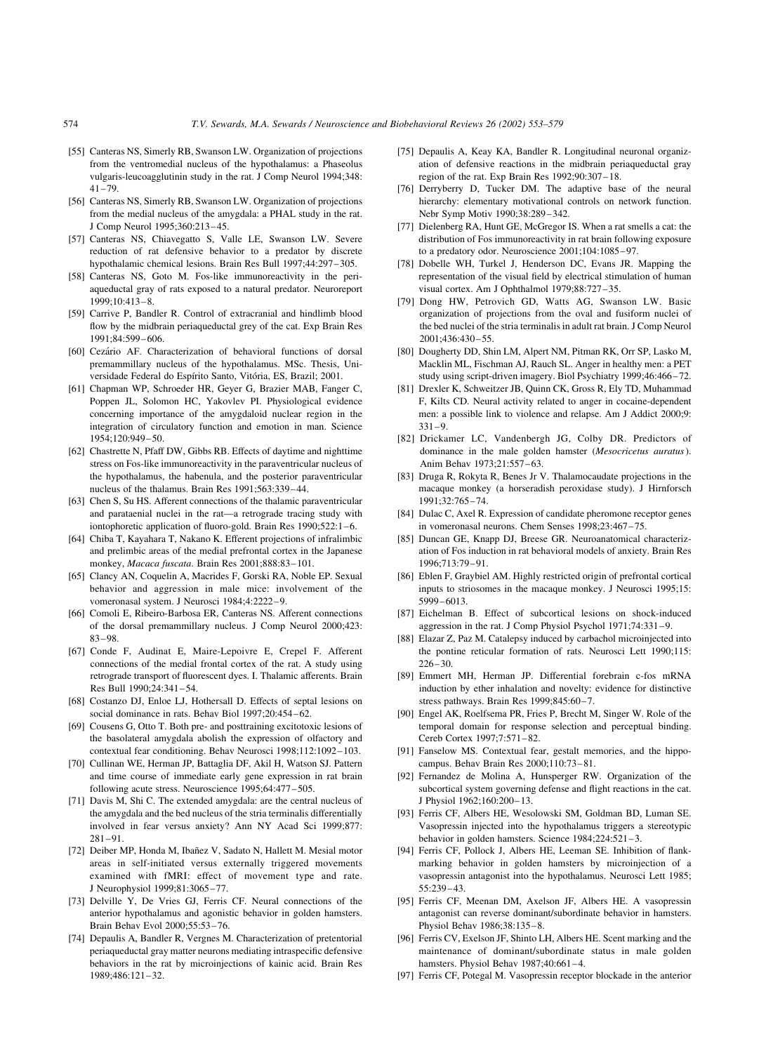- <span id="page-21-0"></span>[55] Canteras NS, Simerly RB, Swanson LW. Organization of projections from the ventromedial nucleus of the hypothalamus: a Phaseolus vulgaris-leucoagglutinin study in the rat. J Comp Neurol 1994;348:  $41 - 79$ .
- [56] Canteras NS, Simerly RB, Swanson LW. Organization of projections from the medial nucleus of the amygdala: a PHAL study in the rat. J Comp Neurol 1995;360:213–45.
- [57] Canteras NS, Chiavegatto S, Valle LE, Swanson LW. Severe reduction of rat defensive behavior to a predator by discrete hypothalamic chemical lesions. Brain Res Bull 1997;44:297–305.
- [58] Canteras NS, Goto M. Fos-like immunoreactivity in the periaqueductal gray of rats exposed to a natural predator. Neuroreport 1999;10:413–8.
- [59] Carrive P, Bandler R. Control of extracranial and hindlimb blood flow by the midbrain periaqueductal grey of the cat. Exp Brain Res 1991;84:599–606.
- [60] Cezário AF. Characterization of behavioral functions of dorsal premammillary nucleus of the hypothalamus. MSc. Thesis, Universidade Federal do Espírito Santo, Vitória, ES, Brazil; 2001.
- [61] Chapman WP, Schroeder HR, Geyer G, Brazier MAB, Fanger C, Poppen JL, Solomon HC, Yakovlev PI. Physiological evidence concerning importance of the amygdaloid nuclear region in the integration of circulatory function and emotion in man. Science 1954;120:949–50.
- [62] Chastrette N, Pfaff DW, Gibbs RB. Effects of daytime and nighttime stress on Fos-like immunoreactivity in the paraventricular nucleus of the hypothalamus, the habenula, and the posterior paraventricular nucleus of the thalamus. Brain Res 1991;563:339–44.
- [63] Chen S, Su HS. Afferent connections of the thalamic paraventricular and parataenial nuclei in the rat—a retrograde tracing study with iontophoretic application of fluoro-gold. Brain Res 1990;522:1–6.
- [64] Chiba T, Kayahara T, Nakano K. Efferent projections of infralimbic and prelimbic areas of the medial prefrontal cortex in the Japanese monkey, Macaca fuscata. Brain Res 2001;888:83–101.
- [65] Clancy AN, Coquelin A, Macrides F, Gorski RA, Noble EP. Sexual behavior and aggression in male mice: involvement of the vomeronasal system. J Neurosci 1984;4:2222–9.
- [66] Comoli E, Ribeiro-Barbosa ER, Canteras NS. Afferent connections of the dorsal premammillary nucleus. J Comp Neurol 2000;423: 83–98.
- [67] Conde F, Audinat E, Maire-Lepoivre E, Crepel F. Afferent connections of the medial frontal cortex of the rat. A study using retrograde transport of fluorescent dyes. I. Thalamic afferents. Brain Res Bull 1990;24:341–54.
- [68] Costanzo DJ, Enloe LJ, Hothersall D. Effects of septal lesions on social dominance in rats. Behav Biol 1997;20:454–62.
- [69] Cousens G, Otto T. Both pre- and posttraining excitotoxic lesions of the basolateral amygdala abolish the expression of olfactory and contextual fear conditioning. Behav Neurosci 1998;112:1092–103.
- [70] Cullinan WE, Herman JP, Battaglia DF, Akil H, Watson SJ. Pattern and time course of immediate early gene expression in rat brain following acute stress. Neuroscience 1995;64:477–505.
- [71] Davis M, Shi C. The extended amygdala: are the central nucleus of the amygdala and the bed nucleus of the stria terminalis differentially involved in fear versus anxiety? Ann NY Acad Sci 1999;877: 281–91.
- [72] Deiber MP, Honda M, Ibañez V, Sadato N, Hallett M. Mesial motor areas in self-initiated versus externally triggered movements examined with fMRI: effect of movement type and rate. J Neurophysiol 1999;81:3065–77.
- [73] Delville Y, De Vries GJ, Ferris CF. Neural connections of the anterior hypothalamus and agonistic behavior in golden hamsters. Brain Behav Evol 2000;55:53–76.
- [74] Depaulis A, Bandler R, Vergnes M. Characterization of pretentorial periaqueductal gray matter neurons mediating intraspecific defensive behaviors in the rat by microinjections of kainic acid. Brain Res 1989;486:121–32.
- [75] Depaulis A, Keay KA, Bandler R. Longitudinal neuronal organization of defensive reactions in the midbrain periaqueductal gray region of the rat. Exp Brain Res 1992;90:307–18.
- [76] Derryberry D, Tucker DM. The adaptive base of the neural hierarchy: elementary motivational controls on network function. Nebr Symp Motiv 1990;38:289–342.
- [77] Dielenberg RA, Hunt GE, McGregor IS. When a rat smells a cat: the distribution of Fos immunoreactivity in rat brain following exposure to a predatory odor. Neuroscience 2001;104:1085–97.
- [78] Dobelle WH, Turkel J, Henderson DC, Evans JR. Mapping the representation of the visual field by electrical stimulation of human visual cortex. Am J Ophthalmol 1979;88:727–35.
- [79] Dong HW, Petrovich GD, Watts AG, Swanson LW. Basic organization of projections from the oval and fusiform nuclei of the bed nuclei of the stria terminalis in adult rat brain. J Comp Neurol 2001;436:430–55.
- [80] Dougherty DD, Shin LM, Alpert NM, Pitman RK, Orr SP, Lasko M, Macklin ML, Fischman AJ, Rauch SL. Anger in healthy men: a PET study using script-driven imagery. Biol Psychiatry 1999;46:466–72.
- [81] Drexler K, Schweitzer JB, Quinn CK, Gross R, Ely TD, Muhammad F, Kilts CD. Neural activity related to anger in cocaine-dependent men: a possible link to violence and relapse. Am J Addict 2000;9: 331–9.
- [82] Drickamer LC, Vandenbergh JG, Colby DR. Predictors of dominance in the male golden hamster (Mesocricetus auratus). Anim Behav 1973;21:557–63.
- [83] Druga R, Rokyta R, Benes Jr V. Thalamocaudate projections in the macaque monkey (a horseradish peroxidase study). J Hirnforsch 1991;32:765–74.
- [84] Dulac C, Axel R. Expression of candidate pheromone receptor genes in vomeronasal neurons. Chem Senses 1998;23:467–75.
- [85] Duncan GE, Knapp DJ, Breese GR. Neuroanatomical characterization of Fos induction in rat behavioral models of anxiety. Brain Res 1996;713:79–91.
- [86] Eblen F, Graybiel AM. Highly restricted origin of prefrontal cortical inputs to striosomes in the macaque monkey. J Neurosci 1995;15: 5999–6013.
- [87] Eichelman B. Effect of subcortical lesions on shock-induced aggression in the rat. J Comp Physiol Psychol 1971;74:331–9.
- [88] Elazar Z, Paz M. Catalepsy induced by carbachol microinjected into the pontine reticular formation of rats. Neurosci Lett 1990;115: 226–30.
- [89] Emmert MH, Herman JP. Differential forebrain c-fos mRNA induction by ether inhalation and novelty: evidence for distinctive stress pathways. Brain Res 1999;845:60–7.
- [90] Engel AK, Roelfsema PR, Fries P, Brecht M, Singer W. Role of the temporal domain for response selection and perceptual binding. Cereb Cortex 1997;7:571–82.
- [91] Fanselow MS. Contextual fear, gestalt memories, and the hippocampus. Behav Brain Res 2000;110:73–81.
- [92] Fernandez de Molina A, Hunsperger RW. Organization of the subcortical system governing defense and flight reactions in the cat. J Physiol 1962;160:200–13.
- [93] Ferris CF, Albers HE, Wesolowski SM, Goldman BD, Luman SE. Vasopressin injected into the hypothalamus triggers a stereotypic behavior in golden hamsters. Science 1984;224:521–3.
- [94] Ferris CF, Pollock J, Albers HE, Leeman SE. Inhibition of flankmarking behavior in golden hamsters by microinjection of a vasopressin antagonist into the hypothalamus. Neurosci Lett 1985;  $55.239 - 43$
- [95] Ferris CF, Meenan DM, Axelson JF, Albers HE. A vasopressin antagonist can reverse dominant/subordinate behavior in hamsters. Physiol Behav 1986;38:135–8.
- [96] Ferris CV, Exelson JF, Shinto LH, Albers HE. Scent marking and the maintenance of dominant/subordinate status in male golden hamsters. Physiol Behav 1987;40:661-4.
- [97] Ferris CF, Potegal M. Vasopressin receptor blockade in the anterior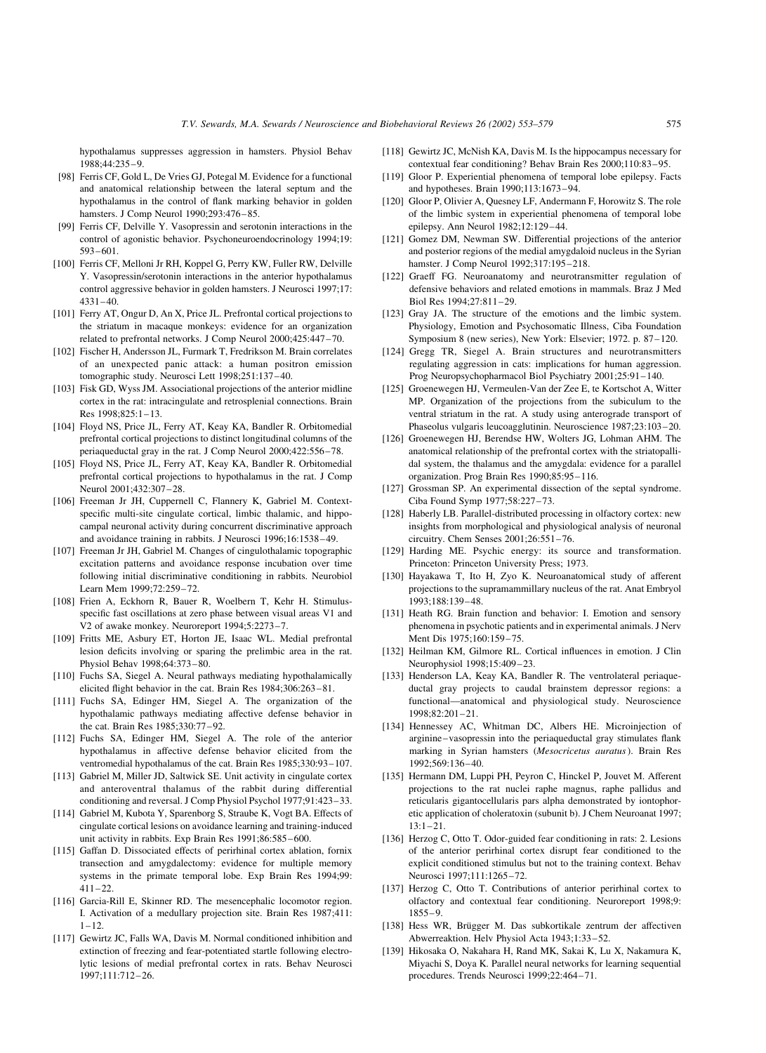<span id="page-22-0"></span>hypothalamus suppresses aggression in hamsters. Physiol Behav 1988;44:235–9.

- [98] Ferris CF, Gold L, De Vries GJ, Potegal M. Evidence for a functional and anatomical relationship between the lateral septum and the hypothalamus in the control of flank marking behavior in golden hamsters. J Comp Neurol 1990;293:476–85.
- [99] Ferris CF, Delville Y. Vasopressin and serotonin interactions in the control of agonistic behavior. Psychoneuroendocrinology 1994;19: 593–601.
- [100] Ferris CF, Melloni Jr RH, Koppel G, Perry KW, Fuller RW, Delville Y. Vasopressin/serotonin interactions in the anterior hypothalamus control aggressive behavior in golden hamsters. J Neurosci 1997;17: 4331–40.
- [101] Ferry AT, Ongur D, An X, Price JL. Prefrontal cortical projections to the striatum in macaque monkeys: evidence for an organization related to prefrontal networks. J Comp Neurol 2000;425:447–70.
- [102] Fischer H, Andersson JL, Furmark T, Fredrikson M. Brain correlates of an unexpected panic attack: a human positron emission tomographic study. Neurosci Lett 1998;251:137–40.
- [103] Fisk GD, Wyss JM. Associational projections of the anterior midline cortex in the rat: intracingulate and retrosplenial connections. Brain Res 1998;825:1–13.
- [104] Floyd NS, Price JL, Ferry AT, Keay KA, Bandler R. Orbitomedial prefrontal cortical projections to distinct longitudinal columns of the periaqueductal gray in the rat. J Comp Neurol 2000;422:556–78.
- [105] Floyd NS, Price JL, Ferry AT, Keay KA, Bandler R. Orbitomedial prefrontal cortical projections to hypothalamus in the rat. J Comp Neurol 2001;432:307–28.
- [106] Freeman Jr JH, Cuppernell C, Flannery K, Gabriel M. Contextspecific multi-site cingulate cortical, limbic thalamic, and hippocampal neuronal activity during concurrent discriminative approach and avoidance training in rabbits. J Neurosci 1996;16:1538–49.
- [107] Freeman Jr JH, Gabriel M. Changes of cingulothalamic topographic excitation patterns and avoidance response incubation over time following initial discriminative conditioning in rabbits. Neurobiol Learn Mem 1999;72:259–72.
- [108] Frien A, Eckhorn R, Bauer R, Woelbern T, Kehr H. Stimulusspecific fast oscillations at zero phase between visual areas V1 and V2 of awake monkey. Neuroreport 1994;5:2273–7.
- [109] Fritts ME, Asbury ET, Horton JE, Isaac WL. Medial prefrontal lesion deficits involving or sparing the prelimbic area in the rat. Physiol Behav 1998;64:373–80.
- [110] Fuchs SA, Siegel A. Neural pathways mediating hypothalamically elicited flight behavior in the cat. Brain Res 1984;306:263–81.
- [111] Fuchs SA, Edinger HM, Siegel A. The organization of the hypothalamic pathways mediating affective defense behavior in the cat. Brain Res 1985;330:77–92.
- [112] Fuchs SA, Edinger HM, Siegel A. The role of the anterior hypothalamus in affective defense behavior elicited from the ventromedial hypothalamus of the cat. Brain Res 1985;330:93–107.
- [113] Gabriel M, Miller JD, Saltwick SE. Unit activity in cingulate cortex and anteroventral thalamus of the rabbit during differential conditioning and reversal. J Comp Physiol Psychol 1977;91:423–33.
- [114] Gabriel M, Kubota Y, Sparenborg S, Straube K, Vogt BA. Effects of cingulate cortical lesions on avoidance learning and training-induced unit activity in rabbits. Exp Brain Res 1991;86:585–600.
- [115] Gaffan D. Dissociated effects of perirhinal cortex ablation, fornix transection and amygdalectomy: evidence for multiple memory systems in the primate temporal lobe. Exp Brain Res 1994;99:  $411 - 22$
- [116] Garcia-Rill E, Skinner RD. The mesencephalic locomotor region. I. Activation of a medullary projection site. Brain Res 1987;411:  $1 - 12$ .
- [117] Gewirtz JC, Falls WA, Davis M. Normal conditioned inhibition and extinction of freezing and fear-potentiated startle following electrolytic lesions of medial prefrontal cortex in rats. Behav Neurosci 1997;111:712–26.
- [118] Gewirtz JC, McNish KA, Davis M. Is the hippocampus necessary for contextual fear conditioning? Behav Brain Res 2000;110:83–95.
- [119] Gloor P. Experiential phenomena of temporal lobe epilepsy. Facts and hypotheses. Brain 1990;113:1673–94.
- [120] Gloor P, Olivier A, Quesney LF, Andermann F, Horowitz S. The role of the limbic system in experiential phenomena of temporal lobe epilepsy. Ann Neurol 1982;12:129–44.
- [121] Gomez DM, Newman SW. Differential projections of the anterior and posterior regions of the medial amygdaloid nucleus in the Syrian hamster. J Comp Neurol 1992;317:195–218.
- [122] Graeff FG. Neuroanatomy and neurotransmitter regulation of defensive behaviors and related emotions in mammals. Braz J Med Biol Res 1994;27:811–29.
- [123] Gray JA. The structure of the emotions and the limbic system. Physiology, Emotion and Psychosomatic Illness, Ciba Foundation Symposium 8 (new series), New York: Elsevier; 1972. p. 87–120.
- [124] Gregg TR, Siegel A. Brain structures and neurotransmitters regulating aggression in cats: implications for human aggression. Prog Neuropsychopharmacol Biol Psychiatry 2001;25:91–140.
- [125] Groenewegen HJ, Vermeulen-Van der Zee E, te Kortschot A, Witter MP. Organization of the projections from the subiculum to the ventral striatum in the rat. A study using anterograde transport of Phaseolus vulgaris leucoagglutinin. Neuroscience 1987;23:103–20.
- [126] Groenewegen HJ, Berendse HW, Wolters JG, Lohman AHM. The anatomical relationship of the prefrontal cortex with the striatopallidal system, the thalamus and the amygdala: evidence for a parallel organization. Prog Brain Res 1990;85:95–116.
- [127] Grossman SP. An experimental dissection of the septal syndrome. Ciba Found Symp 1977;58:227–73.
- [128] Haberly LB. Parallel-distributed processing in olfactory cortex: new insights from morphological and physiological analysis of neuronal circuitry. Chem Senses 2001;26:551–76.
- [129] Harding ME. Psychic energy: its source and transformation. Princeton: Princeton University Press; 1973.
- [130] Hayakawa T, Ito H, Zyo K. Neuroanatomical study of afferent projections to the supramammillary nucleus of the rat. Anat Embryol 1993;188:139–48.
- [131] Heath RG. Brain function and behavior: I. Emotion and sensory phenomena in psychotic patients and in experimental animals. J Nerv Ment Dis 1975;160:159–75.
- [132] Heilman KM, Gilmore RL. Cortical influences in emotion. J Clin Neurophysiol 1998;15:409–23.
- [133] Henderson LA, Keay KA, Bandler R. The ventrolateral periaqueductal gray projects to caudal brainstem depressor regions: a functional—anatomical and physiological study. Neuroscience 1998;82:201–21.
- [134] Hennessey AC, Whitman DC, Albers HE. Microinjection of arginine–vasopressin into the periaqueductal gray stimulates flank marking in Syrian hamsters (Mesocricetus auratus). Brain Res 1992;569:136–40.
- [135] Hermann DM, Luppi PH, Peyron C, Hinckel P, Jouvet M. Afferent projections to the rat nuclei raphe magnus, raphe pallidus and reticularis gigantocellularis pars alpha demonstrated by iontophoretic application of choleratoxin (subunit b). J Chem Neuroanat 1997; 13:1–21.
- [136] Herzog C, Otto T. Odor-guided fear conditioning in rats: 2. Lesions of the anterior perirhinal cortex disrupt fear conditioned to the explicit conditioned stimulus but not to the training context. Behav Neurosci 1997;111:1265–72.
- [137] Herzog C, Otto T. Contributions of anterior perirhinal cortex to olfactory and contextual fear conditioning. Neuroreport 1998;9: 1855–9.
- [138] Hess WR, Brügger M. Das subkortikale zentrum der affectiven Abwerreaktion. Helv Physiol Acta 1943;1:33–52.
- [139] Hikosaka O, Nakahara H, Rand MK, Sakai K, Lu X, Nakamura K, Miyachi S, Doya K. Parallel neural networks for learning sequential procedures. Trends Neurosci 1999;22:464–71.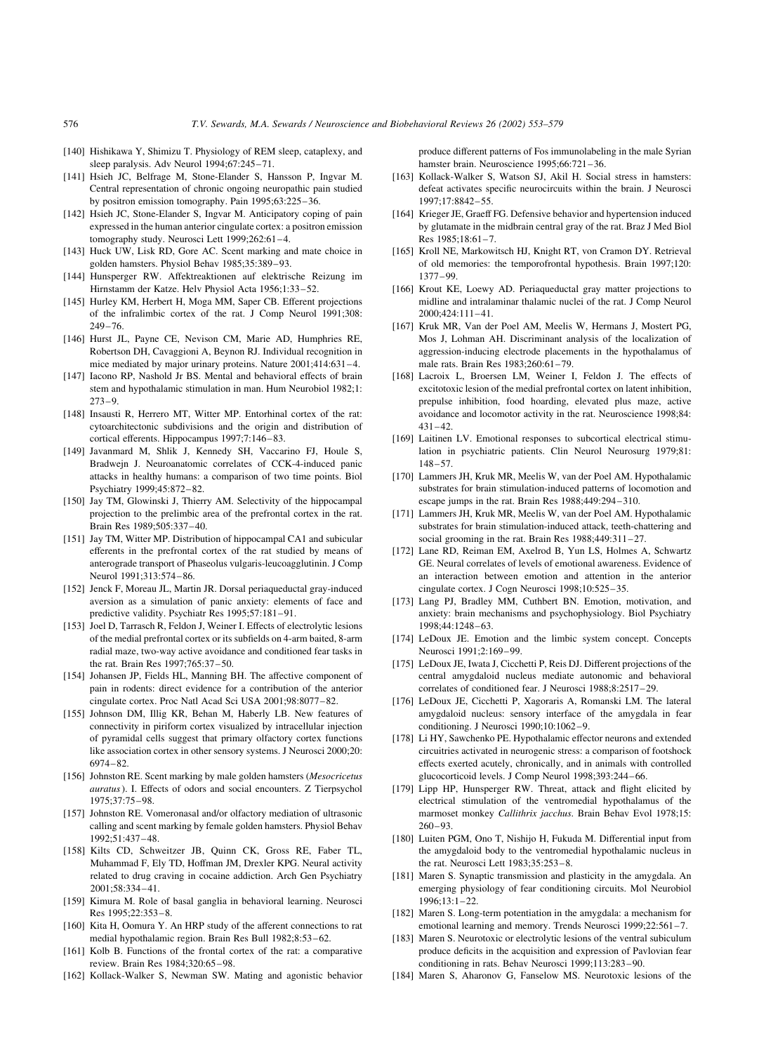- [140] Hishikawa Y, Shimizu T. Physiology of REM sleep, cataplexy, and sleep paralysis. Adv Neurol 1994;67:245–71.
- [141] Hsieh JC, Belfrage M, Stone-Elander S, Hansson P, Ingvar M, Central representation of chronic ongoing neuropathic pain studied by positron emission tomography. Pain 1995;63:225–36.
- [142] Hsieh JC, Stone-Elander S, Ingvar M. Anticipatory coping of pain expressed in the human anterior cingulate cortex: a positron emission tomography study. Neurosci Lett 1999;262:61–4.
- [143] Huck UW, Lisk RD, Gore AC. Scent marking and mate choice in golden hamsters. Physiol Behav 1985;35:389–93.
- [144] Hunsperger RW. Affektreaktionen auf elektrische Reizung im Hirnstamm der Katze. Helv Physiol Acta 1956;1:33–52.
- [145] Hurley KM, Herbert H, Moga MM, Saper CB. Efferent projections of the infralimbic cortex of the rat. J Comp Neurol 1991;308: 249–76.
- [146] Hurst JL, Payne CE, Nevison CM, Marie AD, Humphries RE, Robertson DH, Cavaggioni A, Beynon RJ. Individual recognition in mice mediated by major urinary proteins. Nature 2001;414:631–4.
- [147] Iacono RP, Nashold Jr BS. Mental and behavioral effects of brain stem and hypothalamic stimulation in man. Hum Neurobiol 1982;1: 273–9.
- [148] Insausti R, Herrero MT, Witter MP. Entorhinal cortex of the rat: cytoarchitectonic subdivisions and the origin and distribution of cortical efferents. Hippocampus 1997;7:146–83.
- [149] Javanmard M, Shlik J, Kennedy SH, Vaccarino FJ, Houle S, Bradwejn J. Neuroanatomic correlates of CCK-4-induced panic attacks in healthy humans: a comparison of two time points. Biol Psychiatry 1999;45:872–82.
- [150] Jay TM, Glowinski J, Thierry AM. Selectivity of the hippocampal projection to the prelimbic area of the prefrontal cortex in the rat. Brain Res 1989;505:337–40.
- [151] Jay TM, Witter MP. Distribution of hippocampal CA1 and subicular efferents in the prefrontal cortex of the rat studied by means of anterograde transport of Phaseolus vulgaris-leucoagglutinin. J Comp Neurol 1991;313:574–86.
- [152] Jenck F, Moreau JL, Martin JR. Dorsal periaqueductal gray-induced aversion as a simulation of panic anxiety: elements of face and predictive validity. Psychiatr Res 1995;57:181–91.
- [153] Joel D, Tarrasch R, Feldon J, Weiner I. Effects of electrolytic lesions of the medial prefrontal cortex or its subfields on 4-arm baited, 8-arm radial maze, two-way active avoidance and conditioned fear tasks in the rat. Brain Res 1997;765:37–50.
- [154] Johansen JP, Fields HL, Manning BH. The affective component of pain in rodents: direct evidence for a contribution of the anterior cingulate cortex. Proc Natl Acad Sci USA 2001;98:8077–82.
- [155] Johnson DM, Illig KR, Behan M, Haberly LB. New features of connectivity in piriform cortex visualized by intracellular injection of pyramidal cells suggest that primary olfactory cortex functions like association cortex in other sensory systems. J Neurosci 2000;20: 6974–82.
- [156] Johnston RE. Scent marking by male golden hamsters (Mesocricetus auratus). I. Effects of odors and social encounters. Z Tierpsychol 1975;37:75–98.
- [157] Johnston RE. Vomeronasal and/or olfactory mediation of ultrasonic calling and scent marking by female golden hamsters. Physiol Behav 1992;51:437–48.
- [158] Kilts CD, Schweitzer JB, Quinn CK, Gross RE, Faber TL, Muhammad F, Ely TD, Hoffman JM, Drexler KPG. Neural activity related to drug craving in cocaine addiction. Arch Gen Psychiatry 2001;58:334–41.
- [159] Kimura M. Role of basal ganglia in behavioral learning. Neurosci Res 1995;22:353–8.
- [160] Kita H, Oomura Y. An HRP study of the afferent connections to rat medial hypothalamic region. Brain Res Bull 1982;8:53–62.
- [161] Kolb B. Functions of the frontal cortex of the rat: a comparative review. Brain Res 1984;320:65–98.
- [162] Kollack-Walker S, Newman SW. Mating and agonistic behavior

produce different patterns of Fos immunolabeling in the male Syrian hamster brain. Neuroscience 1995;66:721-36.

- [163] Kollack-Walker S, Watson SJ, Akil H, Social stress in hamsters: defeat activates specific neurocircuits within the brain. J Neurosci 1997;17:8842–55.
- [164] Krieger JE, Graeff FG. Defensive behavior and hypertension induced by glutamate in the midbrain central gray of the rat. Braz J Med Biol Res 1985;18:61–7.
- [165] Kroll NE, Markowitsch HJ, Knight RT, von Cramon DY. Retrieval of old memories: the temporofrontal hypothesis. Brain 1997;120: 1377–99.
- [166] Krout KE, Loewy AD. Periaqueductal gray matter projections to midline and intralaminar thalamic nuclei of the rat. J Comp Neurol  $2000 \cdot 424 \cdot 111 - 41$
- [167] Kruk MR, Van der Poel AM, Meelis W, Hermans J, Mostert PG, Mos J, Lohman AH. Discriminant analysis of the localization of aggression-inducing electrode placements in the hypothalamus of male rats. Brain Res 1983;260:61–79.
- [168] Lacroix L, Broersen LM, Weiner I, Feldon J. The effects of excitotoxic lesion of the medial prefrontal cortex on latent inhibition, prepulse inhibition, food hoarding, elevated plus maze, active avoidance and locomotor activity in the rat. Neuroscience 1998;84:  $431 - 42$
- [169] Laitinen LV. Emotional responses to subcortical electrical stimulation in psychiatric patients. Clin Neurol Neurosurg 1979;81: 148–57.
- [170] Lammers JH, Kruk MR, Meelis W, van der Poel AM. Hypothalamic substrates for brain stimulation-induced patterns of locomotion and escape jumps in the rat. Brain Res 1988;449:294–310.
- [171] Lammers JH, Kruk MR, Meelis W, van der Poel AM. Hypothalamic substrates for brain stimulation-induced attack, teeth-chattering and social grooming in the rat. Brain Res 1988;449:311–27.
- [172] Lane RD, Reiman EM, Axelrod B, Yun LS, Holmes A, Schwartz GE. Neural correlates of levels of emotional awareness. Evidence of an interaction between emotion and attention in the anterior cingulate cortex. J Cogn Neurosci 1998;10:525–35.
- [173] Lang PJ, Bradley MM, Cuthbert BN. Emotion, motivation, and anxiety: brain mechanisms and psychophysiology. Biol Psychiatry 1998;44:1248–63.
- [174] LeDoux JE. Emotion and the limbic system concept. Concepts Neurosci 1991;2:169–99.
- [175] LeDoux JE, Iwata J, Cicchetti P, Reis DJ. Different projections of the central amygdaloid nucleus mediate autonomic and behavioral correlates of conditioned fear. J Neurosci 1988;8:2517–29.
- [176] LeDoux JE, Cicchetti P, Xagoraris A, Romanski LM. The lateral amygdaloid nucleus: sensory interface of the amygdala in fear conditioning. J Neurosci 1990;10:1062–9.
- [178] Li HY, Sawchenko PE. Hypothalamic effector neurons and extended circuitries activated in neurogenic stress: a comparison of footshock effects exerted acutely, chronically, and in animals with controlled glucocorticoid levels. J Comp Neurol 1998;393:244–66.
- [179] Lipp HP, Hunsperger RW. Threat, attack and flight elicited by electrical stimulation of the ventromedial hypothalamus of the marmoset monkey Callithrix jacchus. Brain Behav Evol 1978;15: 260–93.
- [180] Luiten PGM, Ono T, Nishijo H, Fukuda M. Differential input from the amygdaloid body to the ventromedial hypothalamic nucleus in the rat. Neurosci Lett 1983;35:253–8.
- [181] Maren S. Synaptic transmission and plasticity in the amygdala. An emerging physiology of fear conditioning circuits. Mol Neurobiol 1996;13:1–22.
- [182] Maren S. Long-term potentiation in the amygdala: a mechanism for emotional learning and memory. Trends Neurosci 1999;22:561–7.
- [183] Maren S. Neurotoxic or electrolytic lesions of the ventral subiculum produce deficits in the acquisition and expression of Pavlovian fear conditioning in rats. Behav Neurosci 1999;113:283–90.
- [184] Maren S, Aharonov G, Fanselow MS. Neurotoxic lesions of the

<span id="page-23-0"></span>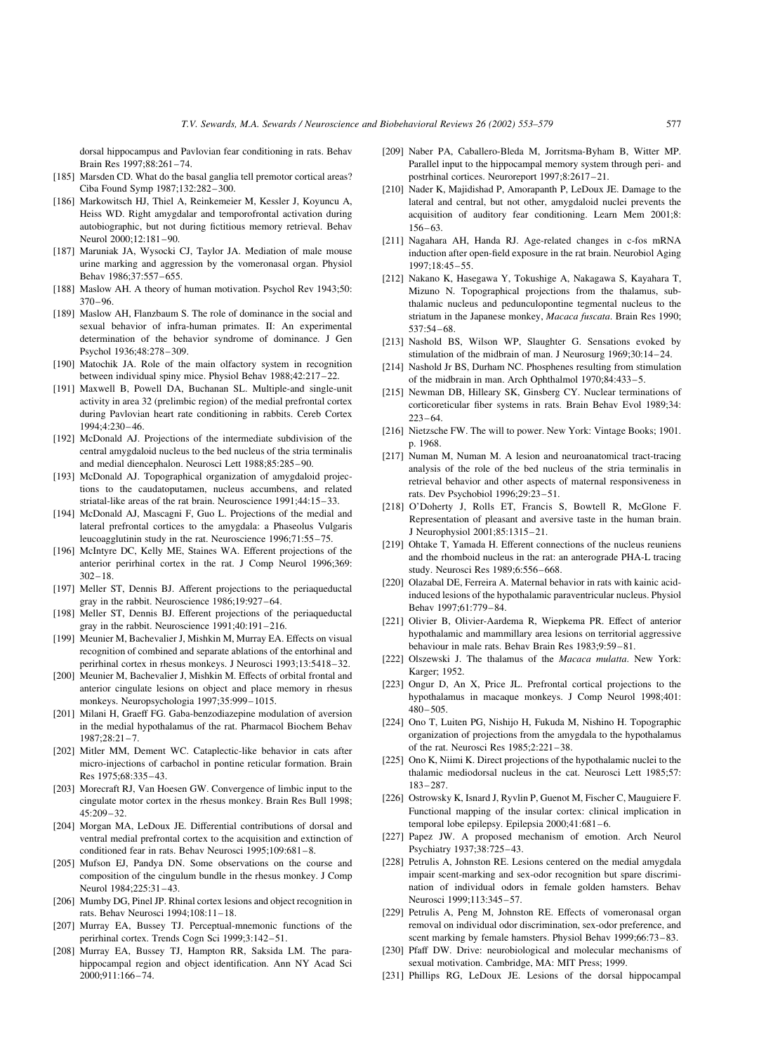<span id="page-24-0"></span>dorsal hippocampus and Pavlovian fear conditioning in rats. Behav Brain Res 1997;88:261–74.

- [185] Marsden CD. What do the basal ganglia tell premotor cortical areas? Ciba Found Symp 1987;132:282–300.
- [186] Markowitsch HJ, Thiel A, Reinkemeier M, Kessler J, Koyuncu A, Heiss WD. Right amygdalar and temporofrontal activation during autobiographic, but not during fictitious memory retrieval. Behav Neurol 2000;12:181–90.
- [187] Maruniak JA, Wysocki CJ, Taylor JA. Mediation of male mouse urine marking and aggression by the vomeronasal organ. Physiol Behav 1986;37:557–655.
- [188] Maslow AH. A theory of human motivation. Psychol Rev 1943;50: 370–96.
- [189] Maslow AH, Flanzbaum S. The role of dominance in the social and sexual behavior of infra-human primates. II: An experimental determination of the behavior syndrome of dominance. J Gen Psychol 1936;48:278–309.
- [190] Matochik JA. Role of the main olfactory system in recognition between individual spiny mice. Physiol Behav 1988;42:217–22.
- [191] Maxwell B, Powell DA, Buchanan SL. Multiple-and single-unit activity in area 32 (prelimbic region) of the medial prefrontal cortex during Pavlovian heart rate conditioning in rabbits. Cereb Cortex 1994;4:230–46.
- [192] McDonald AJ. Projections of the intermediate subdivision of the central amygdaloid nucleus to the bed nucleus of the stria terminalis and medial diencephalon. Neurosci Lett 1988;85:285–90.
- [193] McDonald AJ. Topographical organization of amygdaloid projections to the caudatoputamen, nucleus accumbens, and related striatal-like areas of the rat brain. Neuroscience 1991;44:15–33.
- [194] McDonald AJ, Mascagni F, Guo L. Projections of the medial and lateral prefrontal cortices to the amygdala: a Phaseolus Vulgaris leucoagglutinin study in the rat. Neuroscience 1996;71:55–75.
- [196] McIntyre DC, Kelly ME, Staines WA. Efferent projections of the anterior perirhinal cortex in the rat. J Comp Neurol 1996;369: 302–18.
- [197] Meller ST, Dennis BJ. Afferent projections to the periaqueductal gray in the rabbit. Neuroscience 1986;19:927–64.
- [198] Meller ST, Dennis BJ. Efferent projections of the periaqueductal gray in the rabbit. Neuroscience 1991;40:191–216.
- [199] Meunier M, Bachevalier J, Mishkin M, Murray EA. Effects on visual recognition of combined and separate ablations of the entorhinal and perirhinal cortex in rhesus monkeys. J Neurosci 1993;13:5418–32.
- [200] Meunier M, Bachevalier J, Mishkin M. Effects of orbital frontal and anterior cingulate lesions on object and place memory in rhesus monkeys. Neuropsychologia 1997;35:999–1015.
- [201] Milani H, Graeff FG. Gaba-benzodiazepine modulation of aversion in the medial hypothalamus of the rat. Pharmacol Biochem Behav 1987;28:21–7.
- [202] Mitler MM, Dement WC. Cataplectic-like behavior in cats after micro-injections of carbachol in pontine reticular formation. Brain Res 1975;68:335–43.
- [203] Morecraft RJ, Van Hoesen GW. Convergence of limbic input to the cingulate motor cortex in the rhesus monkey. Brain Res Bull 1998; 45:209–32.
- [204] Morgan MA, LeDoux JE. Differential contributions of dorsal and ventral medial prefrontal cortex to the acquisition and extinction of conditioned fear in rats. Behav Neurosci 1995;109:681–8.
- [205] Mufson EJ, Pandya DN. Some observations on the course and composition of the cingulum bundle in the rhesus monkey. J Comp Neurol 1984;225:31–43.
- [206] Mumby DG, Pinel JP. Rhinal cortex lesions and object recognition in rats. Behav Neurosci 1994;108:11–18.
- [207] Murray EA, Bussey TJ. Perceptual-mnemonic functions of the perirhinal cortex. Trends Cogn Sci 1999;3:142–51.
- [208] Murray EA, Bussey TJ, Hampton RR, Saksida LM. The parahippocampal region and object identification. Ann NY Acad Sci 2000;911:166–74.
- [209] Naber PA, Caballero-Bleda M, Jorritsma-Byham B, Witter MP. Parallel input to the hippocampal memory system through peri- and postrhinal cortices. Neuroreport 1997;8:2617–21.
- [210] Nader K, Majidishad P, Amorapanth P, LeDoux JE. Damage to the lateral and central, but not other, amygdaloid nuclei prevents the acquisition of auditory fear conditioning. Learn Mem 2001;8: 156–63.
- [211] Nagahara AH, Handa RJ. Age-related changes in c-fos mRNA induction after open-field exposure in the rat brain. Neurobiol Aging 1997;18:45–55.
- [212] Nakano K, Hasegawa Y, Tokushige A, Nakagawa S, Kayahara T, Mizuno N. Topographical projections from the thalamus, subthalamic nucleus and pedunculopontine tegmental nucleus to the striatum in the Japanese monkey, Macaca fuscata. Brain Res 1990; 537:54–68.
- [213] Nashold BS, Wilson WP, Slaughter G. Sensations evoked by stimulation of the midbrain of man. J Neurosurg 1969;30:14–24.
- [214] Nashold Jr BS, Durham NC. Phosphenes resulting from stimulation of the midbrain in man. Arch Ophthalmol 1970;84:433–5.
- [215] Newman DB, Hilleary SK, Ginsberg CY. Nuclear terminations of corticoreticular fiber systems in rats. Brain Behav Evol 1989;34: 223–64.
- [216] Nietzsche FW. The will to power. New York: Vintage Books; 1901. p. 1968.
- [217] Numan M, Numan M. A lesion and neuroanatomical tract-tracing analysis of the role of the bed nucleus of the stria terminalis in retrieval behavior and other aspects of maternal responsiveness in rats. Dev Psychobiol 1996;29:23–51.
- [218] O'Doherty J, Rolls ET, Francis S, Bowtell R, McGlone F. Representation of pleasant and aversive taste in the human brain. J Neurophysiol 2001;85:1315–21.
- [219] Ohtake T, Yamada H. Efferent connections of the nucleus reuniens and the rhomboid nucleus in the rat: an anterograde PHA-L tracing study. Neurosci Res 1989;6:556–668.
- [220] Olazabal DE, Ferreira A. Maternal behavior in rats with kainic acidinduced lesions of the hypothalamic paraventricular nucleus. Physiol Behav 1997;61:779–84.
- [221] Olivier B, Olivier-Aardema R, Wiepkema PR. Effect of anterior hypothalamic and mammillary area lesions on territorial aggressive behaviour in male rats. Behav Brain Res 1983;9:59–81.
- [222] Olszewski J. The thalamus of the Macaca mulatta. New York: Karger; 1952.
- [223] Ongur D, An X, Price JL. Prefrontal cortical projections to the hypothalamus in macaque monkeys. J Comp Neurol 1998;401: 480–505.
- [224] Ono T, Luiten PG, Nishijo H, Fukuda M, Nishino H. Topographic organization of projections from the amygdala to the hypothalamus of the rat. Neurosci Res 1985;2:221–38.
- [225] Ono K, Niimi K. Direct projections of the hypothalamic nuclei to the thalamic mediodorsal nucleus in the cat. Neurosci Lett 1985;57: 183–287.
- [226] Ostrowsky K, Isnard J, Ryvlin P, Guenot M, Fischer C, Mauguiere F. Functional mapping of the insular cortex: clinical implication in temporal lobe epilepsy. Epilepsia 2000;41:681–6.
- [227] Papez JW. A proposed mechanism of emotion. Arch Neurol Psychiatry 1937;38:725–43.
- [228] Petrulis A, Johnston RE. Lesions centered on the medial amygdala impair scent-marking and sex-odor recognition but spare discrimination of individual odors in female golden hamsters. Behav Neurosci 1999;113:345–57.
- [229] Petrulis A, Peng M, Johnston RE. Effects of vomeronasal organ removal on individual odor discrimination, sex-odor preference, and scent marking by female hamsters. Physiol Behav 1999;66:73–83.
- [230] Pfaff DW. Drive: neurobiological and molecular mechanisms of sexual motivation. Cambridge, MA: MIT Press; 1999.
- [231] Phillips RG, LeDoux JE. Lesions of the dorsal hippocampal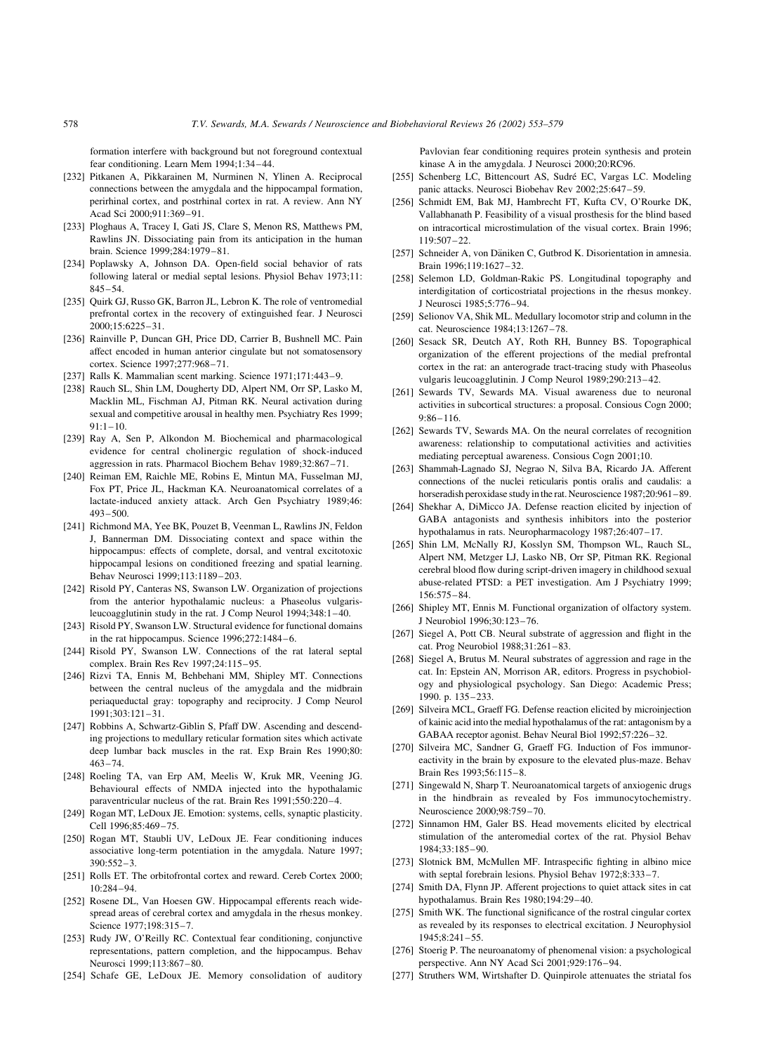formation interfere with background but not foreground contextual fear conditioning. Learn Mem 1994;1:34–44.

- [232] Pitkanen A, Pikkarainen M, Nurminen N, Ylinen A. Reciprocal connections between the amygdala and the hippocampal formation, perirhinal cortex, and postrhinal cortex in rat. A review. Ann NY Acad Sci 2000;911:369–91.
- [233] Ploghaus A, Tracey I, Gati JS, Clare S, Menon RS, Matthews PM, Rawlins JN. Dissociating pain from its anticipation in the human brain. Science 1999;284:1979–81.
- [234] Poplawsky A, Johnson DA. Open-field social behavior of rats following lateral or medial septal lesions. Physiol Behav 1973;11:  $845 - 54.$
- [235] Quirk GJ, Russo GK, Barron JL, Lebron K. The role of ventromedial prefrontal cortex in the recovery of extinguished fear. J Neurosci 2000;15:6225–31.
- [236] Rainville P, Duncan GH, Price DD, Carrier B, Bushnell MC. Pain affect encoded in human anterior cingulate but not somatosensory cortex. Science 1997;277:968–71.
- [237] Ralls K. Mammalian scent marking. Science 1971;171:443–9.
- [238] Rauch SL, Shin LM, Dougherty DD, Alpert NM, Orr SP, Lasko M, Macklin ML, Fischman AJ, Pitman RK. Neural activation during sexual and competitive arousal in healthy men. Psychiatry Res 1999;  $91:1-10.$
- [239] Ray A, Sen P, Alkondon M. Biochemical and pharmacological evidence for central cholinergic regulation of shock-induced aggression in rats. Pharmacol Biochem Behav 1989;32:867–71.
- [240] Reiman EM, Raichle ME, Robins E, Mintun MA, Fusselman MJ, Fox PT, Price JL, Hackman KA. Neuroanatomical correlates of a lactate-induced anxiety attack. Arch Gen Psychiatry 1989;46: 493–500.
- [241] Richmond MA, Yee BK, Pouzet B, Veenman L, Rawlins JN, Feldon J, Bannerman DM. Dissociating context and space within the hippocampus: effects of complete, dorsal, and ventral excitotoxic hippocampal lesions on conditioned freezing and spatial learning. Behav Neurosci 1999;113:1189–203.
- [242] Risold PY, Canteras NS, Swanson LW. Organization of projections from the anterior hypothalamic nucleus: a Phaseolus vulgarisleucoagglutinin study in the rat. J Comp Neurol 1994;348:1–40.
- [243] Risold PY, Swanson LW. Structural evidence for functional domains in the rat hippocampus. Science 1996;272:1484–6.
- [244] Risold PY, Swanson LW. Connections of the rat lateral septal complex. Brain Res Rev 1997;24:115–95.
- [246] Rizvi TA, Ennis M, Behbehani MM, Shipley MT. Connections between the central nucleus of the amygdala and the midbrain periaqueductal gray: topography and reciprocity. J Comp Neurol 1991;303:121–31.
- [247] Robbins A, Schwartz-Giblin S, Pfaff DW. Ascending and descending projections to medullary reticular formation sites which activate deep lumbar back muscles in the rat. Exp Brain Res 1990;80: 463–74.
- [248] Roeling TA, van Erp AM, Meelis W, Kruk MR, Veening JG. Behavioural effects of NMDA injected into the hypothalamic paraventricular nucleus of the rat. Brain Res 1991;550:220–4.
- [249] Rogan MT, LeDoux JE. Emotion: systems, cells, synaptic plasticity. Cell 1996;85:469–75.
- [250] Rogan MT, Staubli UV, LeDoux JE. Fear conditioning induces associative long-term potentiation in the amygdala. Nature 1997; 390:552–3.
- [251] Rolls ET. The orbitofrontal cortex and reward. Cereb Cortex 2000;  $10.284 - 94$
- [252] Rosene DL, Van Hoesen GW. Hippocampal efferents reach widespread areas of cerebral cortex and amygdala in the rhesus monkey. Science 1977;198:315–7.
- [253] Rudy JW, O'Reilly RC. Contextual fear conditioning, conjunctive representations, pattern completion, and the hippocampus. Behav Neurosci 1999;113:867–80.
- [254] Schafe GE, LeDoux JE. Memory consolidation of auditory

Pavlovian fear conditioning requires protein synthesis and protein kinase A in the amygdala. J Neurosci 2000;20:RC96.

- [255] Schenberg LC, Bittencourt AS, Sudré EC, Vargas LC. Modeling panic attacks. Neurosci Biobehav Rev 2002;25:647–59.
- [256] Schmidt EM, Bak MJ, Hambrecht FT, Kufta CV, O'Rourke DK, Vallabhanath P. Feasibility of a visual prosthesis for the blind based on intracortical microstimulation of the visual cortex. Brain 1996; 119:507–22.
- [257] Schneider A, von Däniken C, Gutbrod K. Disorientation in amnesia. Brain 1996;119:1627–32.
- [258] Selemon LD, Goldman-Rakic PS. Longitudinal topography and interdigitation of corticostriatal projections in the rhesus monkey. J Neurosci 1985;5:776–94.
- [259] Selionov VA, Shik ML. Medullary locomotor strip and column in the cat. Neuroscience 1984;13:1267–78.
- [260] Sesack SR, Deutch AY, Roth RH, Bunney BS. Topographical organization of the efferent projections of the medial prefrontal cortex in the rat: an anterograde tract-tracing study with Phaseolus vulgaris leucoagglutinin. J Comp Neurol 1989;290:213–42.
- [261] Sewards TV, Sewards MA. Visual awareness due to neuronal activities in subcortical structures: a proposal. Consious Cogn 2000; 9:86–116.
- [262] Sewards TV, Sewards MA. On the neural correlates of recognition awareness: relationship to computational activities and activities mediating perceptual awareness. Consious Cogn 2001;10.
- [263] Shammah-Lagnado SJ, Negrao N, Silva BA, Ricardo JA. Afferent connections of the nuclei reticularis pontis oralis and caudalis: a horseradish peroxidase study in the rat. Neuroscience 1987;20:961–89.
- [264] Shekhar A, DiMicco JA. Defense reaction elicited by injection of GABA antagonists and synthesis inhibitors into the posterior hypothalamus in rats. Neuropharmacology 1987;26:407–17.
- [265] Shin LM, McNally RJ, Kosslyn SM, Thompson WL, Rauch SL, Alpert NM, Metzger LJ, Lasko NB, Orr SP, Pitman RK. Regional cerebral blood flow during script-driven imagery in childhood sexual abuse-related PTSD: a PET investigation. Am J Psychiatry 1999; 156:575–84.
- [266] Shipley MT, Ennis M. Functional organization of olfactory system. J Neurobiol 1996;30:123–76.
- [267] Siegel A, Pott CB. Neural substrate of aggression and flight in the cat. Prog Neurobiol 1988;31:261–83.
- [268] Siegel A, Brutus M. Neural substrates of aggression and rage in the cat. In: Epstein AN, Morrison AR, editors. Progress in psychobiology and physiological psychology. San Diego: Academic Press; 1990. p. 135–233.
- [269] Silveira MCL, Graeff FG. Defense reaction elicited by microinjection of kainic acid into the medial hypothalamus of the rat: antagonism by a GABAA receptor agonist. Behav Neural Biol 1992;57:226–32.
- [270] Silveira MC, Sandner G, Graeff FG. Induction of Fos immunoreactivity in the brain by exposure to the elevated plus-maze. Behav Brain Res 1993;56:115–8.
- [271] Singewald N, Sharp T. Neuroanatomical targets of anxiogenic drugs in the hindbrain as revealed by Fos immunocytochemistry. Neuroscience 2000;98:759–70.
- [272] Sinnamon HM, Galer BS. Head movements elicited by electrical stimulation of the anteromedial cortex of the rat. Physiol Behav 1984;33:185–90.
- [273] Slotnick BM, McMullen MF. Intraspecific fighting in albino mice with septal forebrain lesions. Physiol Behav 1972;8:333–7.
- [274] Smith DA, Flynn JP. Afferent projections to quiet attack sites in cat hypothalamus. Brain Res 1980;194:29–40.
- [275] Smith WK. The functional significance of the rostral cingular cortex as revealed by its responses to electrical excitation. J Neurophysiol 1945;8:241–55.
- [276] Stoerig P. The neuroanatomy of phenomenal vision: a psychological perspective. Ann NY Acad Sci 2001;929:176–94.
- [277] Struthers WM, Wirtshafter D. Quinpirole attenuates the striatal fos

<span id="page-25-0"></span>